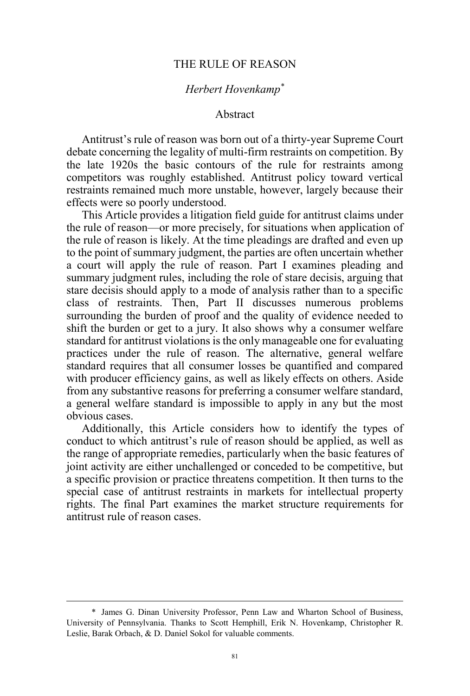## THE RULE OF REASON

# *Herbert Hovenkamp\**

#### Abstract

Antitrust's rule of reason was born out of a thirty-year Supreme Court debate concerning the legality of multi-firm restraints on competition. By the late 1920s the basic contours of the rule for restraints among competitors was roughly established. Antitrust policy toward vertical restraints remained much more unstable, however, largely because their effects were so poorly understood.

This Article provides a litigation field guide for antitrust claims under the rule of reason—or more precisely, for situations when application of the rule of reason is likely. At the time pleadings are drafted and even up to the point of summary judgment, the parties are often uncertain whether a court will apply the rule of reason. Part I examines pleading and summary judgment rules, including the role of stare decisis, arguing that stare decisis should apply to a mode of analysis rather than to a specific class of restraints. Then, Part II discusses numerous problems surrounding the burden of proof and the quality of evidence needed to shift the burden or get to a jury. It also shows why a consumer welfare standard for antitrust violations is the only manageable one for evaluating practices under the rule of reason. The alternative, general welfare standard requires that all consumer losses be quantified and compared with producer efficiency gains, as well as likely effects on others. Aside from any substantive reasons for preferring a consumer welfare standard, a general welfare standard is impossible to apply in any but the most obvious cases.

Additionally, this Article considers how to identify the types of conduct to which antitrust's rule of reason should be applied, as well as the range of appropriate remedies, particularly when the basic features of joint activity are either unchallenged or conceded to be competitive, but a specific provision or practice threatens competition. It then turns to the special case of antitrust restraints in markets for intellectual property rights. The final Part examines the market structure requirements for antitrust rule of reason cases.

 <sup>\*</sup> James G. Dinan University Professor, Penn Law and Wharton School of Business, University of Pennsylvania. Thanks to Scott Hemphill, Erik N. Hovenkamp, Christopher R. Leslie, Barak Orbach, & D. Daniel Sokol for valuable comments.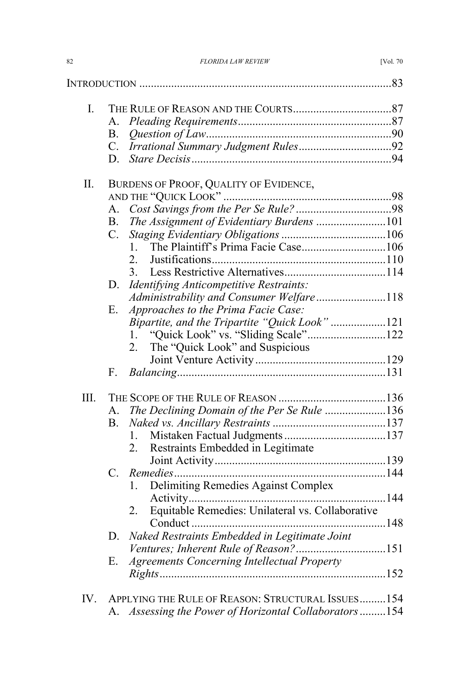| 82 | <b>FLORIDA LAW REVIEW</b> | <b>IVol. 70</b> |
|----|---------------------------|-----------------|
|    |                           |                 |

| I.      |             |                                                    |  |
|---------|-------------|----------------------------------------------------|--|
|         | A.          |                                                    |  |
|         | В.          |                                                    |  |
|         | C.          |                                                    |  |
|         | D.          |                                                    |  |
| $\prod$ |             | BURDENS OF PROOF, QUALITY OF EVIDENCE,             |  |
|         |             |                                                    |  |
|         | А.          |                                                    |  |
|         | $B_{-}$     | The Assignment of Evidentiary Burdens 101          |  |
|         | $C_{\cdot}$ |                                                    |  |
|         |             | $1 \quad$                                          |  |
|         |             | 2.                                                 |  |
|         |             | 3.                                                 |  |
|         | D.          | Identifying Anticompetitive Restraints:            |  |
|         |             | Administrability and Consumer Welfare118           |  |
|         | Е.          | Approaches to the Prima Facie Case:                |  |
|         |             | Bipartite, and the Tripartite "Quick Look"121      |  |
|         |             | "Quick Look" vs. "Sliding Scale"122<br>1.          |  |
|         |             | The "Quick Look" and Suspicious<br>2.              |  |
|         |             |                                                    |  |
|         | F.          |                                                    |  |
| III.    |             |                                                    |  |
|         | $A_{-}$     | The Declining Domain of the Per Se Rule 136        |  |
|         | B.          |                                                    |  |
|         |             | L.                                                 |  |
|         |             | Restraints Embedded in Legitimate<br>2.            |  |
|         |             |                                                    |  |
|         | $C_{\cdot}$ |                                                    |  |
|         |             | Delimiting Remedies Against Complex<br>$1_{-}$     |  |
|         |             |                                                    |  |
|         |             |                                                    |  |
|         |             | Conduct.                                           |  |
|         | D.          | Naked Restraints Embedded in Legitimate Joint      |  |
|         |             |                                                    |  |
|         | Е.          | <b>Agreements Concerning Intellectual Property</b> |  |
|         |             |                                                    |  |
| IV.     |             | APPLYING THE RULE OF REASON: STRUCTURAL ISSUES154  |  |
|         | A.          | Assessing the Power of Horizontal Collaborators154 |  |
|         |             |                                                    |  |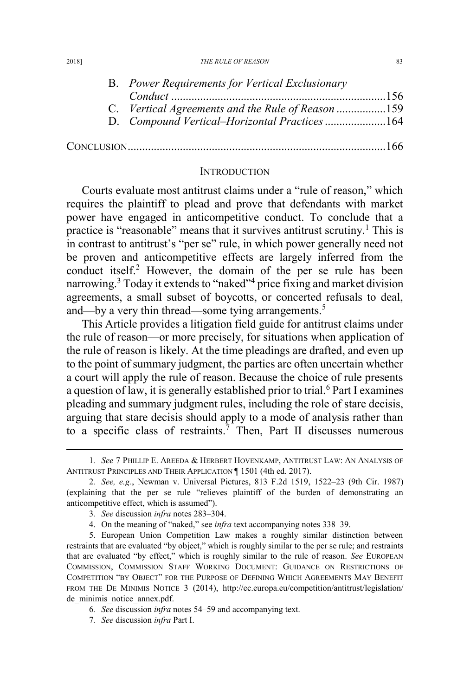2018] *THE RULE OF REASON* 83

| B. Power Requirements for Vertical Exclusionary   |      |
|---------------------------------------------------|------|
|                                                   |      |
| C. Vertical Agreements and the Rule of Reason 159 |      |
| D. Compound Vertical-Horizontal Practices 164     |      |
|                                                   | -166 |

#### **INTRODUCTION**

Courts evaluate most antitrust claims under a "rule of reason," which requires the plaintiff to plead and prove that defendants with market power have engaged in anticompetitive conduct. To conclude that a practice is "reasonable" means that it survives antitrust scrutiny.<sup>1</sup> This is in contrast to antitrust's "per se" rule, in which power generally need not be proven and anticompetitive effects are largely inferred from the conduct itself.<sup>2</sup> However, the domain of the per se rule has been narrowing.<sup>3</sup> Today it extends to "naked"<sup>4</sup> price fixing and market division agreements, a small subset of boycotts, or concerted refusals to deal, and—by a very thin thread—some tying arrangements.<sup>5</sup>

This Article provides a litigation field guide for antitrust claims under the rule of reason—or more precisely, for situations when application of the rule of reason is likely. At the time pleadings are drafted, and even up to the point of summary judgment, the parties are often uncertain whether a court will apply the rule of reason. Because the choice of rule presents a question of law, it is generally established prior to trial.<sup>6</sup> Part I examines pleading and summary judgment rules, including the role of stare decisis, arguing that stare decisis should apply to a mode of analysis rather than to a specific class of restraints.<sup>7</sup> Then, Part II discusses numerous

 <sup>1</sup>*. See* 7 PHILLIP E. AREEDA & HERBERT HOVENKAMP, ANTITRUST LAW: AN ANALYSIS OF ANTITRUST PRINCIPLES AND THEIR APPLICATION ¶ 1501 (4th ed. 2017).

<sup>2</sup>*. See, e.g.*, Newman v. Universal Pictures, 813 F.2d 1519, 1522–23 (9th Cir. 1987) (explaining that the per se rule "relieves plaintiff of the burden of demonstrating an anticompetitive effect, which is assumed").

<sup>3</sup>*. See* discussion *infra* notes 283–304.

<sup>4.</sup> On the meaning of "naked," see *infra* text accompanying notes 338–39.

<sup>5.</sup> European Union Competition Law makes a roughly similar distinction between restraints that are evaluated "by object," which is roughly similar to the per se rule; and restraints that are evaluated "by effect," which is roughly similar to the rule of reason. *See* EUROPEAN COMMISSION, COMMISSION STAFF WORKING DOCUMENT: GUIDANCE ON RESTRICTIONS OF COMPETITION "BY OBJECT" FOR THE PURPOSE OF DEFINING WHICH AGREEMENTS MAY BENEFIT FROM THE DE MINIMIS NOTICE 3 (2014), http://ec.europa.eu/competition/antitrust/legislation/ de minimis notice annex.pdf.

<sup>6</sup>*. See* discussion *infra* notes 54–59 and accompanying text.

<sup>7</sup>*. See* discussion *infra* Part I.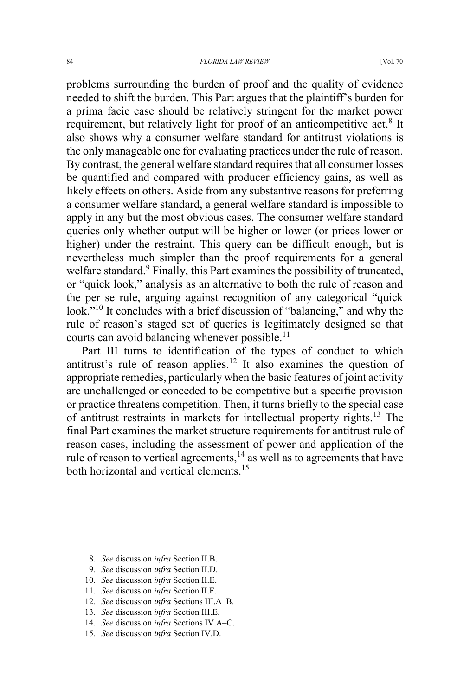problems surrounding the burden of proof and the quality of evidence needed to shift the burden. This Part argues that the plaintiff's burden for a prima facie case should be relatively stringent for the market power requirement, but relatively light for proof of an anticompetitive act.<sup>8</sup> It also shows why a consumer welfare standard for antitrust violations is the only manageable one for evaluating practices under the rule of reason. By contrast, the general welfare standard requires that all consumer losses be quantified and compared with producer efficiency gains, as well as likely effects on others. Aside from any substantive reasons for preferring a consumer welfare standard, a general welfare standard is impossible to apply in any but the most obvious cases. The consumer welfare standard queries only whether output will be higher or lower (or prices lower or higher) under the restraint. This query can be difficult enough, but is nevertheless much simpler than the proof requirements for a general welfare standard. $9$  Finally, this Part examines the possibility of truncated, or "quick look," analysis as an alternative to both the rule of reason and the per se rule, arguing against recognition of any categorical "quick look."<sup>10</sup> It concludes with a brief discussion of "balancing," and why the rule of reason's staged set of queries is legitimately designed so that courts can avoid balancing whenever possible.<sup>11</sup>

Part III turns to identification of the types of conduct to which antitrust's rule of reason applies.<sup>12</sup> It also examines the question of appropriate remedies, particularly when the basic features of joint activity are unchallenged or conceded to be competitive but a specific provision or practice threatens competition. Then, it turns briefly to the special case of antitrust restraints in markets for intellectual property rights.<sup>13</sup> The final Part examines the market structure requirements for antitrust rule of reason cases, including the assessment of power and application of the rule of reason to vertical agreements, $14$  as well as to agreements that have both horizontal and vertical elements.<sup>15</sup>

- 10*. See* discussion *infra* Section II.E.
- 11*. See* discussion *infra* Section II.F.
- 12*. See* discussion *infra* Sections III.A–B.
- 13*. See* discussion *infra* Section III.E.
- 14*. See* discussion *infra* Sections IV.A–C.
- 15*. See* discussion *infra* Section IV.D.

 <sup>8</sup>*. See* discussion *infra* Section II.B.

<sup>9</sup>*. See* discussion *infra* Section II.D.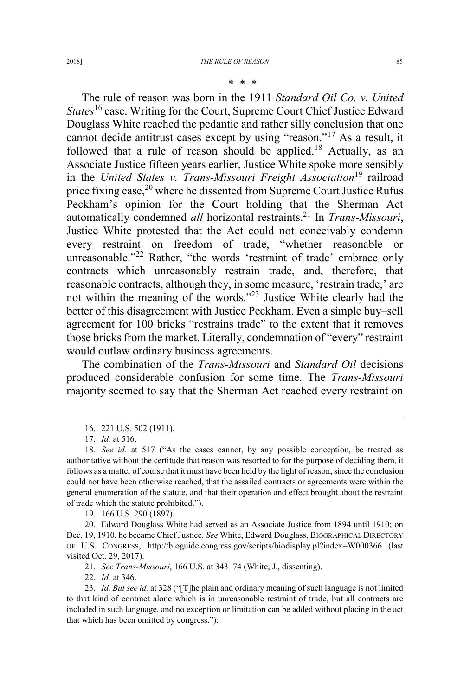#### \* \* \*

The rule of reason was born in the 1911 *Standard Oil Co. v. United States*<sup>16</sup> case. Writing for the Court, Supreme Court Chief Justice Edward Douglass White reached the pedantic and rather silly conclusion that one cannot decide antitrust cases except by using "reason."<sup>17</sup> As a result, it followed that a rule of reason should be applied.<sup>18</sup> Actually, as an Associate Justice fifteen years earlier, Justice White spoke more sensibly in the *United States v. Trans-Missouri Freight Association*<sup>19</sup> railroad price fixing case,<sup>20</sup> where he dissented from Supreme Court Justice Rufus Peckham's opinion for the Court holding that the Sherman Act automatically condemned *all* horizontal restraints.<sup>21</sup> In *Trans-Missouri*, Justice White protested that the Act could not conceivably condemn every restraint on freedom of trade, "whether reasonable or unreasonable."<sup>22</sup> Rather, "the words 'restraint of trade' embrace only contracts which unreasonably restrain trade, and, therefore, that reasonable contracts, although they, in some measure, 'restrain trade,' are not within the meaning of the words."<sup>23</sup> Justice White clearly had the better of this disagreement with Justice Peckham. Even a simple buy–sell agreement for 100 bricks "restrains trade" to the extent that it removes those bricks from the market. Literally, condemnation of "every" restraint would outlaw ordinary business agreements.

The combination of the *Trans-Missouri* and *Standard Oil* decisions produced considerable confusion for some time. The *Trans-Missouri* majority seemed to say that the Sherman Act reached every restraint on

19. 166 U.S. 290 (1897).

20. Edward Douglass White had served as an Associate Justice from 1894 until 1910; on Dec. 19, 1910, he became Chief Justice. *See* White, Edward Douglass, BIOGRAPHICAL DIRECTORY OF U.S. CONGRESS, http://bioguide.congress.gov/scripts/biodisplay.pl?index=W000366 (last visited Oct. 29, 2017).

21. *See Trans-Missouri*, 166 U.S. at 343–74 (White, J., dissenting).

22. *Id.* at 346.

 <sup>16. 221</sup> U.S. 502 (1911).

<sup>17.</sup> *Id.* at 516.

<sup>18</sup>*. See id.* at 517 ("As the cases cannot, by any possible conception, be treated as authoritative without the certitude that reason was resorted to for the purpose of deciding them, it follows as a matter of course that it must have been held by the light of reason, since the conclusion could not have been otherwise reached, that the assailed contracts or agreements were within the general enumeration of the statute, and that their operation and effect brought about the restraint of trade which the statute prohibited.").

<sup>23.</sup> *Id. But see id.* at 328 ("[T]he plain and ordinary meaning of such language is not limited to that kind of contract alone which is in unreasonable restraint of trade, but all contracts are included in such language, and no exception or limitation can be added without placing in the act that which has been omitted by congress.").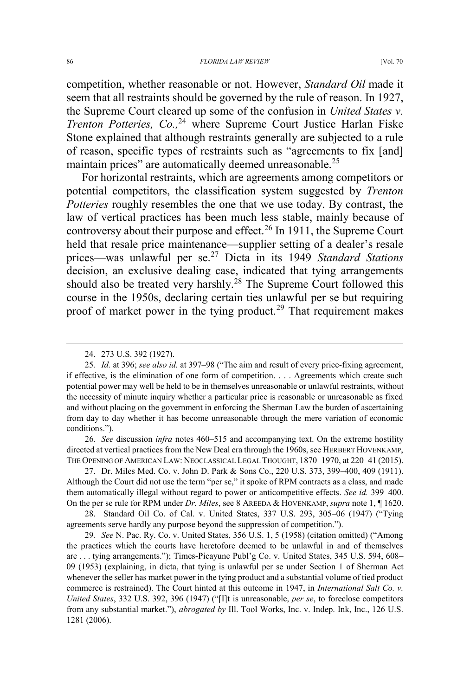competition, whether reasonable or not. However, *Standard Oil* made it seem that all restraints should be governed by the rule of reason. In 1927, the Supreme Court cleared up some of the confusion in *United States v. Trenton Potteries, Co.,*<sup>24</sup> where Supreme Court Justice Harlan Fiske Stone explained that although restraints generally are subjected to a rule of reason, specific types of restraints such as "agreements to fix [and] maintain prices" are automatically deemed unreasonable.<sup>25</sup>

For horizontal restraints, which are agreements among competitors or potential competitors, the classification system suggested by *Trenton Potteries* roughly resembles the one that we use today. By contrast, the law of vertical practices has been much less stable, mainly because of controversy about their purpose and effect.<sup>26</sup> In 1911, the Supreme Court held that resale price maintenance—supplier setting of a dealer's resale prices—was unlawful per se.<sup>27</sup> Dicta in its 1949 *Standard Stations* decision, an exclusive dealing case, indicated that tying arrangements should also be treated very harshly.<sup>28</sup> The Supreme Court followed this course in the 1950s, declaring certain ties unlawful per se but requiring proof of market power in the tying product.<sup>29</sup> That requirement makes

26. *See* discussion *infra* notes 460–515 and accompanying text. On the extreme hostility directed at vertical practices from the New Deal era through the 1960s, see HERBERT HOVENKAMP, THE OPENING OF AMERICAN LAW: NEOCLASSICAL LEGAL THOUGHT, 1870–1970, at 220–41 (2015).

28. Standard Oil Co. of Cal. v. United States, 337 U.S. 293, 305–06 (1947) ("Tying agreements serve hardly any purpose beyond the suppression of competition.").

29*. See* N. Pac. Ry. Co. v. United States, 356 U.S. 1, 5 (1958) (citation omitted) ("Among the practices which the courts have heretofore deemed to be unlawful in and of themselves are . . . tying arrangements."); Times-Picayune Publ'g Co. v. United States, 345 U.S. 594, 608– 09 (1953) (explaining, in dicta, that tying is unlawful per se under Section 1 of Sherman Act whenever the seller has market power in the tying product and a substantial volume of tied product commerce is restrained). The Court hinted at this outcome in 1947, in *International Salt Co. v. United States*, 332 U.S. 392, 396 (1947) ("[I]t is unreasonable, *per se*, to foreclose competitors from any substantial market."), *abrogated by* Ill. Tool Works, Inc. v. Indep. Ink, Inc., 126 U.S. 1281 (2006).

 <sup>24. 273</sup> U.S. 392 (1927).

<sup>25</sup>*. Id.* at 396; *see also id.* at 397–98 ("The aim and result of every price-fixing agreement, if effective, is the elimination of one form of competition. . . . Agreements which create such potential power may well be held to be in themselves unreasonable or unlawful restraints, without the necessity of minute inquiry whether a particular price is reasonable or unreasonable as fixed and without placing on the government in enforcing the Sherman Law the burden of ascertaining from day to day whether it has become unreasonable through the mere variation of economic conditions.").

<sup>27.</sup> Dr. Miles Med. Co. v. John D. Park & Sons Co., 220 U.S. 373, 399–400, 409 (1911). Although the Court did not use the term "per se," it spoke of RPM contracts as a class, and made them automatically illegal without regard to power or anticompetitive effects. *See id.* 399–400. On the per se rule for RPM under *Dr. Miles*, see 8 AREEDA & HOVENKAMP, *supra* note 1, ¶ 1620.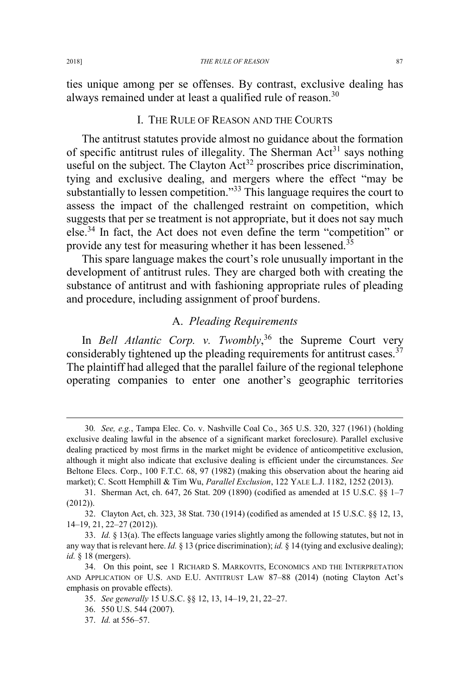ties unique among per se offenses. By contrast, exclusive dealing has always remained under at least a qualified rule of reason.<sup>30</sup>

## I. THE RULE OF REASON AND THE COURTS

The antitrust statutes provide almost no guidance about the formation of specific antitrust rules of illegality. The Sherman  $Act<sup>31</sup>$  says nothing useful on the subject. The Clayton  $Act^{32}$  proscribes price discrimination, tying and exclusive dealing, and mergers where the effect "may be substantially to lessen competition."<sup>33</sup> This language requires the court to assess the impact of the challenged restraint on competition, which suggests that per se treatment is not appropriate, but it does not say much else.34 In fact, the Act does not even define the term "competition" or provide any test for measuring whether it has been lessened.<sup>35</sup>

This spare language makes the court's role unusually important in the development of antitrust rules. They are charged both with creating the substance of antitrust and with fashioning appropriate rules of pleading and procedure, including assignment of proof burdens.

## A. *Pleading Requirements*

In *Bell Atlantic Corp. v. Twombly*, <sup>36</sup> the Supreme Court very considerably tightened up the pleading requirements for antitrust cases.<sup>37</sup> The plaintiff had alleged that the parallel failure of the regional telephone operating companies to enter one another's geographic territories

 <sup>30</sup>*. See, e.g.*, Tampa Elec. Co. v. Nashville Coal Co., 365 U.S. 320, 327 (1961) (holding exclusive dealing lawful in the absence of a significant market foreclosure). Parallel exclusive dealing practiced by most firms in the market might be evidence of anticompetitive exclusion, although it might also indicate that exclusive dealing is efficient under the circumstances. *See* Beltone Elecs. Corp., 100 F.T.C. 68, 97 (1982) (making this observation about the hearing aid market); C. Scott Hemphill & Tim Wu, *Parallel Exclusion*, 122 YALE L.J. 1182, 1252 (2013).

<sup>31.</sup> Sherman Act, ch. 647, 26 Stat. 209 (1890) (codified as amended at 15 U.S.C. §§ 1–7 (2012)).

<sup>32.</sup> Clayton Act, ch. 323, 38 Stat. 730 (1914) (codified as amended at 15 U.S.C. §§ 12, 13, 14–19, 21, 22–27 (2012)).

<sup>33.</sup> *Id.* § 13(a). The effects language varies slightly among the following statutes, but not in any way that is relevant here. *Id.* § 13 (price discrimination); *id.* § 14 (tying and exclusive dealing); *id.* § 18 (mergers).

<sup>34.</sup> On this point, see 1 RICHARD S. MARKOVITS, ECONOMICS AND THE INTERPRETATION AND APPLICATION OF U.S. AND E.U. ANTITRUST LAW 87–88 (2014) (noting Clayton Act's emphasis on provable effects).

<sup>35.</sup> *See generally* 15 U.S.C. §§ 12, 13, 14–19, 21, 22–27.

<sup>36. 550</sup> U.S. 544 (2007).

<sup>37.</sup> *Id.* at 556–57.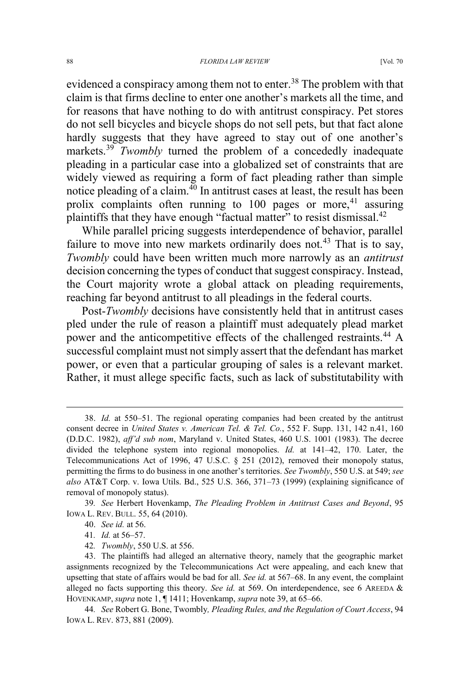evidenced a conspiracy among them not to enter.<sup>38</sup> The problem with that claim is that firms decline to enter one another's markets all the time, and for reasons that have nothing to do with antitrust conspiracy. Pet stores do not sell bicycles and bicycle shops do not sell pets, but that fact alone hardly suggests that they have agreed to stay out of one another's markets.<sup>39</sup> *Twombly* turned the problem of a concededly inadequate pleading in a particular case into a globalized set of constraints that are widely viewed as requiring a form of fact pleading rather than simple notice pleading of a claim. $^{40}$  In antitrust cases at least, the result has been prolix complaints often running to  $100$  pages or more,<sup>41</sup> assuring plaintiffs that they have enough "factual matter" to resist dismissal.<sup>42</sup>

While parallel pricing suggests interdependence of behavior, parallel failure to move into new markets ordinarily does not.<sup>43</sup> That is to say, *Twombly* could have been written much more narrowly as an *antitrust* decision concerning the types of conduct that suggest conspiracy. Instead, the Court majority wrote a global attack on pleading requirements, reaching far beyond antitrust to all pleadings in the federal courts.

Post-*Twombly* decisions have consistently held that in antitrust cases pled under the rule of reason a plaintiff must adequately plead market power and the anticompetitive effects of the challenged restraints.<sup>44</sup> A successful complaint must not simply assert that the defendant has market power, or even that a particular grouping of sales is a relevant market. Rather, it must allege specific facts, such as lack of substitutability with

44*. See* Robert G. Bone, Twombly*, Pleading Rules, and the Regulation of Court Access*, 94 IOWA L. REV. 873, 881 (2009).

 <sup>38.</sup> *Id.* at 550–51. The regional operating companies had been created by the antitrust consent decree in *United States v. American Tel. & Tel. Co.*, 552 F. Supp. 131, 142 n.41, 160 (D.D.C. 1982), *aff'd sub nom*, Maryland v. United States, 460 U.S. 1001 (1983). The decree divided the telephone system into regional monopolies. *Id.* at 141–42, 170. Later, the Telecommunications Act of 1996, 47 U.S.C. § 251 (2012), removed their monopoly status, permitting the firms to do business in one another's territories. *See Twombly*, 550 U.S. at 549; *see also* AT&T Corp. v. Iowa Utils. Bd., 525 U.S. 366, 371–73 (1999) (explaining significance of removal of monopoly status).

<sup>39</sup>*. See* Herbert Hovenkamp, *The Pleading Problem in Antitrust Cases and Beyond*, 95 IOWA L. REV. BULL. 55, 64 (2010).

<sup>40.</sup> *See id.* at 56.

<sup>41</sup>*. Id.* at 56–57.

<sup>42</sup>*. Twombly*, 550 U.S. at 556.

<sup>43.</sup> The plaintiffs had alleged an alternative theory, namely that the geographic market assignments recognized by the Telecommunications Act were appealing, and each knew that upsetting that state of affairs would be bad for all. *See id.* at 567–68. In any event, the complaint alleged no facts supporting this theory. *See id.* at 569. On interdependence, see 6 AREEDA & HOVENKAMP, *supra* note 1, ¶ 1411; Hovenkamp, *supra* note 39, at 65–66.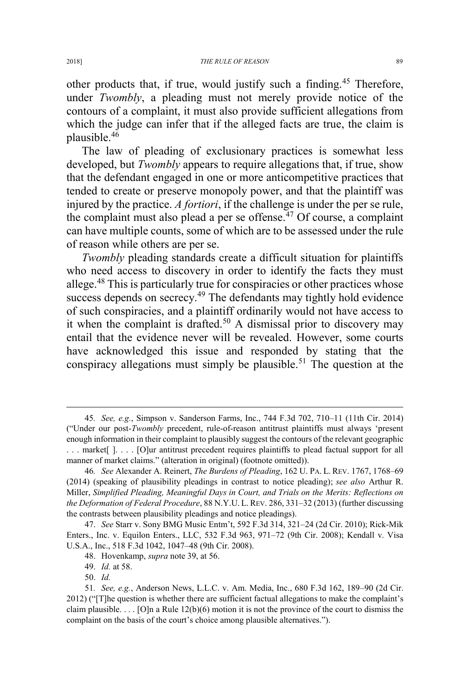other products that, if true, would justify such a finding.<sup>45</sup> Therefore, under *Twombly*, a pleading must not merely provide notice of the contours of a complaint, it must also provide sufficient allegations from which the judge can infer that if the alleged facts are true, the claim is plausible.<sup>46</sup>

The law of pleading of exclusionary practices is somewhat less developed, but *Twombly* appears to require allegations that, if true, show that the defendant engaged in one or more anticompetitive practices that tended to create or preserve monopoly power, and that the plaintiff was injured by the practice. *A fortiori*, if the challenge is under the per se rule, the complaint must also plead a per se offense.<sup> $47$ </sup> Of course, a complaint can have multiple counts, some of which are to be assessed under the rule of reason while others are per se.

*Twombly* pleading standards create a difficult situation for plaintiffs who need access to discovery in order to identify the facts they must allege.<sup>48</sup> This is particularly true for conspiracies or other practices whose success depends on secrecy.<sup>49</sup> The defendants may tightly hold evidence of such conspiracies, and a plaintiff ordinarily would not have access to it when the complaint is drafted.<sup>50</sup> A dismissal prior to discovery may entail that the evidence never will be revealed. However, some courts have acknowledged this issue and responded by stating that the conspiracy allegations must simply be plausible.<sup>51</sup> The question at the

 <sup>45</sup>*. See, e.g.*, Simpson v. Sanderson Farms, Inc., 744 F.3d 702, 710–11 (11th Cir. 2014) ("Under our post-*Twombly* precedent, rule-of-reason antitrust plaintiffs must always 'present enough information in their complaint to plausibly suggest the contours of the relevant geographic . . . market[ ]. . . . [O]ur antitrust precedent requires plaintiffs to plead factual support for all manner of market claims." (alteration in original) (footnote omitted)).

<sup>46</sup>*. See* Alexander A. Reinert, *The Burdens of Pleading*, 162 U. PA. L. REV. 1767, 1768–69 (2014) (speaking of plausibility pleadings in contrast to notice pleading); *see also* Arthur R. Miller, *Simplified Pleading, Meaningful Days in Court, and Trials on the Merits: Reflections on the Deformation of Federal Procedure*, 88 N.Y.U. L. REV. 286, 331–32 (2013) (further discussing the contrasts between plausibility pleadings and notice pleadings).

<sup>47.</sup> *See* Starr v. Sony BMG Music Entm't, 592 F.3d 314, 321–24 (2d Cir. 2010); Rick-Mik Enters., Inc. v. Equilon Enters., LLC, 532 F.3d 963, 971–72 (9th Cir. 2008); Kendall v. Visa U.S.A., Inc., 518 F.3d 1042, 1047–48 (9th Cir. 2008).

<sup>48.</sup> Hovenkamp, *supra* note 39, at 56.

<sup>49.</sup> *Id.* at 58.

<sup>50.</sup> *Id.*

<sup>51</sup>*. See, e.g.*, Anderson News, L.L.C. v. Am. Media, Inc., 680 F.3d 162, 189–90 (2d Cir. 2012) ("[T]he question is whether there are sufficient factual allegations to make the complaint's claim plausible.  $\ldots$  [O]n a Rule 12(b)(6) motion it is not the province of the court to dismiss the complaint on the basis of the court's choice among plausible alternatives.").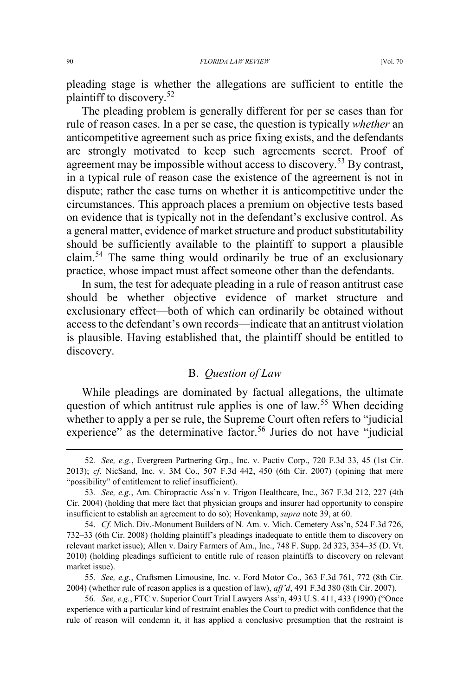pleading stage is whether the allegations are sufficient to entitle the plaintiff to discovery.<sup>52</sup>

The pleading problem is generally different for per se cases than for rule of reason cases. In a per se case, the question is typically *whether* an anticompetitive agreement such as price fixing exists, and the defendants are strongly motivated to keep such agreements secret. Proof of agreement may be impossible without access to discovery.<sup>53</sup> By contrast, in a typical rule of reason case the existence of the agreement is not in dispute; rather the case turns on whether it is anticompetitive under the circumstances. This approach places a premium on objective tests based on evidence that is typically not in the defendant's exclusive control. As a general matter, evidence of market structure and product substitutability should be sufficiently available to the plaintiff to support a plausible claim.<sup>54</sup> The same thing would ordinarily be true of an exclusionary practice, whose impact must affect someone other than the defendants.

In sum, the test for adequate pleading in a rule of reason antitrust case should be whether objective evidence of market structure and exclusionary effect—both of which can ordinarily be obtained without access to the defendant's own records—indicate that an antitrust violation is plausible. Having established that, the plaintiff should be entitled to discovery.

## B. *Question of Law*

While pleadings are dominated by factual allegations, the ultimate question of which antitrust rule applies is one of law.<sup>55</sup> When deciding whether to apply a per se rule, the Supreme Court often refers to "judicial experience" as the determinative factor.<sup>56</sup> Juries do not have "judicial

 <sup>52</sup>*. See, e.g.*, Evergreen Partnering Grp., Inc. v. Pactiv Corp., 720 F.3d 33, 45 (1st Cir. 2013); *cf*. NicSand, Inc. v. 3M Co., 507 F.3d 442, 450 (6th Cir. 2007) (opining that mere "possibility" of entitlement to relief insufficient).

<sup>53</sup>*. See, e.g.*, Am. Chiropractic Ass'n v. Trigon Healthcare, Inc., 367 F.3d 212, 227 (4th Cir. 2004) (holding that mere fact that physician groups and insurer had opportunity to conspire insufficient to establish an agreement to do so); Hovenkamp, *supra* note 39, at 60.

<sup>54.</sup> *Cf.* Mich. Div.-Monument Builders of N. Am. v. Mich. Cemetery Ass'n, 524 F.3d 726, 732–33 (6th Cir. 2008) (holding plaintiff's pleadings inadequate to entitle them to discovery on relevant market issue); Allen v. Dairy Farmers of Am., Inc., 748 F. Supp. 2d 323, 334–35 (D. Vt. 2010) (holding pleadings sufficient to entitle rule of reason plaintiffs to discovery on relevant market issue).

<sup>55</sup>*. See, e.g.*, Craftsmen Limousine, Inc. v. Ford Motor Co., 363 F.3d 761, 772 (8th Cir. 2004) (whether rule of reason applies is a question of law), *aff'd*, 491 F.3d 380 (8th Cir. 2007).

<sup>56</sup>*. See, e.g.*, FTC v. Superior Court Trial Lawyers Ass'n, 493 U.S. 411, 433 (1990) ("Once experience with a particular kind of restraint enables the Court to predict with confidence that the rule of reason will condemn it, it has applied a conclusive presumption that the restraint is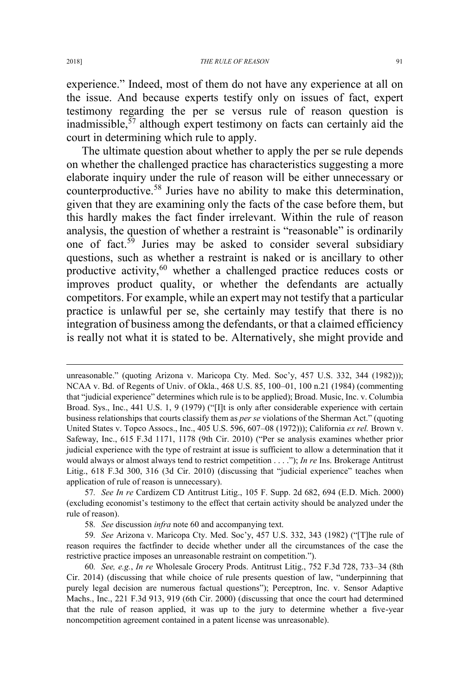experience." Indeed, most of them do not have any experience at all on the issue. And because experts testify only on issues of fact, expert testimony regarding the per se versus rule of reason question is inadmissible, $57$  although expert testimony on facts can certainly aid the court in determining which rule to apply.

The ultimate question about whether to apply the per se rule depends on whether the challenged practice has characteristics suggesting a more elaborate inquiry under the rule of reason will be either unnecessary or counterproductive.<sup>58</sup> Juries have no ability to make this determination, given that they are examining only the facts of the case before them, but this hardly makes the fact finder irrelevant. Within the rule of reason analysis, the question of whether a restraint is "reasonable" is ordinarily one of fact.<sup>59</sup> Juries may be asked to consider several subsidiary questions, such as whether a restraint is naked or is ancillary to other productive activity, $60$  whether a challenged practice reduces costs or improves product quality, or whether the defendants are actually competitors. For example, while an expert may not testify that a particular practice is unlawful per se, she certainly may testify that there is no integration of business among the defendants, or that a claimed efficiency is really not what it is stated to be. Alternatively, she might provide and

 $\overline{a}$ 

unreasonable." (quoting Arizona v. Maricopa Cty. Med. Soc'y, 457 U.S. 332, 344 (1982))); NCAA v. Bd. of Regents of Univ. of Okla., 468 U.S. 85, 100–01, 100 n.21 (1984) (commenting that "judicial experience" determines which rule is to be applied); Broad. Music, Inc. v. Columbia Broad. Sys., Inc., 441 U.S. 1, 9 (1979) ("Ilt is only after considerable experience with certain business relationships that courts classify them as *per se* violations of the Sherman Act." (quoting United States v. Topco Assocs., Inc., 405 U.S. 596, 607–08 (1972))); California *ex rel.* Brown v. Safeway, Inc., 615 F.3d 1171, 1178 (9th Cir. 2010) ("Per se analysis examines whether prior judicial experience with the type of restraint at issue is sufficient to allow a determination that it would always or almost always tend to restrict competition . . . ."); *In re* Ins. Brokerage Antitrust Litig., 618 F.3d 300, 316 (3d Cir. 2010) (discussing that "judicial experience" teaches when application of rule of reason is unnecessary).

<sup>57</sup>*. See In re* Cardizem CD Antitrust Litig., 105 F. Supp. 2d 682, 694 (E.D. Mich. 2000) (excluding economist's testimony to the effect that certain activity should be analyzed under the rule of reason).

<sup>58</sup>*. See* discussion *infra* note 60 and accompanying text.

<sup>59</sup>*. See* Arizona v. Maricopa Cty. Med. Soc'y, 457 U.S. 332, 343 (1982) ("[T]he rule of reason requires the factfinder to decide whether under all the circumstances of the case the restrictive practice imposes an unreasonable restraint on competition.").

<sup>60</sup>*. See, e.g.*, *In re* Wholesale Grocery Prods. Antitrust Litig., 752 F.3d 728, 733–34 (8th Cir. 2014) (discussing that while choice of rule presents question of law, "underpinning that purely legal decision are numerous factual questions"); Perceptron, Inc. v. Sensor Adaptive Machs., Inc., 221 F.3d 913, 919 (6th Cir. 2000) (discussing that once the court had determined that the rule of reason applied, it was up to the jury to determine whether a five-year noncompetition agreement contained in a patent license was unreasonable).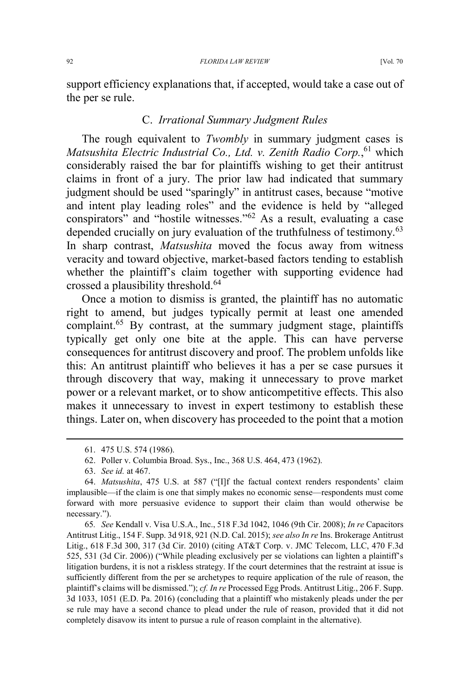support efficiency explanations that, if accepted, would take a case out of the per se rule.

## C. *Irrational Summary Judgment Rules*

The rough equivalent to *Twombly* in summary judgment cases is *Matsushita Electric Industrial Co., Ltd. v. Zenith Radio Corp.*, <sup>61</sup> which considerably raised the bar for plaintiffs wishing to get their antitrust claims in front of a jury. The prior law had indicated that summary judgment should be used "sparingly" in antitrust cases, because "motive and intent play leading roles" and the evidence is held by "alleged conspirators" and "hostile witnesses."<sup>62</sup> As a result, evaluating a case depended crucially on jury evaluation of the truthfulness of testimony.<sup>63</sup> In sharp contrast, *Matsushita* moved the focus away from witness veracity and toward objective, market-based factors tending to establish whether the plaintiff's claim together with supporting evidence had crossed a plausibility threshold.<sup>64</sup>

Once a motion to dismiss is granted, the plaintiff has no automatic right to amend, but judges typically permit at least one amended complaint.<sup>65</sup> By contrast, at the summary judgment stage, plaintiffs typically get only one bite at the apple. This can have perverse consequences for antitrust discovery and proof. The problem unfolds like this: An antitrust plaintiff who believes it has a per se case pursues it through discovery that way, making it unnecessary to prove market power or a relevant market, or to show anticompetitive effects. This also makes it unnecessary to invest in expert testimony to establish these things. Later on, when discovery has proceeded to the point that a motion

 <sup>61. 475</sup> U.S. 574 (1986).

<sup>62.</sup> Poller v. Columbia Broad. Sys., Inc., 368 U.S. 464, 473 (1962).

<sup>63.</sup> *See id.* at 467.

<sup>64.</sup> *Matsushita*, 475 U.S. at 587 ("[I]f the factual context renders respondents' claim implausible—if the claim is one that simply makes no economic sense—respondents must come forward with more persuasive evidence to support their claim than would otherwise be necessary.").

<sup>65</sup>*. See* Kendall v. Visa U.S.A., Inc., 518 F.3d 1042, 1046 (9th Cir. 2008); *In re* Capacitors Antitrust Litig., 154 F. Supp. 3d 918, 921 (N.D. Cal. 2015); *see also In re* Ins. Brokerage Antitrust Litig., 618 F.3d 300, 317 (3d Cir. 2010) (citing AT&T Corp. v. JMC Telecom, LLC, 470 F.3d 525, 531 (3d Cir. 2006)) ("While pleading exclusively per se violations can lighten a plaintiff's litigation burdens, it is not a riskless strategy. If the court determines that the restraint at issue is sufficiently different from the per se archetypes to require application of the rule of reason, the plaintiff's claims will be dismissed."); *cf. In re* Processed Egg Prods. Antitrust Litig., 206 F. Supp. 3d 1033, 1051 (E.D. Pa. 2016) (concluding that a plaintiff who mistakenly pleads under the per se rule may have a second chance to plead under the rule of reason, provided that it did not completely disavow its intent to pursue a rule of reason complaint in the alternative).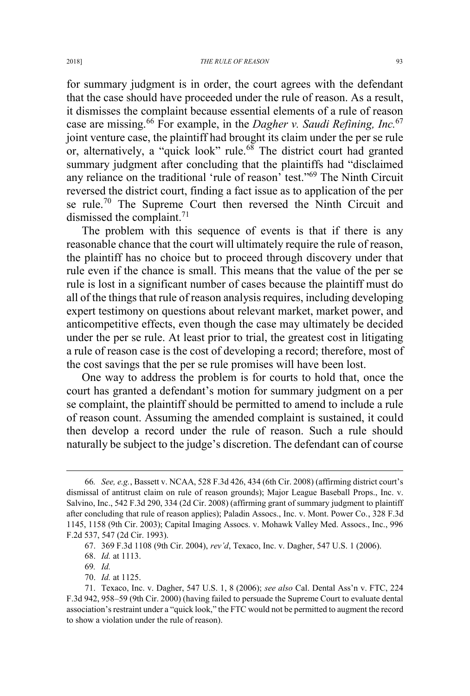for summary judgment is in order, the court agrees with the defendant that the case should have proceeded under the rule of reason. As a result, it dismisses the complaint because essential elements of a rule of reason case are missing.<sup>66</sup> For example, in the *Dagher v. Saudi Refining, Inc.*<sup>67</sup> joint venture case, the plaintiff had brought its claim under the per se rule or, alternatively, a "quick look" rule.<sup>68</sup> The district court had granted summary judgment after concluding that the plaintiffs had "disclaimed any reliance on the traditional 'rule of reason' test."<sup>69</sup> The Ninth Circuit reversed the district court, finding a fact issue as to application of the per se rule.<sup>70</sup> The Supreme Court then reversed the Ninth Circuit and dismissed the complaint.<sup>71</sup>

The problem with this sequence of events is that if there is any reasonable chance that the court will ultimately require the rule of reason, the plaintiff has no choice but to proceed through discovery under that rule even if the chance is small. This means that the value of the per se rule is lost in a significant number of cases because the plaintiff must do all of the things that rule of reason analysis requires, including developing expert testimony on questions about relevant market, market power, and anticompetitive effects, even though the case may ultimately be decided under the per se rule. At least prior to trial, the greatest cost in litigating a rule of reason case is the cost of developing a record; therefore, most of the cost savings that the per se rule promises will have been lost.

One way to address the problem is for courts to hold that, once the court has granted a defendant's motion for summary judgment on a per se complaint, the plaintiff should be permitted to amend to include a rule of reason count. Assuming the amended complaint is sustained, it could then develop a record under the rule of reason. Such a rule should naturally be subject to the judge's discretion. The defendant can of course

 <sup>66</sup>*. See, e.g.*, Bassett v. NCAA, 528 F.3d 426, 434 (6th Cir. 2008) (affirming district court's dismissal of antitrust claim on rule of reason grounds); Major League Baseball Props., Inc. v. Salvino, Inc., 542 F.3d 290, 334 (2d Cir. 2008) (affirming grant of summary judgment to plaintiff after concluding that rule of reason applies); Paladin Assocs., Inc. v. Mont. Power Co., 328 F.3d 1145, 1158 (9th Cir. 2003); Capital Imaging Assocs. v. Mohawk Valley Med. Assocs., Inc., 996 F.2d 537, 547 (2d Cir. 1993).

<sup>67. 369</sup> F.3d 1108 (9th Cir. 2004), *rev'd*, Texaco, Inc. v. Dagher, 547 U.S. 1 (2006).

<sup>68.</sup> *Id.* at 1113.

<sup>69</sup>*. Id.*

<sup>70.</sup> *Id.* at 1125.

<sup>71.</sup> Texaco, Inc. v. Dagher, 547 U.S. 1, 8 (2006); *see also* Cal. Dental Ass'n v. FTC, 224 F.3d 942, 958–59 (9th Cir. 2000) (having failed to persuade the Supreme Court to evaluate dental association's restraint under a "quick look," the FTC would not be permitted to augment the record to show a violation under the rule of reason).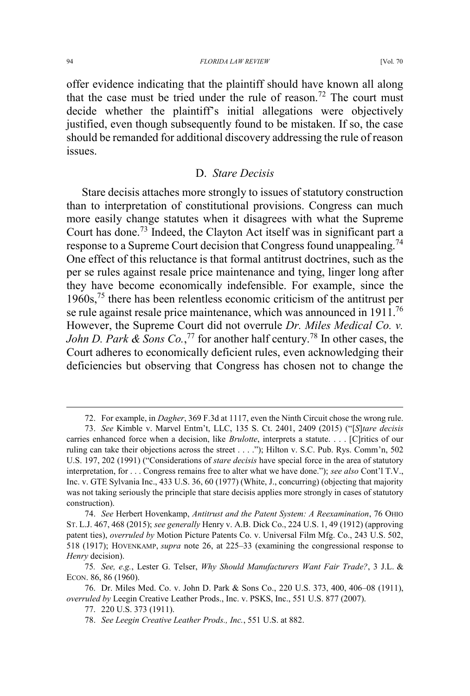offer evidence indicating that the plaintiff should have known all along that the case must be tried under the rule of reason.<sup>72</sup> The court must decide whether the plaintiff's initial allegations were objectively justified, even though subsequently found to be mistaken. If so, the case should be remanded for additional discovery addressing the rule of reason issues.

#### D. *Stare Decisis*

Stare decisis attaches more strongly to issues of statutory construction than to interpretation of constitutional provisions. Congress can much more easily change statutes when it disagrees with what the Supreme Court has done.<sup>73</sup> Indeed, the Clayton Act itself was in significant part a response to a Supreme Court decision that Congress found unappealing.<sup>74</sup> One effect of this reluctance is that formal antitrust doctrines, such as the per se rules against resale price maintenance and tying, linger long after they have become economically indefensible. For example, since the 1960s,<sup>75</sup> there has been relentless economic criticism of the antitrust per se rule against resale price maintenance, which was announced in 1911.<sup>76</sup> However, the Supreme Court did not overrule *Dr. Miles Medical Co. v. John D. Park & Sons Co.*, <sup>77</sup> for another half century.<sup>78</sup> In other cases, the Court adheres to economically deficient rules, even acknowledging their deficiencies but observing that Congress has chosen not to change the

 <sup>72.</sup> For example, in *Dagher*, 369 F.3d at 1117, even the Ninth Circuit chose the wrong rule.

<sup>73.</sup> *See* Kimble v. Marvel Entm't, LLC, 135 S. Ct. 2401, 2409 (2015) ("[*S*]*tare decisis* carries enhanced force when a decision, like *Brulotte*, interprets a statute. . . . [C]ritics of our ruling can take their objections across the street . . . ."); Hilton v. S.C. Pub. Rys. Comm'n, 502 U.S. 197, 202 (1991) ("Considerations of *stare decisis* have special force in the area of statutory interpretation, for . . . Congress remains free to alter what we have done."); *see also* Cont'l T.V., Inc. v. GTE Sylvania Inc., 433 U.S. 36, 60 (1977) (White, J., concurring) (objecting that majority was not taking seriously the principle that stare decisis applies more strongly in cases of statutory construction).

<sup>74.</sup> *See* Herbert Hovenkamp, *Antitrust and the Patent System: A Reexamination*, 76 OHIO ST. L.J. 467, 468 (2015); *see generally* Henry v. A.B. Dick Co., 224 U.S. 1, 49 (1912) (approving patent ties), *overruled by* Motion Picture Patents Co. v. Universal Film Mfg. Co., 243 U.S. 502, 518 (1917); HOVENKAMP, *supra* note 26, at 225–33 (examining the congressional response to *Henry* decision).

<sup>75</sup>*. See, e.g.*, Lester G. Telser, *Why Should Manufacturers Want Fair Trade?*, 3 J.L. & ECON. 86, 86 (1960).

<sup>76.</sup> Dr. Miles Med. Co. v. John D. Park & Sons Co., 220 U.S. 373, 400, 406–08 (1911), *overruled by* Leegin Creative Leather Prods., Inc. v. PSKS, Inc., 551 U.S. 877 (2007).

<sup>77. 220</sup> U.S. 373 (1911).

<sup>78.</sup> *See Leegin Creative Leather Prods., Inc.*, 551 U.S. at 882.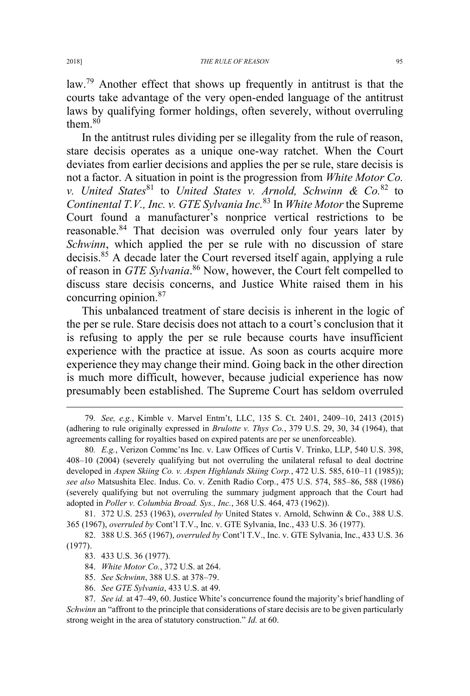law.<sup>79</sup> Another effect that shows up frequently in antitrust is that the courts take advantage of the very open-ended language of the antitrust laws by qualifying former holdings, often severely, without overruling them. $80$ 

In the antitrust rules dividing per se illegality from the rule of reason, stare decisis operates as a unique one-way ratchet. When the Court deviates from earlier decisions and applies the per se rule, stare decisis is not a factor. A situation in point is the progression from *White Motor Co. v. United States*<sup>81</sup> to *United States v. Arnold, Schwinn & Co.*<sup>82</sup> to *Continental T.V., Inc. v. GTE Sylvania Inc.*<sup>83</sup> In *White Motor* the Supreme Court found a manufacturer's nonprice vertical restrictions to be reasonable.<sup>84</sup> That decision was overruled only four years later by *Schwinn*, which applied the per se rule with no discussion of stare decisis.<sup>85</sup> A decade later the Court reversed itself again, applying a rule of reason in *GTE Sylvania*. <sup>86</sup> Now, however, the Court felt compelled to discuss stare decisis concerns, and Justice White raised them in his concurring opinion.<sup>87</sup>

This unbalanced treatment of stare decisis is inherent in the logic of the per se rule. Stare decisis does not attach to a court's conclusion that it is refusing to apply the per se rule because courts have insufficient experience with the practice at issue. As soon as courts acquire more experience they may change their mind. Going back in the other direction is much more difficult, however, because judicial experience has now presumably been established. The Supreme Court has seldom overruled

81. 372 U.S. 253 (1963), *overruled by* United States v. Arnold, Schwinn & Co., 388 U.S. 365 (1967), *overruled by* Cont'l T.V., Inc. v. GTE Sylvania, Inc., 433 U.S. 36 (1977).

- 85. *See Schwinn*, 388 U.S. at 378–79.
- 86. *See GTE Sylvania*, 433 U.S. at 49.

87. *See id.* at 47–49, 60. Justice White's concurrence found the majority's brief handling of *Schwinn* an "affront to the principle that considerations of stare decisis are to be given particularly strong weight in the area of statutory construction." *Id.* at 60.

 <sup>79</sup>*. See, e.g.*, Kimble v. Marvel Entm't, LLC, 135 S. Ct. 2401, 2409–10, 2413 (2015) (adhering to rule originally expressed in *Brulotte v. Thys Co.*, 379 U.S. 29, 30, 34 (1964), that agreements calling for royalties based on expired patents are per se unenforceable).

<sup>80</sup>*. E.g.*, Verizon Commc'ns Inc. v. Law Offices of Curtis V. Trinko, LLP, 540 U.S. 398, 408–10 (2004) (severely qualifying but not overruling the unilateral refusal to deal doctrine developed in *Aspen Skiing Co. v. Aspen Highlands Skiing Corp.*, 472 U.S. 585, 610–11 (1985)); *see also* Matsushita Elec. Indus. Co. v. Zenith Radio Corp., 475 U.S. 574, 585–86, 588 (1986) (severely qualifying but not overruling the summary judgment approach that the Court had adopted in *Poller v. Columbia Broad. Sys., Inc.*, 368 U.S. 464, 473 (1962)).

<sup>82. 388</sup> U.S. 365 (1967), *overruled by* Cont'l T.V., Inc. v. GTE Sylvania, Inc., 433 U.S. 36 (1977).

<sup>83. 433</sup> U.S. 36 (1977).

<sup>84.</sup> *White Motor Co.*, 372 U.S. at 264.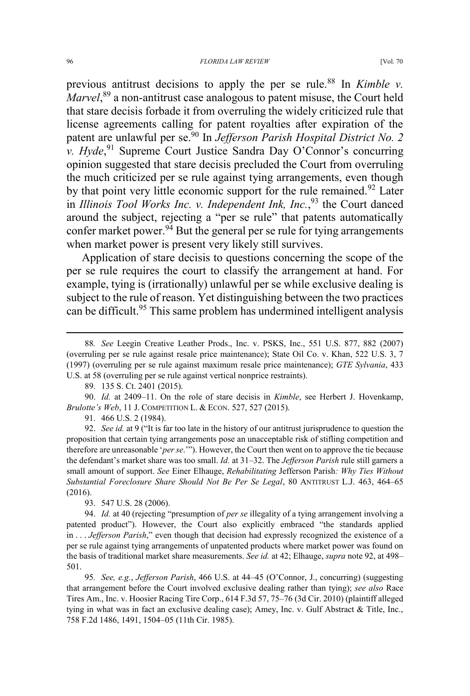previous antitrust decisions to apply the per se rule.<sup>88</sup> In *Kimble v.* Marvel,<sup>89</sup> a non-antitrust case analogous to patent misuse, the Court held that stare decisis forbade it from overruling the widely criticized rule that license agreements calling for patent royalties after expiration of the patent are unlawful per se.<sup>90</sup> In *Jefferson Parish Hospital District No. 2 v. Hyde*,<sup>91</sup> Supreme Court Justice Sandra Day O'Connor's concurring opinion suggested that stare decisis precluded the Court from overruling the much criticized per se rule against tying arrangements, even though by that point very little economic support for the rule remained.<sup>92</sup> Later in *Illinois Tool Works Inc. v. Independent Ink, Inc.*, <sup>93</sup> the Court danced around the subject, rejecting a "per se rule" that patents automatically confer market power.<sup>94</sup> But the general per se rule for tying arrangements when market power is present very likely still survives.

Application of stare decisis to questions concerning the scope of the per se rule requires the court to classify the arrangement at hand. For example, tying is (irrationally) unlawful per se while exclusive dealing is subject to the rule of reason. Yet distinguishing between the two practices can be difficult.<sup>95</sup> This same problem has undermined intelligent analysis

91. 466 U.S. 2 (1984).

92. *See id.* at 9 ("It is far too late in the history of our antitrust jurisprudence to question the proposition that certain tying arrangements pose an unacceptable risk of stifling competition and therefore are unreasonable '*per se*.'"). However, the Court then went on to approve the tie because the defendant's market share was too small. *Id.* at 31–32. The *Jefferson Parish* rule still garners a small amount of support. *See* Einer Elhauge, *Rehabilitating* Jefferson Parish*: Why Ties Without Substantial Foreclosure Share Should Not Be Per Se Legal*, 80 ANTITRUST L.J. 463, 464–65 (2016).

93. 547 U.S. 28 (2006).

95*. See, e.g.*, *Jefferson Parish*, 466 U.S. at 44–45 (O'Connor, J., concurring) (suggesting that arrangement before the Court involved exclusive dealing rather than tying); *see also* Race Tires Am., Inc. v. Hoosier Racing Tire Corp., 614 F.3d 57, 75–76 (3d Cir. 2010) (plaintiff alleged tying in what was in fact an exclusive dealing case); Amey, Inc. v. Gulf Abstract & Title, Inc., 758 F.2d 1486, 1491, 1504–05 (11th Cir. 1985).

 <sup>88</sup>*. See* Leegin Creative Leather Prods., Inc. v. PSKS, Inc., 551 U.S. 877, 882 (2007) (overruling per se rule against resale price maintenance); State Oil Co. v. Khan, 522 U.S. 3, 7 (1997) (overruling per se rule against maximum resale price maintenance); *GTE Sylvania*, 433 U.S. at 58 (overruling per se rule against vertical nonprice restraints).

<sup>89. 135</sup> S. Ct. 2401 (2015).

<sup>90.</sup> *Id.* at 2409–11. On the role of stare decisis in *Kimble*, see Herbert J. Hovenkamp, *Brulotte's Web*, 11 J. COMPETITION L. & ECON. 527, 527 (2015).

<sup>94.</sup> *Id.* at 40 (rejecting "presumption of *per se* illegality of a tying arrangement involving a patented product"). However, the Court also explicitly embraced "the standards applied in . . . *Jefferson Parish*," even though that decision had expressly recognized the existence of a per se rule against tying arrangements of unpatented products where market power was found on the basis of traditional market share measurements. *See id.* at 42; Elhauge, *supra* note 92, at 498– 501.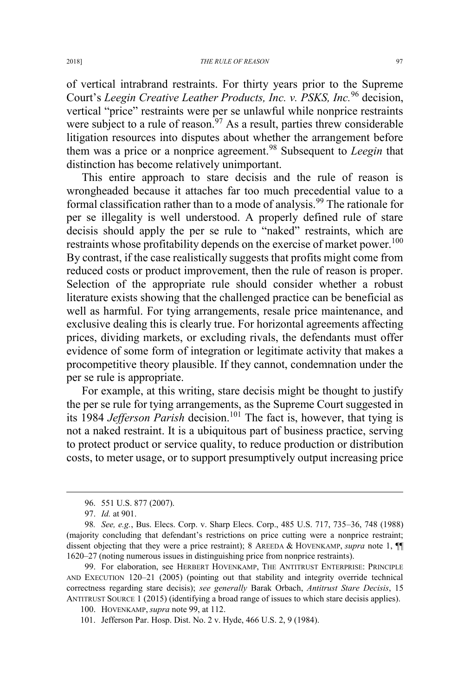of vertical intrabrand restraints. For thirty years prior to the Supreme Court's *Leegin Creative Leather Products, Inc. v. PSKS, Inc.*<sup>96</sup> decision, vertical "price" restraints were per se unlawful while nonprice restraints were subject to a rule of reason.<sup>97</sup> As a result, parties threw considerable litigation resources into disputes about whether the arrangement before them was a price or a nonprice agreement.<sup>98</sup> Subsequent to *Leegin* that distinction has become relatively unimportant.

This entire approach to stare decisis and the rule of reason is wrongheaded because it attaches far too much precedential value to a formal classification rather than to a mode of analysis.<sup>99</sup> The rationale for per se illegality is well understood. A properly defined rule of stare decisis should apply the per se rule to "naked" restraints, which are restraints whose profitability depends on the exercise of market power.<sup>100</sup> By contrast, if the case realistically suggests that profits might come from reduced costs or product improvement, then the rule of reason is proper. Selection of the appropriate rule should consider whether a robust literature exists showing that the challenged practice can be beneficial as well as harmful. For tying arrangements, resale price maintenance, and exclusive dealing this is clearly true. For horizontal agreements affecting prices, dividing markets, or excluding rivals, the defendants must offer evidence of some form of integration or legitimate activity that makes a procompetitive theory plausible. If they cannot, condemnation under the per se rule is appropriate.

For example, at this writing, stare decisis might be thought to justify the per se rule for tying arrangements, as the Supreme Court suggested in its 1984 *Jefferson Parish* decision.<sup>101</sup> The fact is, however, that tying is not a naked restraint. It is a ubiquitous part of business practice, serving to protect product or service quality, to reduce production or distribution costs, to meter usage, or to support presumptively output increasing price

 <sup>96. 551</sup> U.S. 877 (2007).

<sup>97.</sup> *Id.* at 901.

<sup>98</sup>*. See, e.g.*, Bus. Elecs. Corp. v. Sharp Elecs. Corp., 485 U.S. 717, 735–36, 748 (1988) (majority concluding that defendant's restrictions on price cutting were a nonprice restraint; dissent objecting that they were a price restraint); 8 AREEDA & HOVENKAMP, *supra* note 1, ¶¶ 1620–27 (noting numerous issues in distinguishing price from nonprice restraints).

<sup>99.</sup> For elaboration, see HERBERT HOVENKAMP, THE ANTITRUST ENTERPRISE: PRINCIPLE AND EXECUTION 120–21 (2005) (pointing out that stability and integrity override technical correctness regarding stare decisis); *see generally* Barak Orbach, *Antitrust Stare Decisis*, 15 ANTITRUST SOURCE 1 (2015) (identifying a broad range of issues to which stare decisis applies).

<sup>100.</sup> HOVENKAMP, *supra* note 99, at 112.

<sup>101.</sup> Jefferson Par. Hosp. Dist. No. 2 v. Hyde, 466 U.S. 2, 9 (1984).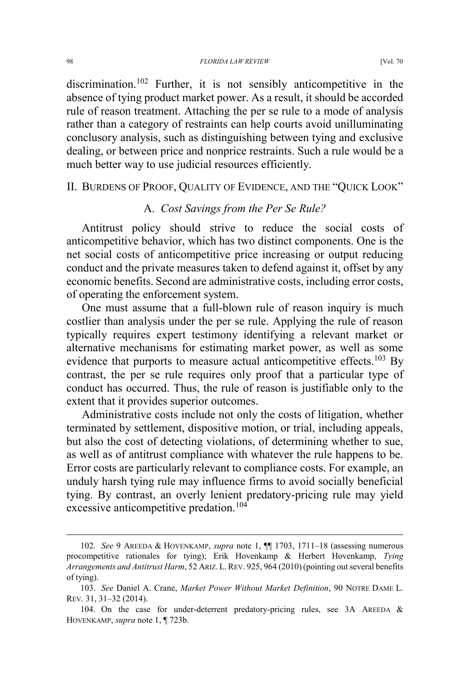discrimination.<sup>102</sup> Further, it is not sensibly anticompetitive in the absence of tying product market power. As a result, it should be accorded rule of reason treatment. Attaching the per se rule to a mode of analysis rather than a category of restraints can help courts avoid unilluminating conclusory analysis, such as distinguishing between tying and exclusive dealing, or between price and nonprice restraints. Such a rule would be a much better way to use judicial resources efficiently.

#### II. BURDENS OF PROOF, QUALITY OF EVIDENCE, AND THE "QUICK LOOK"

## A. *Cost Savings from the Per Se Rule?*

Antitrust policy should strive to reduce the social costs of anticompetitive behavior, which has two distinct components. One is the net social costs of anticompetitive price increasing or output reducing conduct and the private measures taken to defend against it, offset by any economic benefits. Second are administrative costs, including error costs, of operating the enforcement system.

One must assume that a full-blown rule of reason inquiry is much costlier than analysis under the per se rule. Applying the rule of reason typically requires expert testimony identifying a relevant market or alternative mechanisms for estimating market power, as well as some evidence that purports to measure actual anticompetitive effects.<sup>103</sup> By contrast, the per se rule requires only proof that a particular type of conduct has occurred. Thus, the rule of reason is justifiable only to the extent that it provides superior outcomes.

Administrative costs include not only the costs of litigation, whether terminated by settlement, dispositive motion, or trial, including appeals, but also the cost of detecting violations, of determining whether to sue, as well as of antitrust compliance with whatever the rule happens to be. Error costs are particularly relevant to compliance costs. For example, an unduly harsh tying rule may influence firms to avoid socially beneficial tying. By contrast, an overly lenient predatory-pricing rule may yield excessive anticompetitive predation.<sup>104</sup>

 <sup>102</sup>*. See* 9 AREEDA & HOVENKAMP, *supra* note 1, ¶¶ 1703, 1711–18 (assessing numerous procompetitive rationales for tying); Erik Hovenkamp & Herbert Hovenkamp, *Tying Arrangements and Antitrust Harm*, 52 ARIZ. L. REV. 925, 964 (2010) (pointing out several benefits of tying).

<sup>103.</sup> *See* Daniel A. Crane, *Market Power Without Market Definition*, 90 NOTRE DAME L. REV. 31, 31–32 (2014).

<sup>104.</sup> On the case for under-deterrent predatory-pricing rules, see 3A AREEDA & HOVENKAMP, *supra* note 1, ¶ 723b.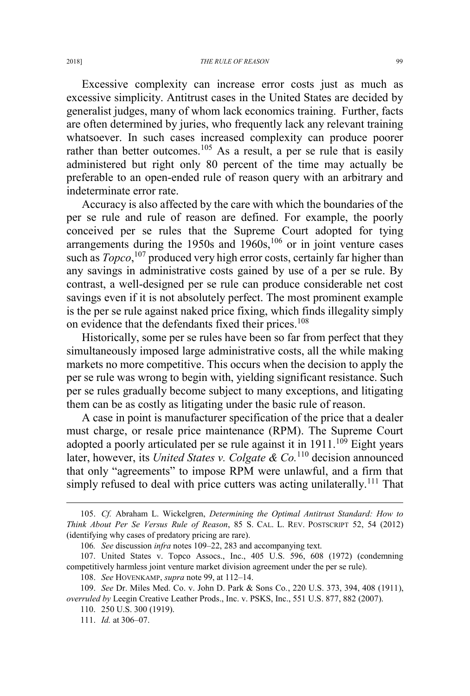Excessive complexity can increase error costs just as much as excessive simplicity. Antitrust cases in the United States are decided by generalist judges, many of whom lack economics training. Further, facts are often determined by juries, who frequently lack any relevant training whatsoever. In such cases increased complexity can produce poorer rather than better outcomes.<sup>105</sup> As a result, a per se rule that is easily administered but right only 80 percent of the time may actually be preferable to an open-ended rule of reason query with an arbitrary and indeterminate error rate.

Accuracy is also affected by the care with which the boundaries of the per se rule and rule of reason are defined. For example, the poorly conceived per se rules that the Supreme Court adopted for tying arrangements during the  $1950s$  and  $1960s$ ,  $106$  or in joint venture cases such as *Topco*,<sup>107</sup> produced very high error costs, certainly far higher than any savings in administrative costs gained by use of a per se rule. By contrast, a well-designed per se rule can produce considerable net cost savings even if it is not absolutely perfect. The most prominent example is the per se rule against naked price fixing, which finds illegality simply on evidence that the defendants fixed their prices.<sup>108</sup>

Historically, some per se rules have been so far from perfect that they simultaneously imposed large administrative costs, all the while making markets no more competitive. This occurs when the decision to apply the per se rule was wrong to begin with, yielding significant resistance. Such per se rules gradually become subject to many exceptions, and litigating them can be as costly as litigating under the basic rule of reason.

A case in point is manufacturer specification of the price that a dealer must charge, or resale price maintenance (RPM). The Supreme Court adopted a poorly articulated per se rule against it in  $1911$ .<sup>109</sup> Eight years later, however, its *United States v. Colgate & Co.*<sup>110</sup> decision announced that only "agreements" to impose RPM were unlawful, and a firm that simply refused to deal with price cutters was acting unilaterally.<sup>111</sup> That

 <sup>105.</sup> *Cf.* Abraham L. Wickelgren, *Determining the Optimal Antitrust Standard: How to Think About Per Se Versus Rule of Reason*, 85 S. CAL. L. REV. POSTSCRIPT 52, 54 (2012) (identifying why cases of predatory pricing are rare).

<sup>106</sup>*. See* discussion *infra* notes 109–22, 283 and accompanying text.

<sup>107.</sup> United States v. Topco Assocs., Inc., 405 U.S. 596, 608 (1972) (condemning competitively harmless joint venture market division agreement under the per se rule).

<sup>108.</sup> *See* HOVENKAMP, *supra* note 99, at 112–14.

<sup>109.</sup> *See* Dr. Miles Med. Co. v. John D. Park & Sons Co*.*, 220 U.S. 373, 394, 408 (1911), *overruled by* Leegin Creative Leather Prods., Inc. v. PSKS, Inc., 551 U.S. 877, 882 (2007).

<sup>110. 250</sup> U.S. 300 (1919).

<sup>111.</sup> *Id.* at 306–07.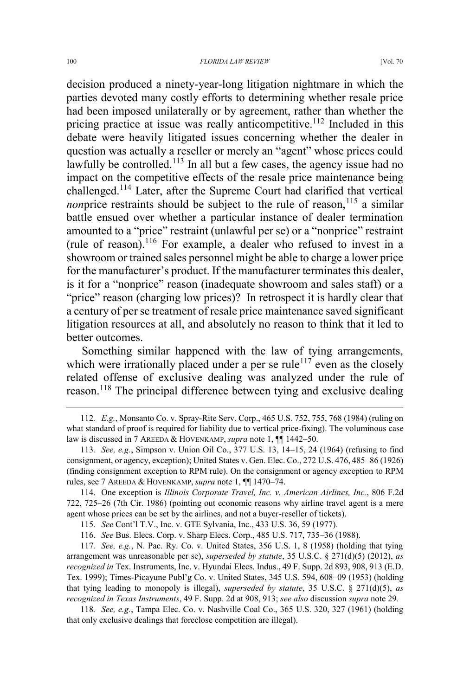decision produced a ninety-year-long litigation nightmare in which the parties devoted many costly efforts to determining whether resale price had been imposed unilaterally or by agreement, rather than whether the pricing practice at issue was really anticompetitive.<sup>112</sup> Included in this debate were heavily litigated issues concerning whether the dealer in question was actually a reseller or merely an "agent" whose prices could lawfully be controlled.<sup>113</sup> In all but a few cases, the agency issue had no impact on the competitive effects of the resale price maintenance being challenged.<sup>114</sup> Later, after the Supreme Court had clarified that vertical *nonprice restraints should be subject to the rule of reason,*<sup>115</sup> a similar battle ensued over whether a particular instance of dealer termination amounted to a "price" restraint (unlawful per se) or a "nonprice" restraint (rule of reason).<sup>116</sup> For example, a dealer who refused to invest in a showroom or trained sales personnel might be able to charge a lower price for the manufacturer's product. If the manufacturer terminates this dealer, is it for a "nonprice" reason (inadequate showroom and sales staff) or a "price" reason (charging low prices)? In retrospect it is hardly clear that a century of per se treatment of resale price maintenance saved significant litigation resources at all, and absolutely no reason to think that it led to better outcomes.

Something similar happened with the law of tying arrangements, which were irrationally placed under a per se rule<sup> $117$ </sup> even as the closely related offense of exclusive dealing was analyzed under the rule of reason.<sup>118</sup> The principal difference between tying and exclusive dealing

 <sup>112</sup>*. E.g.*, Monsanto Co. v. Spray-Rite Serv. Corp., 465 U.S. 752, 755, 768 (1984) (ruling on what standard of proof is required for liability due to vertical price-fixing). The voluminous case law is discussed in 7 AREEDA & HOVENKAMP, *supra* note 1, ¶¶ 1442–50.

<sup>113</sup>*. See, e.g.*, Simpson v. Union Oil Co., 377 U.S. 13, 14–15, 24 (1964) (refusing to find consignment, or agency, exception); United States v. Gen. Elec. Co., 272 U.S. 476, 485–86 (1926) (finding consignment exception to RPM rule). On the consignment or agency exception to RPM rules, see 7 AREEDA & HOVENKAMP, *supra* note 1, ¶¶ 1470–74.

<sup>114.</sup> One exception is *Illinois Corporate Travel, Inc. v. American Airlines, Inc.*, 806 F.2d 722, 725–26 (7th Cir. 1986) (pointing out economic reasons why airline travel agent is a mere agent whose prices can be set by the airlines, and not a buyer-reseller of tickets).

<sup>115.</sup> *See* Cont'l T.V., Inc. v. GTE Sylvania, Inc., 433 U.S. 36, 59 (1977).

<sup>116.</sup> *See* Bus. Elecs. Corp. v. Sharp Elecs. Corp., 485 U.S. 717, 735–36 (1988).

<sup>117</sup>*. See, e.g.*, N. Pac. Ry. Co. v. United States, 356 U.S. 1, 8 (1958) (holding that tying arrangement was unreasonable per se), *superseded by statute*, 35 U.S.C. § 271(d)(5) (2012), *as recognized in* Tex. Instruments, Inc. v. Hyundai Elecs. Indus., 49 F. Supp. 2d 893, 908, 913 (E.D. Tex. 1999); Times-Picayune Publ'g Co. v. United States, 345 U.S. 594, 608–09 (1953) (holding that tying leading to monopoly is illegal), *superseded by statute*, 35 U.S.C. § 271(d)(5), *as recognized in Texas Instruments*, 49 F. Supp. 2d at 908, 913; *see also* discussion *supra* note 29.

<sup>118</sup>*. See, e.g.*, Tampa Elec. Co. v. Nashville Coal Co., 365 U.S. 320, 327 (1961) (holding that only exclusive dealings that foreclose competition are illegal).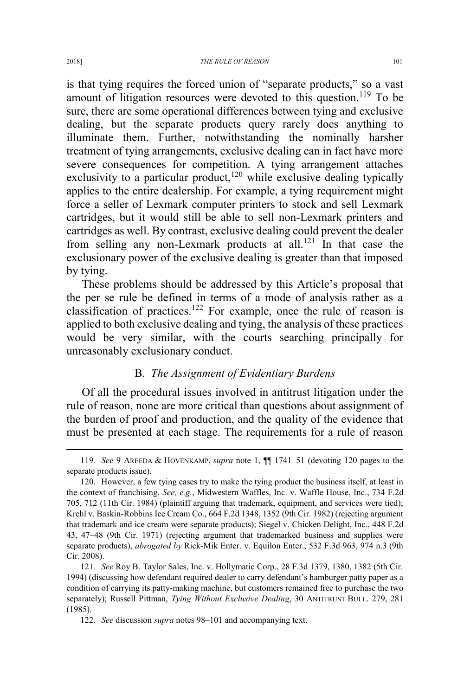is that tying requires the forced union of "separate products," so a vast amount of litigation resources were devoted to this question.<sup>119</sup> To be sure, there are some operational differences between tying and exclusive dealing, but the separate products query rarely does anything to illuminate them. Further, notwithstanding the nominally harsher treatment of tying arrangements, exclusive dealing can in fact have more severe consequences for competition. A tying arrangement attaches exclusivity to a particular product,<sup>120</sup> while exclusive dealing typically applies to the entire dealership. For example, a tying requirement might force a seller of Lexmark computer printers to stock and sell Lexmark cartridges, but it would still be able to sell non-Lexmark printers and cartridges as well. By contrast, exclusive dealing could prevent the dealer from selling any non-Lexmark products at all.<sup>121</sup> In that case the exclusionary power of the exclusive dealing is greater than that imposed by tying.

These problems should be addressed by this Article's proposal that the per se rule be defined in terms of a mode of analysis rather as a classification of practices.<sup>122</sup> For example, once the rule of reason is applied to both exclusive dealing and tying, the analysis of these practices would be very similar, with the courts searching principally for unreasonably exclusionary conduct.

## B. *The Assignment of Evidentiary Burdens*

Of all the procedural issues involved in antitrust litigation under the rule of reason, none are more critical than questions about assignment of the burden of proof and production, and the quality of the evidence that must be presented at each stage. The requirements for a rule of reason

 <sup>119</sup>*. See* 9 AREEDA & HOVENKAMP, *supra* note 1, ¶¶ 1741–51 (devoting 120 pages to the separate products issue).

<sup>120.</sup> However, a few tying cases try to make the tying product the business itself, at least in the context of franchising. *See, e.g.*, Midwestern Waffles, Inc. v. Waffle House, Inc., 734 F.2d 705, 712 (11th Cir. 1984) (plaintiff arguing that trademark, equipment, and services were tied); Krehl v. Baskin-Robbins Ice Cream Co., 664 F.2d 1348, 1352 (9th Cir. 1982) (rejecting argument that trademark and ice cream were separate products); Siegel v. Chicken Delight, Inc., 448 F.2d 43, 47–48 (9th Cir. 1971) (rejecting argument that trademarked business and supplies were separate products), *abrogated by* Rick-Mik Enter. v. Equilon Enter., 532 F.3d 963, 974 n.3 (9th Cir. 2008).

<sup>121</sup>*. See* Roy B. Taylor Sales, Inc. v. Hollymatic Corp., 28 F.3d 1379, 1380, 1382 (5th Cir. 1994) (discussing how defendant required dealer to carry defendant's hamburger patty paper as a condition of carrying its patty-making machine, but customers remained free to purchase the two separately); Russell Pittman, *Tying Without Exclusive Dealing*, 30 ANTITRUST BULL. 279, 281 (1985).

<sup>122</sup>*. See* discussion *supra* notes 98–101 and accompanying text.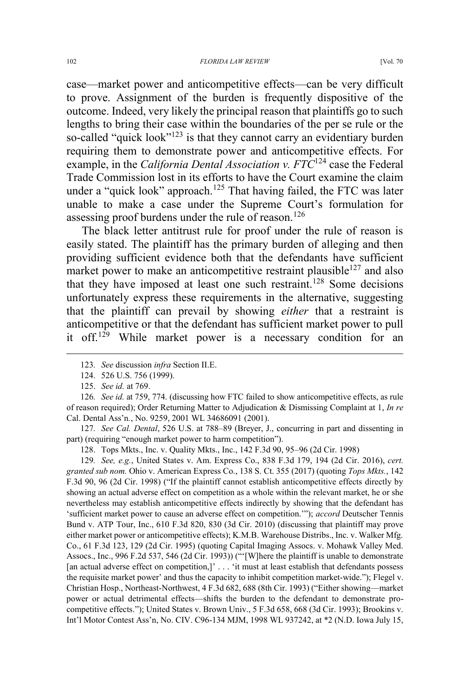case—market power and anticompetitive effects—can be very difficult to prove. Assignment of the burden is frequently dispositive of the outcome. Indeed, very likely the principal reason that plaintiffs go to such lengths to bring their case within the boundaries of the per se rule or the so-called "quick look"<sup>123</sup> is that they cannot carry an evidentiary burden requiring them to demonstrate power and anticompetitive effects. For example, in the *California Dental Association v. FTC*<sup>124</sup> case the Federal Trade Commission lost in its efforts to have the Court examine the claim under a "quick look" approach.<sup>125</sup> That having failed, the FTC was later unable to make a case under the Supreme Court's formulation for assessing proof burdens under the rule of reason.<sup>126</sup>

The black letter antitrust rule for proof under the rule of reason is easily stated. The plaintiff has the primary burden of alleging and then providing sufficient evidence both that the defendants have sufficient market power to make an anticompetitive restraint plausible<sup>127</sup> and also that they have imposed at least one such restraint.<sup>128</sup> Some decisions unfortunately express these requirements in the alternative, suggesting that the plaintiff can prevail by showing *either* that a restraint is anticompetitive or that the defendant has sufficient market power to pull it off.<sup>129</sup> While market power is a necessary condition for an

127*. See Cal. Dental*, 526 U.S. at 788–89 (Breyer, J., concurring in part and dissenting in part) (requiring "enough market power to harm competition").

128. Tops Mkts., Inc. v. Quality Mkts., Inc., 142 F.3d 90, 95–96 (2d Cir. 1998)

129*. See, e.g.*, United States v. Am. Express Co., 838 F.3d 179, 194 (2d Cir. 2016), *cert. granted sub nom.* Ohio v. American Express Co., 138 S. Ct. 355 (2017) (quoting *Tops Mkts.*, 142 F.3d 90, 96 (2d Cir. 1998) ("If the plaintiff cannot establish anticompetitive effects directly by showing an actual adverse effect on competition as a whole within the relevant market, he or she nevertheless may establish anticompetitive effects indirectly by showing that the defendant has 'sufficient market power to cause an adverse effect on competition.'"); *accord* Deutscher Tennis Bund v. ATP Tour, Inc., 610 F.3d 820, 830 (3d Cir. 2010) (discussing that plaintiff may prove either market power or anticompetitive effects); K.M.B. Warehouse Distribs., Inc. v. Walker Mfg. Co., 61 F.3d 123, 129 (2d Cir. 1995) (quoting Capital Imaging Assocs. v. Mohawk Valley Med. Assocs., Inc., 996 F.2d 537, 546 (2d Cir. 1993)) ("'[W]here the plaintiff is unable to demonstrate [an actual adverse effect on competition,]' . . . 'it must at least establish that defendants possess the requisite market power' and thus the capacity to inhibit competition market-wide."); Flegel v. Christian Hosp., Northeast-Northwest, 4 F.3d 682, 688 (8th Cir. 1993) ("Either showing—market power or actual detrimental effects—shifts the burden to the defendant to demonstrate procompetitive effects."); United States v. Brown Univ., 5 F.3d 658, 668 (3d Cir. 1993); Brookins v. Int'l Motor Contest Ass'n, No. CIV. C96-134 MJM, 1998 WL 937242, at \*2 (N.D. Iowa July 15,

 <sup>123</sup>*. See* discussion *infra* Section II.E.

<sup>124. 526</sup> U.S. 756 (1999).

<sup>125.</sup> *See id.* at 769.

<sup>126</sup>*. See id.* at 759, 774. (discussing how FTC failed to show anticompetitive effects, as rule of reason required); Order Returning Matter to Adjudication & Dismissing Complaint at 1, *In re* Cal. Dental Ass'n*.*, No. 9259, 2001 WL 34686091 (2001).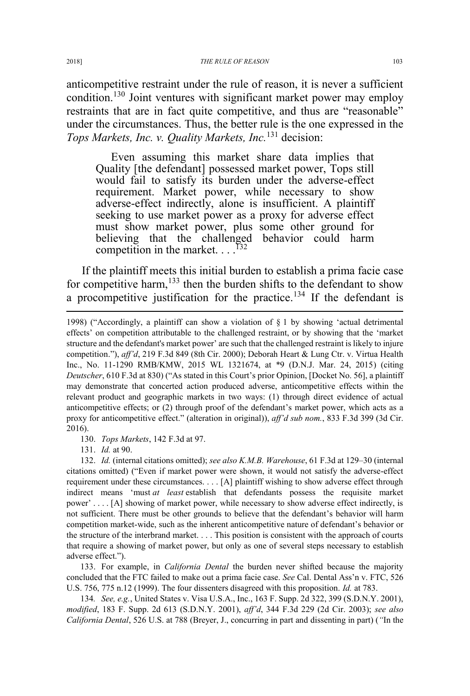anticompetitive restraint under the rule of reason, it is never a sufficient condition.<sup>130</sup> Joint ventures with significant market power may employ restraints that are in fact quite competitive, and thus are "reasonable" under the circumstances. Thus, the better rule is the one expressed in the *Tops Markets, Inc. v. Quality Markets, Inc.*<sup>131</sup> decision:

Even assuming this market share data implies that Quality [the defendant] possessed market power, Tops still would fail to satisfy its burden under the adverse-effect requirement. Market power, while necessary to show adverse-effect indirectly, alone is insufficient. A plaintiff seeking to use market power as a proxy for adverse effect must show market power, plus some other ground for believing that the challenged behavior could harm competition in the market.  $\ldots$ <sup>132</sup>

If the plaintiff meets this initial burden to establish a prima facie case for competitive harm,<sup>133</sup> then the burden shifts to the defendant to show a procompetitive justification for the practice.<sup>134</sup> If the defendant is

130. *Tops Markets*, 142 F.3d at 97.

131. *Id.* at 90.

132. *Id.* (internal citations omitted); *see also K.M.B. Warehouse*, 61 F.3d at 129–30 (internal citations omitted) ("Even if market power were shown, it would not satisfy the adverse-effect requirement under these circumstances. . . . [A] plaintiff wishing to show adverse effect through indirect means 'must *at least* establish that defendants possess the requisite market power' . . . . [A] showing of market power, while necessary to show adverse effect indirectly, is not sufficient. There must be other grounds to believe that the defendant's behavior will harm competition market-wide, such as the inherent anticompetitive nature of defendant's behavior or the structure of the interbrand market. . . . This position is consistent with the approach of courts that require a showing of market power, but only as one of several steps necessary to establish adverse effect.").

133. For example, in *California Dental* the burden never shifted because the majority concluded that the FTC failed to make out a prima facie case. *See* Cal. Dental Ass'n v. FTC, 526 U.S. 756, 775 n.12 (1999). The four dissenters disagreed with this proposition. *Id.* at 783.

134*. See, e.g.*, United States v. Visa U.S.A., Inc., 163 F. Supp. 2d 322, 399 (S.D.N.Y. 2001), *modified*, 183 F. Supp. 2d 613 (S.D.N.Y. 2001), *aff'd*, 344 F.3d 229 (2d Cir. 2003); *see also California Dental*, 526 U.S. at 788 (Breyer, J., concurring in part and dissenting in part) (*"*In the

 $\overline{a}$ 

<sup>1998) (&</sup>quot;Accordingly, a plaintiff can show a violation of  $\S$  1 by showing 'actual detrimental effects' on competition attributable to the challenged restraint, or by showing that the 'market structure and the defendant's market power' are such that the challenged restraint is likely to injure competition."), *aff'd*, 219 F.3d 849 (8th Cir. 2000); Deborah Heart & Lung Ctr. v. Virtua Health Inc., No. 11-1290 RMB/KMW, 2015 WL 1321674, at \*9 (D.N.J. Mar. 24, 2015) (citing *Deutscher*, 610 F.3d at 830) ("As stated in this Court's prior Opinion, [Docket No. 56], a plaintiff may demonstrate that concerted action produced adverse, anticompetitive effects within the relevant product and geographic markets in two ways: (1) through direct evidence of actual anticompetitive effects; or (2) through proof of the defendant's market power, which acts as a proxy for anticompetitive effect." (alteration in original)), *aff'd sub nom.*, 833 F.3d 399 (3d Cir. 2016).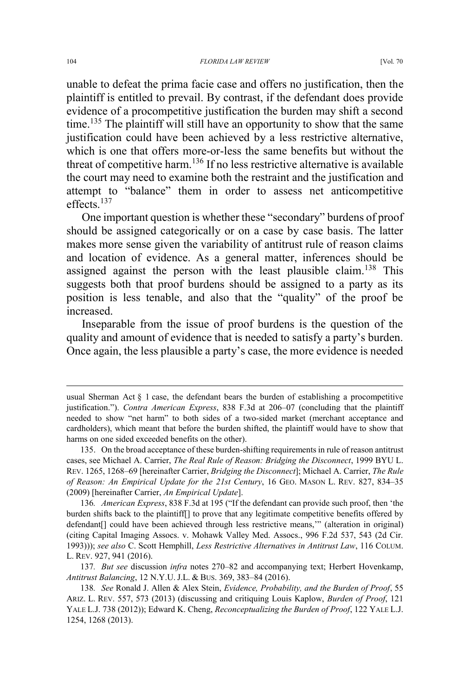unable to defeat the prima facie case and offers no justification, then the plaintiff is entitled to prevail. By contrast, if the defendant does provide evidence of a procompetitive justification the burden may shift a second time.<sup>135</sup> The plaintiff will still have an opportunity to show that the same justification could have been achieved by a less restrictive alternative, which is one that offers more-or-less the same benefits but without the threat of competitive harm.<sup>136</sup> If no less restrictive alternative is available the court may need to examine both the restraint and the justification and attempt to "balance" them in order to assess net anticompetitive effects.<sup>137</sup>

One important question is whether these "secondary" burdens of proof should be assigned categorically or on a case by case basis. The latter makes more sense given the variability of antitrust rule of reason claims and location of evidence. As a general matter, inferences should be assigned against the person with the least plausible claim.<sup>138</sup> This suggests both that proof burdens should be assigned to a party as its position is less tenable, and also that the "quality" of the proof be increased.

Inseparable from the issue of proof burdens is the question of the quality and amount of evidence that is needed to satisfy a party's burden. Once again, the less plausible a party's case, the more evidence is needed

136*. American Express*, 838 F.3d at 195 ("If the defendant can provide such proof, then 'the burden shifts back to the plaintiff[] to prove that any legitimate competitive benefits offered by defendant[] could have been achieved through less restrictive means,'" (alteration in original) (citing Capital Imaging Assocs. v. Mohawk Valley Med. Assocs., 996 F.2d 537, 543 (2d Cir. 1993))); *see also* C. Scott Hemphill, *Less Restrictive Alternatives in Antitrust Law*, 116 COLUM. L. REV. 927, 941 (2016).

137*. But see* discussion *infra* notes 270–82 and accompanying text; Herbert Hovenkamp, *Antitrust Balancing*, 12 N.Y.U. J.L. & BUS. 369, 383–84 (2016).

138*. See* Ronald J. Allen & Alex Stein, *Evidence, Probability, and the Burden of Proof*, 55 ARIZ. L. REV. 557, 573 (2013) (discussing and critiquing Louis Kaplow, *Burden of Proof*, 121 YALE L.J. 738 (2012)); Edward K. Cheng, *Reconceptualizing the Burden of Proof*, 122 YALE L.J. 1254, 1268 (2013).

 $\overline{a}$ 

usual Sherman Act  $\S$  1 case, the defendant bears the burden of establishing a procompetitive justification."). *Contra American Express*, 838 F.3d at 206–07 (concluding that the plaintiff needed to show "net harm" to both sides of a two-sided market (merchant acceptance and cardholders), which meant that before the burden shifted, the plaintiff would have to show that harms on one sided exceeded benefits on the other).

<sup>135.</sup> On the broad acceptance of these burden-shifting requirements in rule of reason antitrust cases, see Michael A. Carrier, *The Real Rule of Reason: Bridging the Disconnect*, 1999 BYU L. REV. 1265, 1268–69 [hereinafter Carrier, *Bridging the Disconnect*]; Michael A. Carrier, *The Rule of Reason: An Empirical Update for the 21st Century*, 16 GEO. MASON L. REV. 827, 834–35 (2009) [hereinafter Carrier, *An Empirical Update*].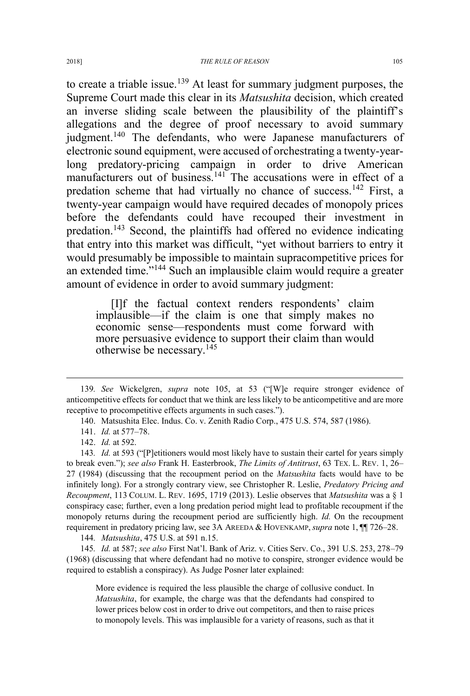to create a triable issue.<sup>139</sup> At least for summary judgment purposes, the Supreme Court made this clear in its *Matsushita* decision, which created an inverse sliding scale between the plausibility of the plaintiff's allegations and the degree of proof necessary to avoid summary judgment.<sup>140</sup> The defendants, who were Japanese manufacturers of electronic sound equipment, were accused of orchestrating a twenty-yearlong predatory-pricing campaign in order to drive American manufacturers out of business.<sup>141</sup> The accusations were in effect of a predation scheme that had virtually no chance of success.<sup>142</sup> First, a twenty-year campaign would have required decades of monopoly prices before the defendants could have recouped their investment in predation.<sup>143</sup> Second, the plaintiffs had offered no evidence indicating that entry into this market was difficult, "yet without barriers to entry it would presumably be impossible to maintain supracompetitive prices for an extended time."<sup>144</sup> Such an implausible claim would require a greater amount of evidence in order to avoid summary judgment:

[I]f the factual context renders respondents' claim implausible—if the claim is one that simply makes no economic sense—respondents must come forward with more persuasive evidence to support their claim than would otherwise be necessary.<sup>145</sup>

143*. Id.* at 593 ("[P]etitioners would most likely have to sustain their cartel for years simply to break even."); *see also* Frank H. Easterbrook, *The Limits of Antitrust*, 63 TEX. L. REV. 1, 26– 27 (1984) (discussing that the recoupment period on the *Matsushita* facts would have to be infinitely long). For a strongly contrary view, see Christopher R. Leslie, *Predatory Pricing and Recoupment*, 113 COLUM. L. REV. 1695, 1719 (2013). Leslie observes that *Matsushita* was a § 1 conspiracy case; further, even a long predation period might lead to profitable recoupment if the monopoly returns during the recoupment period are sufficiently high. *Id.* On the recoupment requirement in predatory pricing law, see 3A AREEDA & HOVENKAMP, *supra* note 1, ¶¶ 726–28.

144*. Matsushita*, 475 U.S. at 591 n.15.

145*. Id.* at 587; *see also* First Nat'l. Bank of Ariz. v. Cities Serv. Co., 391 U.S. 253, 278–79 (1968) (discussing that where defendant had no motive to conspire, stronger evidence would be required to establish a conspiracy). As Judge Posner later explained:

More evidence is required the less plausible the charge of collusive conduct. In *Matsushita*, for example, the charge was that the defendants had conspired to lower prices below cost in order to drive out competitors, and then to raise prices to monopoly levels. This was implausible for a variety of reasons, such as that it

 <sup>139</sup>*. See* Wickelgren, *supra* note 105, at 53 ("[W]e require stronger evidence of anticompetitive effects for conduct that we think are less likely to be anticompetitive and are more receptive to procompetitive effects arguments in such cases.").

<sup>140.</sup> Matsushita Elec. Indus. Co. v. Zenith Radio Corp., 475 U.S. 574, 587 (1986).

<sup>141.</sup> *Id.* at 577–78.

<sup>142.</sup> *Id.* at 592.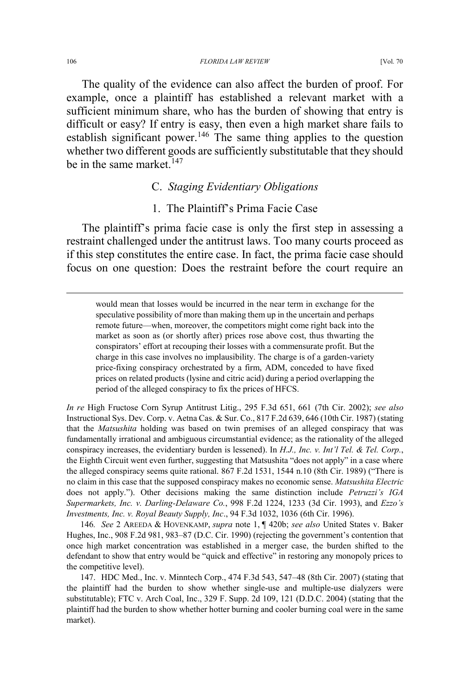The quality of the evidence can also affect the burden of proof. For example, once a plaintiff has established a relevant market with a sufficient minimum share, who has the burden of showing that entry is difficult or easy? If entry is easy, then even a high market share fails to establish significant power.<sup>146</sup> The same thing applies to the question whether two different goods are sufficiently substitutable that they should be in the same market. $147$ 

## C. *Staging Evidentiary Obligations*

# 1. The Plaintiff's Prima Facie Case

The plaintiff's prima facie case is only the first step in assessing a restraint challenged under the antitrust laws. Too many courts proceed as if this step constitutes the entire case. In fact, the prima facie case should focus on one question: Does the restraint before the court require an

 would mean that losses would be incurred in the near term in exchange for the speculative possibility of more than making them up in the uncertain and perhaps remote future—when, moreover, the competitors might come right back into the market as soon as (or shortly after) prices rose above cost, thus thwarting the conspirators' effort at recouping their losses with a commensurate profit. But the charge in this case involves no implausibility. The charge is of a garden-variety price-fixing conspiracy orchestrated by a firm, ADM, conceded to have fixed prices on related products (lysine and citric acid) during a period overlapping the period of the alleged conspiracy to fix the prices of HFCS.

*In re* High Fructose Corn Syrup Antitrust Litig., 295 F.3d 651, 661 (7th Cir. 2002); *see also* Instructional Sys. Dev. Corp. v. Aetna Cas. & Sur. Co., 817 F.2d 639, 646 (10th Cir. 1987) (stating that the *Matsushita* holding was based on twin premises of an alleged conspiracy that was fundamentally irrational and ambiguous circumstantial evidence; as the rationality of the alleged conspiracy increases, the evidentiary burden is lessened). In *H.J., Inc. v. Int'l Tel. & Tel. Corp.*, the Eighth Circuit went even further, suggesting that Matsushita "does not apply" in a case where the alleged conspiracy seems quite rational. 867 F.2d 1531, 1544 n.10 (8th Cir. 1989) ("There is no claim in this case that the supposed conspiracy makes no economic sense. *Matsushita Electric* does not apply."). Other decisions making the same distinction include *Petruzzi's IGA Supermarkets, Inc. v. Darling-Delaware Co.*, 998 F.2d 1224, 1233 (3d Cir. 1993), and *Ezzo's Investments, Inc. v. Royal Beauty Supply, Inc*., 94 F.3d 1032, 1036 (6th Cir. 1996).

146*. See* 2 AREEDA & HOVENKAMP, *supra* note 1, ¶ 420b; *see also* United States v. Baker Hughes, Inc., 908 F.2d 981, 983–87 (D.C. Cir. 1990) (rejecting the government's contention that once high market concentration was established in a merger case, the burden shifted to the defendant to show that entry would be "quick and effective" in restoring any monopoly prices to the competitive level).

147. HDC Med., Inc. v. Minntech Corp., 474 F.3d 543, 547–48 (8th Cir. 2007) (stating that the plaintiff had the burden to show whether single-use and multiple-use dialyzers were substitutable); FTC v. Arch Coal, Inc., 329 F. Supp. 2d 109, 121 (D.D.C. 2004) (stating that the plaintiff had the burden to show whether hotter burning and cooler burning coal were in the same market).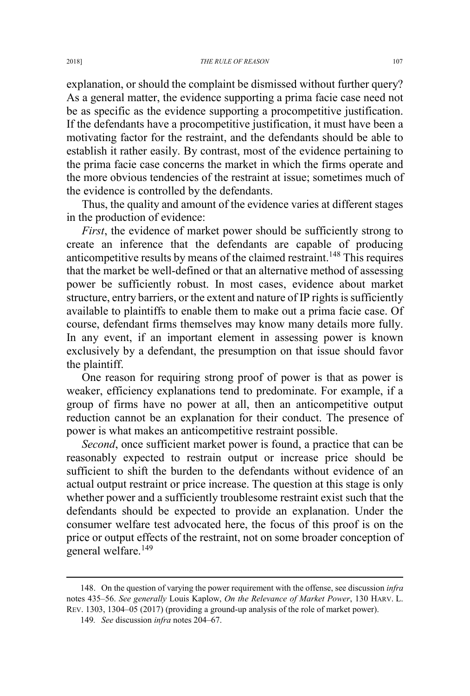explanation, or should the complaint be dismissed without further query? As a general matter, the evidence supporting a prima facie case need not be as specific as the evidence supporting a procompetitive justification. If the defendants have a procompetitive justification, it must have been a motivating factor for the restraint, and the defendants should be able to establish it rather easily. By contrast, most of the evidence pertaining to the prima facie case concerns the market in which the firms operate and the more obvious tendencies of the restraint at issue; sometimes much of the evidence is controlled by the defendants.

Thus, the quality and amount of the evidence varies at different stages in the production of evidence:

*First*, the evidence of market power should be sufficiently strong to create an inference that the defendants are capable of producing anticompetitive results by means of the claimed restraint.<sup>148</sup> This requires that the market be well-defined or that an alternative method of assessing power be sufficiently robust. In most cases, evidence about market structure, entry barriers, or the extent and nature of IP rights is sufficiently available to plaintiffs to enable them to make out a prima facie case. Of course, defendant firms themselves may know many details more fully. In any event, if an important element in assessing power is known exclusively by a defendant, the presumption on that issue should favor the plaintiff.

One reason for requiring strong proof of power is that as power is weaker, efficiency explanations tend to predominate. For example, if a group of firms have no power at all, then an anticompetitive output reduction cannot be an explanation for their conduct. The presence of power is what makes an anticompetitive restraint possible.

*Second*, once sufficient market power is found, a practice that can be reasonably expected to restrain output or increase price should be sufficient to shift the burden to the defendants without evidence of an actual output restraint or price increase. The question at this stage is only whether power and a sufficiently troublesome restraint exist such that the defendants should be expected to provide an explanation. Under the consumer welfare test advocated here, the focus of this proof is on the price or output effects of the restraint, not on some broader conception of general welfare.<sup>149</sup>

 <sup>148.</sup> On the question of varying the power requirement with the offense, see discussion *infra* notes 435–56. *See generally* Louis Kaplow, *On the Relevance of Market Power*, 130 HARV. L. REV. 1303, 1304–05 (2017) (providing a ground-up analysis of the role of market power).

<sup>149</sup>*. See* discussion *infra* notes 204–67.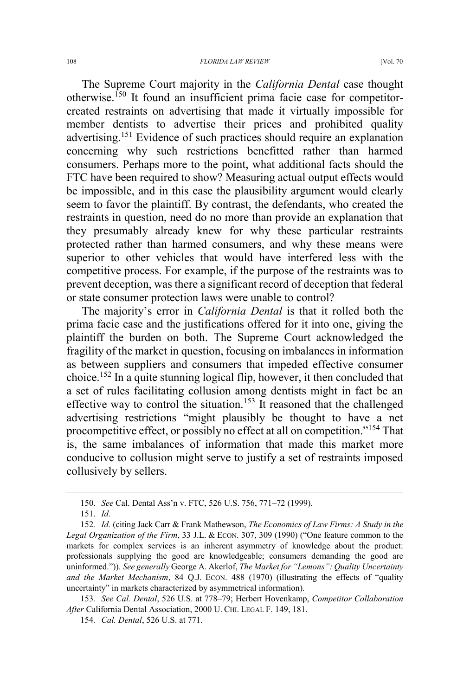The Supreme Court majority in the *California Dental* case thought otherwise.<sup>150</sup> It found an insufficient prima facie case for competitorcreated restraints on advertising that made it virtually impossible for member dentists to advertise their prices and prohibited quality advertising.<sup>151</sup> Evidence of such practices should require an explanation concerning why such restrictions benefitted rather than harmed consumers. Perhaps more to the point, what additional facts should the FTC have been required to show? Measuring actual output effects would be impossible, and in this case the plausibility argument would clearly seem to favor the plaintiff. By contrast, the defendants, who created the restraints in question, need do no more than provide an explanation that they presumably already knew for why these particular restraints protected rather than harmed consumers, and why these means were superior to other vehicles that would have interfered less with the competitive process. For example, if the purpose of the restraints was to prevent deception, was there a significant record of deception that federal or state consumer protection laws were unable to control?

The majority's error in *California Dental* is that it rolled both the prima facie case and the justifications offered for it into one, giving the plaintiff the burden on both. The Supreme Court acknowledged the fragility of the market in question, focusing on imbalances in information as between suppliers and consumers that impeded effective consumer choice.<sup>152</sup> In a quite stunning logical flip, however, it then concluded that a set of rules facilitating collusion among dentists might in fact be an effective way to control the situation.<sup>153</sup> It reasoned that the challenged advertising restrictions "might plausibly be thought to have a net procompetitive effect, or possibly no effect at all on competition."<sup>154</sup> That is, the same imbalances of information that made this market more conducive to collusion might serve to justify a set of restraints imposed collusively by sellers.

 <sup>150.</sup> *See* Cal. Dental Ass'n v. FTC, 526 U.S. 756, 771–72 (1999).

<sup>151.</sup> *Id.*

<sup>152</sup>*. Id.* (citing Jack Carr & Frank Mathewson, *The Economics of Law Firms: A Study in the Legal Organization of the Firm*, 33 J.L. & ECON. 307, 309 (1990) ("One feature common to the markets for complex services is an inherent asymmetry of knowledge about the product: professionals supplying the good are knowledgeable; consumers demanding the good are uninformed.")). *See generally* George A. Akerlof, *The Market for "Lemons": Quality Uncertainty and the Market Mechanism*, 84 Q.J. ECON. 488 (1970) (illustrating the effects of "quality uncertainty" in markets characterized by asymmetrical information).

<sup>153</sup>*. See Cal. Dental*, 526 U.S. at 778–79; Herbert Hovenkamp, *Competitor Collaboration After* California Dental Association, 2000 U. CHI. LEGAL F. 149, 181.

<sup>154</sup>*. Cal. Dental*, 526 U.S. at 771.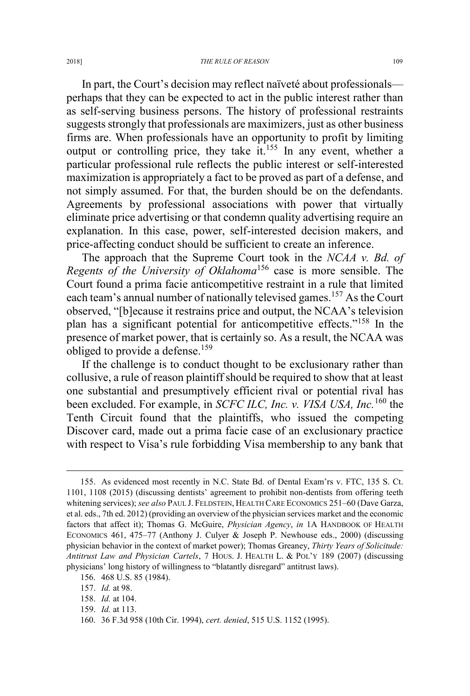In part, the Court's decision may reflect naïveté about professionals perhaps that they can be expected to act in the public interest rather than as self-serving business persons. The history of professional restraints suggests strongly that professionals are maximizers, just as other business firms are. When professionals have an opportunity to profit by limiting output or controlling price, they take it.<sup>155</sup> In any event, whether a particular professional rule reflects the public interest or self-interested maximization is appropriately a fact to be proved as part of a defense, and not simply assumed. For that, the burden should be on the defendants. Agreements by professional associations with power that virtually eliminate price advertising or that condemn quality advertising require an explanation. In this case, power, self-interested decision makers, and price-affecting conduct should be sufficient to create an inference.

The approach that the Supreme Court took in the *NCAA v. Bd. of Regents of the University of Oklahoma*<sup>156</sup> case is more sensible. The Court found a prima facie anticompetitive restraint in a rule that limited each team's annual number of nationally televised games.<sup>157</sup> As the Court observed, "[b]ecause it restrains price and output, the NCAA's television plan has a significant potential for anticompetitive effects."<sup>158</sup> In the presence of market power, that is certainly so. As a result, the NCAA was obliged to provide a defense.<sup>159</sup>

If the challenge is to conduct thought to be exclusionary rather than collusive, a rule of reason plaintiff should be required to show that at least one substantial and presumptively efficient rival or potential rival has been excluded. For example, in *SCFC ILC, Inc. v. VISA USA, Inc.*<sup>160</sup> the Tenth Circuit found that the plaintiffs, who issued the competing Discover card, made out a prima facie case of an exclusionary practice with respect to Visa's rule forbidding Visa membership to any bank that

 <sup>155.</sup> As evidenced most recently in N.C. State Bd. of Dental Exam'rs v. FTC, 135 S. Ct. 1101, 1108 (2015) (discussing dentists' agreement to prohibit non-dentists from offering teeth whitening services); *see also* PAUL J. FELDSTEIN, HEALTH CARE ECONOMICS 251–60 (Dave Garza, et al. eds., 7th ed. 2012) (providing an overview of the physician services market and the economic factors that affect it); Thomas G. McGuire, *Physician Agency*, *in* 1A HANDBOOK OF HEALTH ECONOMICS 461, 475–77 (Anthony J. Culyer & Joseph P. Newhouse eds., 2000) (discussing physician behavior in the context of market power); Thomas Greaney, *Thirty Years of Solicitude: Antitrust Law and Physician Cartels*, 7 HOUS. J. HEALTH L. & POL'Y 189 (2007) (discussing physicians' long history of willingness to "blatantly disregard" antitrust laws).

<sup>156. 468</sup> U.S. 85 (1984).

<sup>157.</sup> *Id.* at 98.

<sup>158.</sup> *Id.* at 104.

<sup>159.</sup> *Id.* at 113.

<sup>160. 36</sup> F.3d 958 (10th Cir. 1994), *cert. denied*, 515 U.S. 1152 (1995).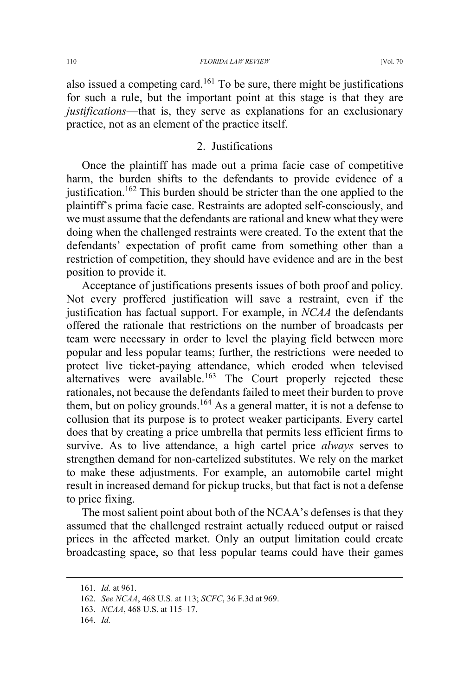also issued a competing card.<sup>161</sup> To be sure, there might be justifications for such a rule, but the important point at this stage is that they are *justifications*—that is, they serve as explanations for an exclusionary practice, not as an element of the practice itself.

## 2. Justifications

Once the plaintiff has made out a prima facie case of competitive harm, the burden shifts to the defendants to provide evidence of a justification.<sup>162</sup> This burden should be stricter than the one applied to the plaintiff's prima facie case. Restraints are adopted self-consciously, and we must assume that the defendants are rational and knew what they were doing when the challenged restraints were created. To the extent that the defendants' expectation of profit came from something other than a restriction of competition, they should have evidence and are in the best position to provide it.

Acceptance of justifications presents issues of both proof and policy. Not every proffered justification will save a restraint, even if the justification has factual support. For example, in *NCAA* the defendants offered the rationale that restrictions on the number of broadcasts per team were necessary in order to level the playing field between more popular and less popular teams; further, the restrictions were needed to protect live ticket-paying attendance, which eroded when televised alternatives were available.<sup>163</sup> The Court properly rejected these rationales, not because the defendants failed to meet their burden to prove them, but on policy grounds.<sup>164</sup> As a general matter, it is not a defense to collusion that its purpose is to protect weaker participants. Every cartel does that by creating a price umbrella that permits less efficient firms to survive. As to live attendance, a high cartel price *always* serves to strengthen demand for non-cartelized substitutes. We rely on the market to make these adjustments. For example, an automobile cartel might result in increased demand for pickup trucks, but that fact is not a defense to price fixing.

The most salient point about both of the NCAA's defenses is that they assumed that the challenged restraint actually reduced output or raised prices in the affected market. Only an output limitation could create broadcasting space, so that less popular teams could have their games

 <sup>161.</sup> *Id.* at 961.

<sup>162.</sup> *See NCAA*, 468 U.S. at 113; *SCFC*, 36 F.3d at 969.

<sup>163.</sup> *NCAA*, 468 U.S. at 115–17.

<sup>164.</sup> *Id.*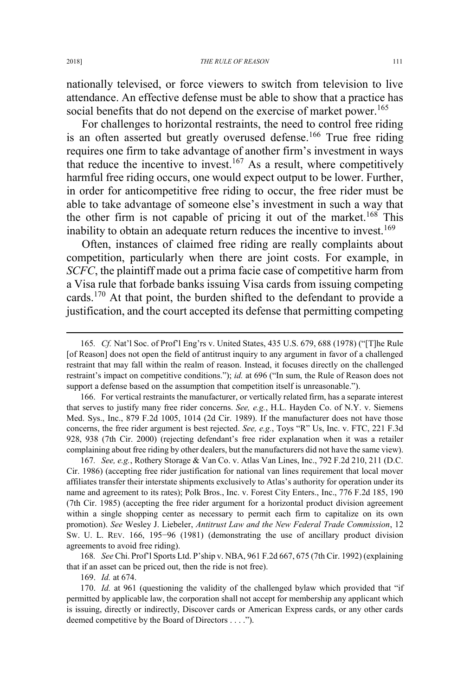nationally televised, or force viewers to switch from television to live attendance. An effective defense must be able to show that a practice has social benefits that do not depend on the exercise of market power.<sup>165</sup>

For challenges to horizontal restraints, the need to control free riding is an often asserted but greatly overused defense.<sup>166</sup> True free riding requires one firm to take advantage of another firm's investment in ways that reduce the incentive to invest.<sup>167</sup> As a result, where competitively harmful free riding occurs, one would expect output to be lower. Further, in order for anticompetitive free riding to occur, the free rider must be able to take advantage of someone else's investment in such a way that the other firm is not capable of pricing it out of the market.<sup>168</sup> This inability to obtain an adequate return reduces the incentive to invest.<sup>169</sup>

Often, instances of claimed free riding are really complaints about competition, particularly when there are joint costs. For example, in *SCFC*, the plaintiff made out a prima facie case of competitive harm from a Visa rule that forbade banks issuing Visa cards from issuing competing cards.<sup>170</sup> At that point, the burden shifted to the defendant to provide a justification, and the court accepted its defense that permitting competing

166. For vertical restraints the manufacturer, or vertically related firm, has a separate interest that serves to justify many free rider concerns. *See, e.g.*, H.L. Hayden Co. of N.Y. v. Siemens Med. Sys., Inc., 879 F.2d 1005, 1014 (2d Cir. 1989). If the manufacturer does not have those concerns, the free rider argument is best rejected. *See, e.g.*, Toys "R" Us, Inc. v. FTC, 221 F.3d 928, 938 (7th Cir. 2000) (rejecting defendant's free rider explanation when it was a retailer complaining about free riding by other dealers, but the manufacturers did not have the same view).

167*. See, e.g.*, Rothery Storage & Van Co. v. Atlas Van Lines, Inc., 792 F.2d 210, 211 (D.C. Cir. 1986) (accepting free rider justification for national van lines requirement that local mover affiliates transfer their interstate shipments exclusively to Atlas's authority for operation under its name and agreement to its rates); Polk Bros., Inc. v. Forest City Enters., Inc., 776 F.2d 185, 190 (7th Cir. 1985) (accepting the free rider argument for a horizontal product division agreement within a single shopping center as necessary to permit each firm to capitalize on its own promotion). *See* Wesley J. Liebeler, *Antitrust Law and the New Federal Trade Commission*, 12 SW. U. L. REV. 166, 195−96 (1981) (demonstrating the use of ancillary product division agreements to avoid free riding).

168*. See* Chi. Prof'l Sports Ltd. P'ship v. NBA, 961 F.2d 667, 675 (7th Cir. 1992) (explaining that if an asset can be priced out, then the ride is not free).

169. *Id.* at 674.

170. *Id.* at 961 (questioning the validity of the challenged bylaw which provided that "if permitted by applicable law, the corporation shall not accept for membership any applicant which is issuing, directly or indirectly, Discover cards or American Express cards, or any other cards deemed competitive by the Board of Directors . . . .").

 <sup>165</sup>*. Cf.* Nat'l Soc. of Prof'l Eng'rs v. United States, 435 U.S. 679, 688 (1978) ("[T]he Rule [of Reason] does not open the field of antitrust inquiry to any argument in favor of a challenged restraint that may fall within the realm of reason. Instead, it focuses directly on the challenged restraint's impact on competitive conditions."); *id.* at 696 ("In sum, the Rule of Reason does not support a defense based on the assumption that competition itself is unreasonable.").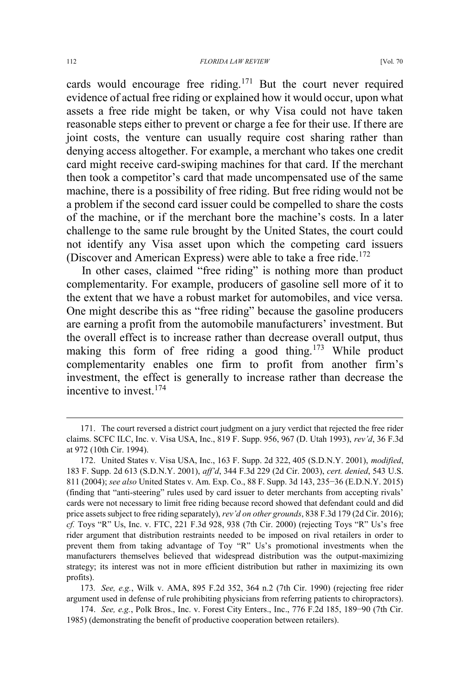cards would encourage free riding.<sup>171</sup> But the court never required evidence of actual free riding or explained how it would occur, upon what assets a free ride might be taken, or why Visa could not have taken reasonable steps either to prevent or charge a fee for their use. If there are joint costs, the venture can usually require cost sharing rather than denying access altogether. For example, a merchant who takes one credit card might receive card-swiping machines for that card. If the merchant then took a competitor's card that made uncompensated use of the same machine, there is a possibility of free riding. But free riding would not be a problem if the second card issuer could be compelled to share the costs of the machine, or if the merchant bore the machine's costs. In a later challenge to the same rule brought by the United States, the court could not identify any Visa asset upon which the competing card issuers (Discover and American Express) were able to take a free ride.<sup>172</sup>

In other cases, claimed "free riding" is nothing more than product complementarity. For example, producers of gasoline sell more of it to the extent that we have a robust market for automobiles, and vice versa. One might describe this as "free riding" because the gasoline producers are earning a profit from the automobile manufacturers' investment. But the overall effect is to increase rather than decrease overall output, thus making this form of free riding a good thing.<sup>173</sup> While product complementarity enables one firm to profit from another firm's investment, the effect is generally to increase rather than decrease the incentive to invest  $174$ 

 <sup>171.</sup> The court reversed a district court judgment on a jury verdict that rejected the free rider claims. SCFC ILC, Inc. v. Visa USA, Inc., 819 F. Supp. 956, 967 (D. Utah 1993), *rev'd*, 36 F.3d at 972 (10th Cir. 1994).

<sup>172.</sup> United States v. Visa USA, Inc., 163 F. Supp. 2d 322, 405 (S.D.N.Y. 2001), *modified*, 183 F. Supp. 2d 613 (S.D.N.Y. 2001), *aff'd*, 344 F.3d 229 (2d Cir. 2003), *cert. denied*, 543 U.S. 811 (2004); *see also* United States v. Am. Exp. Co., 88 F. Supp. 3d 143, 235−36 (E.D.N.Y. 2015) (finding that "anti-steering" rules used by card issuer to deter merchants from accepting rivals' cards were not necessary to limit free riding because record showed that defendant could and did price assets subject to free riding separately), *rev'd on other grounds*, 838 F.3d 179 (2d Cir. 2016); *cf.* Toys "R" Us, Inc. v. FTC, 221 F.3d 928, 938 (7th Cir. 2000) (rejecting Toys "R" Us's free rider argument that distribution restraints needed to be imposed on rival retailers in order to prevent them from taking advantage of Toy "R" Us's promotional investments when the manufacturers themselves believed that widespread distribution was the output-maximizing strategy; its interest was not in more efficient distribution but rather in maximizing its own profits).

<sup>173</sup>*. See, e.g.*, Wilk v. AMA, 895 F.2d 352, 364 n.2 (7th Cir. 1990) (rejecting free rider argument used in defense of rule prohibiting physicians from referring patients to chiropractors).

<sup>174.</sup> *See, e.g.*, Polk Bros., Inc. v. Forest City Enters., Inc., 776 F.2d 185, 189−90 (7th Cir. 1985) (demonstrating the benefit of productive cooperation between retailers).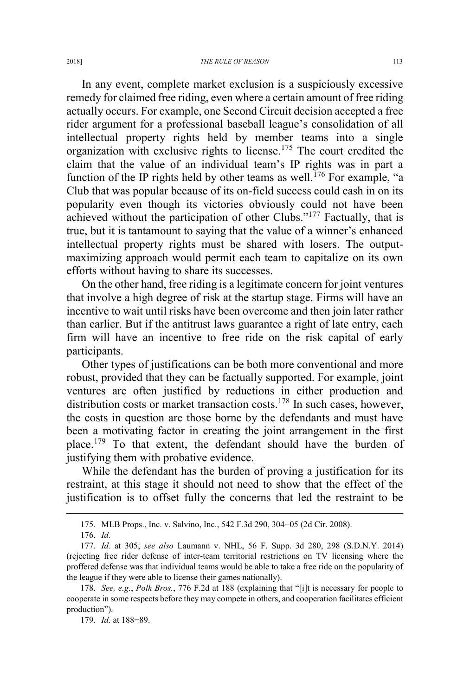In any event, complete market exclusion is a suspiciously excessive remedy for claimed free riding, even where a certain amount of free riding actually occurs. For example, one Second Circuit decision accepted a free rider argument for a professional baseball league's consolidation of all intellectual property rights held by member teams into a single organization with exclusive rights to license.<sup>175</sup> The court credited the claim that the value of an individual team's IP rights was in part a function of the IP rights held by other teams as well.<sup>176</sup> For example, "a Club that was popular because of its on-field success could cash in on its popularity even though its victories obviously could not have been achieved without the participation of other Clubs."<sup>177</sup> Factually, that is true, but it is tantamount to saying that the value of a winner's enhanced intellectual property rights must be shared with losers. The outputmaximizing approach would permit each team to capitalize on its own efforts without having to share its successes.

On the other hand, free riding is a legitimate concern for joint ventures that involve a high degree of risk at the startup stage. Firms will have an incentive to wait until risks have been overcome and then join later rather than earlier. But if the antitrust laws guarantee a right of late entry, each firm will have an incentive to free ride on the risk capital of early participants.

Other types of justifications can be both more conventional and more robust, provided that they can be factually supported. For example, joint ventures are often justified by reductions in either production and distribution costs or market transaction costs.<sup>178</sup> In such cases, however, the costs in question are those borne by the defendants and must have been a motivating factor in creating the joint arrangement in the first place.<sup>179</sup> To that extent, the defendant should have the burden of justifying them with probative evidence.

While the defendant has the burden of proving a justification for its restraint, at this stage it should not need to show that the effect of the justification is to offset fully the concerns that led the restraint to be

 <sup>175.</sup> MLB Props., Inc. v. Salvino, Inc., 542 F.3d 290, 304−05 (2d Cir. 2008).

<sup>176.</sup> *Id.*

<sup>177.</sup> *Id.* at 305; *see also* Laumann v. NHL, 56 F. Supp. 3d 280, 298 (S.D.N.Y. 2014) (rejecting free rider defense of inter-team territorial restrictions on TV licensing where the proffered defense was that individual teams would be able to take a free ride on the popularity of the league if they were able to license their games nationally).

<sup>178.</sup> *See, e.g.*, *Polk Bros.*, 776 F.2d at 188 (explaining that "[i]t is necessary for people to cooperate in some respects before they may compete in others, and cooperation facilitates efficient production").

<sup>179.</sup> *Id.* at 188−89.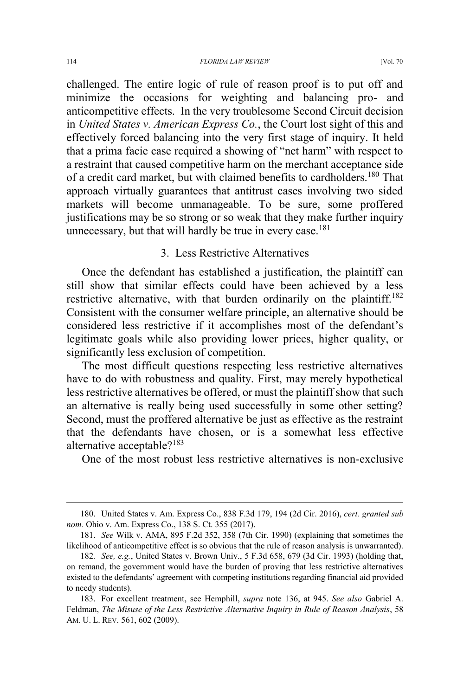challenged. The entire logic of rule of reason proof is to put off and minimize the occasions for weighting and balancing pro- and anticompetitive effects. In the very troublesome Second Circuit decision in *United States v. American Express Co.*, the Court lost sight of this and effectively forced balancing into the very first stage of inquiry. It held that a prima facie case required a showing of "net harm" with respect to a restraint that caused competitive harm on the merchant acceptance side of a credit card market, but with claimed benefits to cardholders.<sup>180</sup> That approach virtually guarantees that antitrust cases involving two sided markets will become unmanageable. To be sure, some proffered justifications may be so strong or so weak that they make further inquiry unnecessary, but that will hardly be true in every case.<sup>181</sup>

## 3. Less Restrictive Alternatives

Once the defendant has established a justification, the plaintiff can still show that similar effects could have been achieved by a less restrictive alternative, with that burden ordinarily on the plaintiff.<sup>182</sup> Consistent with the consumer welfare principle, an alternative should be considered less restrictive if it accomplishes most of the defendant's legitimate goals while also providing lower prices, higher quality, or significantly less exclusion of competition.

The most difficult questions respecting less restrictive alternatives have to do with robustness and quality. First, may merely hypothetical less restrictive alternatives be offered, or must the plaintiff show that such an alternative is really being used successfully in some other setting? Second, must the proffered alternative be just as effective as the restraint that the defendants have chosen, or is a somewhat less effective alternative acceptable?<sup>183</sup>

One of the most robust less restrictive alternatives is non-exclusive

 <sup>180.</sup> United States v. Am. Express Co., 838 F.3d 179, 194 (2d Cir. 2016), *cert. granted sub nom.* Ohio v. Am. Express Co., 138 S. Ct. 355 (2017).

<sup>181.</sup> *See* Wilk v. AMA, 895 F.2d 352, 358 (7th Cir. 1990) (explaining that sometimes the likelihood of anticompetitive effect is so obvious that the rule of reason analysis is unwarranted).

<sup>182</sup>*. See, e.g.*, United States v. Brown Univ., 5 F.3d 658, 679 (3d Cir. 1993) (holding that, on remand, the government would have the burden of proving that less restrictive alternatives existed to the defendants' agreement with competing institutions regarding financial aid provided to needy students).

<sup>183.</sup> For excellent treatment, see Hemphill, *supra* note 136, at 945. *See also* Gabriel A. Feldman, *The Misuse of the Less Restrictive Alternative Inquiry in Rule of Reason Analysis*, 58 AM. U. L. REV. 561, 602 (2009).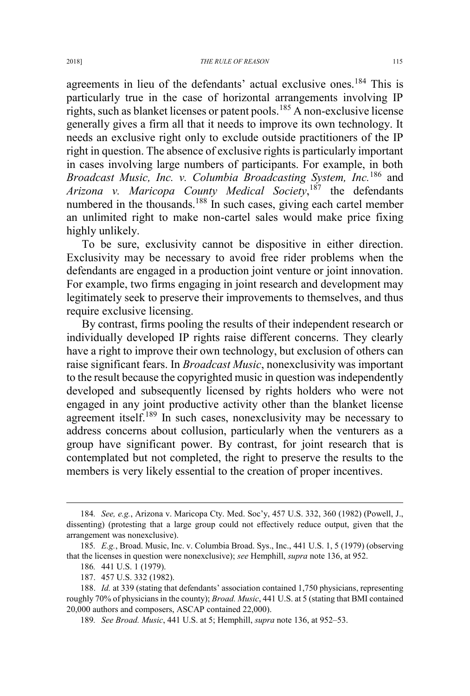agreements in lieu of the defendants' actual exclusive ones.<sup>184</sup> This is particularly true in the case of horizontal arrangements involving IP rights, such as blanket licenses or patent pools.<sup>185</sup> A non-exclusive license generally gives a firm all that it needs to improve its own technology. It needs an exclusive right only to exclude outside practitioners of the IP right in question. The absence of exclusive rights is particularly important in cases involving large numbers of participants. For example, in both *Broadcast Music, Inc. v. Columbia Broadcasting System, Inc.*<sup>186</sup> and *Arizona v. Maricopa County Medical Society*, <sup>187</sup> the defendants numbered in the thousands.<sup>188</sup> In such cases, giving each cartel member an unlimited right to make non-cartel sales would make price fixing highly unlikely.

To be sure, exclusivity cannot be dispositive in either direction. Exclusivity may be necessary to avoid free rider problems when the defendants are engaged in a production joint venture or joint innovation. For example, two firms engaging in joint research and development may legitimately seek to preserve their improvements to themselves, and thus require exclusive licensing.

By contrast, firms pooling the results of their independent research or individually developed IP rights raise different concerns. They clearly have a right to improve their own technology, but exclusion of others can raise significant fears. In *Broadcast Music*, nonexclusivity was important to the result because the copyrighted music in question was independently developed and subsequently licensed by rights holders who were not engaged in any joint productive activity other than the blanket license agreement itself.<sup>189</sup> In such cases, nonexclusivity may be necessary to address concerns about collusion, particularly when the venturers as a group have significant power. By contrast, for joint research that is contemplated but not completed, the right to preserve the results to the members is very likely essential to the creation of proper incentives.

 <sup>184</sup>*. See, e.g.*, Arizona v. Maricopa Cty. Med. Soc'y, 457 U.S. 332, 360 (1982) (Powell, J., dissenting) (protesting that a large group could not effectively reduce output, given that the arrangement was nonexclusive).

<sup>185</sup>*. E.g.*, Broad. Music, Inc. v. Columbia Broad. Sys., Inc., 441 U.S. 1, 5 (1979) (observing that the licenses in question were nonexclusive); *see* Hemphill, *supra* note 136, at 952.

<sup>186</sup>*.* 441 U.S. 1 (1979).

<sup>187. 457</sup> U.S. 332 (1982).

<sup>188.</sup> *Id.* at 339 (stating that defendants' association contained 1,750 physicians, representing roughly 70% of physicians in the county); *Broad. Music*, 441 U.S. at 5 (stating that BMI contained 20,000 authors and composers, ASCAP contained 22,000).

<sup>189</sup>*. See Broad. Music*, 441 U.S. at 5; Hemphill, *supra* note 136, at 952–53.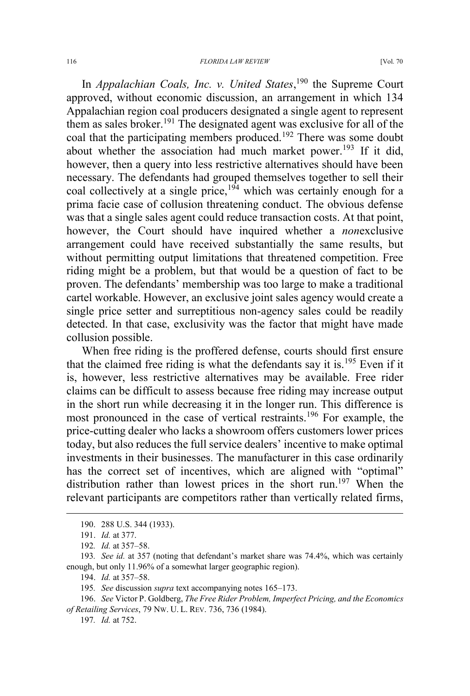In *Appalachian Coals, Inc. v. United States*, <sup>190</sup> the Supreme Court approved, without economic discussion, an arrangement in which 134 Appalachian region coal producers designated a single agent to represent them as sales broker.<sup>191</sup> The designated agent was exclusive for all of the coal that the participating members produced.<sup>192</sup> There was some doubt about whether the association had much market power.<sup>193</sup> If it did, however, then a query into less restrictive alternatives should have been necessary. The defendants had grouped themselves together to sell their coal collectively at a single price,  $194$  which was certainly enough for a prima facie case of collusion threatening conduct. The obvious defense was that a single sales agent could reduce transaction costs. At that point, however, the Court should have inquired whether a *non*exclusive arrangement could have received substantially the same results, but without permitting output limitations that threatened competition. Free riding might be a problem, but that would be a question of fact to be proven. The defendants' membership was too large to make a traditional cartel workable. However, an exclusive joint sales agency would create a single price setter and surreptitious non-agency sales could be readily detected. In that case, exclusivity was the factor that might have made collusion possible.

When free riding is the proffered defense, courts should first ensure that the claimed free riding is what the defendants say it is.<sup>195</sup> Even if it is, however, less restrictive alternatives may be available. Free rider claims can be difficult to assess because free riding may increase output in the short run while decreasing it in the longer run. This difference is most pronounced in the case of vertical restraints.<sup>196</sup> For example, the price-cutting dealer who lacks a showroom offers customers lower prices today, but also reduces the full service dealers' incentive to make optimal investments in their businesses. The manufacturer in this case ordinarily has the correct set of incentives, which are aligned with "optimal" distribution rather than lowest prices in the short run.<sup>197</sup> When the relevant participants are competitors rather than vertically related firms,

196. *See* Victor P. Goldberg, *The Free Rider Problem, Imperfect Pricing, and the Economics of Retailing Services*, 79 NW. U. L. REV. 736, 736 (1984).

 <sup>190. 288</sup> U.S. 344 (1933).

<sup>191.</sup> *Id.* at 377.

<sup>192</sup>*. Id.* at 357–58.

<sup>193</sup>*. See id.* at 357 (noting that defendant's market share was 74.4%, which was certainly enough, but only 11.96% of a somewhat larger geographic region).

<sup>194.</sup> *Id.* at 357–58.

<sup>195</sup>*. See* discussion *supra* text accompanying notes 165–173.

<sup>197</sup>*. Id.* at 752.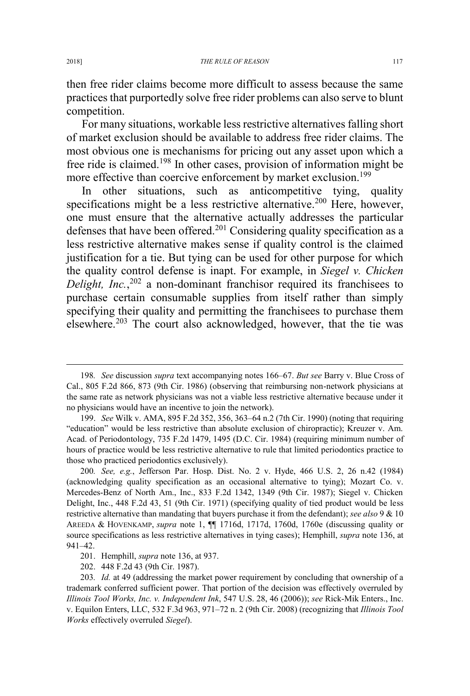then free rider claims become more difficult to assess because the same practices that purportedly solve free rider problems can also serve to blunt competition.

For many situations, workable less restrictive alternatives falling short of market exclusion should be available to address free rider claims. The most obvious one is mechanisms for pricing out any asset upon which a free ride is claimed.<sup>198</sup> In other cases, provision of information might be more effective than coercive enforcement by market exclusion.<sup>199</sup>

In other situations, such as anticompetitive tying, quality specifications might be a less restrictive alternative.<sup>200</sup> Here, however, one must ensure that the alternative actually addresses the particular defenses that have been offered.<sup>201</sup> Considering quality specification as a less restrictive alternative makes sense if quality control is the claimed justification for a tie. But tying can be used for other purpose for which the quality control defense is inapt. For example, in *Siegel v. Chicken Delight, Inc.*, <sup>202</sup> a non-dominant franchisor required its franchisees to purchase certain consumable supplies from itself rather than simply specifying their quality and permitting the franchisees to purchase them elsewhere.<sup>203</sup> The court also acknowledged, however, that the tie was

 <sup>198</sup>*. See* discussion *supra* text accompanying notes 166–67. *But see* Barry v. Blue Cross of Cal., 805 F.2d 866, 873 (9th Cir. 1986) (observing that reimbursing non-network physicians at the same rate as network physicians was not a viable less restrictive alternative because under it no physicians would have an incentive to join the network).

<sup>199.</sup> *See* Wilk v. AMA, 895 F.2d 352, 356, 363–64 n.2 (7th Cir. 1990) (noting that requiring "education" would be less restrictive than absolute exclusion of chiropractic); Kreuzer v. Am. Acad. of Periodontology, 735 F.2d 1479, 1495 (D.C. Cir. 1984) (requiring minimum number of hours of practice would be less restrictive alternative to rule that limited periodontics practice to those who practiced periodontics exclusively).

<sup>200</sup>*. See, e.g.*, Jefferson Par. Hosp. Dist. No. 2 v. Hyde, 466 U.S. 2, 26 n.42 (1984) (acknowledging quality specification as an occasional alternative to tying); Mozart Co. v. Mercedes-Benz of North Am., Inc., 833 F.2d 1342, 1349 (9th Cir. 1987); Siegel v. Chicken Delight, Inc., 448 F.2d 43, 51 (9th Cir. 1971) (specifying quality of tied product would be less restrictive alternative than mandating that buyers purchase it from the defendant); *see also* 9 & 10 AREEDA & HOVENKAMP, *supra* note 1, ¶¶ 1716d, 1717d, 1760d, 1760e (discussing quality or source specifications as less restrictive alternatives in tying cases); Hemphill, *supra* note 136, at 941–42.

<sup>201.</sup> Hemphill, *supra* note 136, at 937.

<sup>202. 448</sup> F.2d 43 (9th Cir. 1987).

<sup>203</sup>*. Id.* at 49 (addressing the market power requirement by concluding that ownership of a trademark conferred sufficient power. That portion of the decision was effectively overruled by *Illinois Tool Works, Inc. v. Independent Ink*, 547 U.S. 28, 46 (2006)); *see* Rick-Mik Enters., Inc. v. Equilon Enters, LLC, 532 F.3d 963, 971–72 n. 2 (9th Cir. 2008) (recognizing that *Illinois Tool Works* effectively overruled *Siegel*).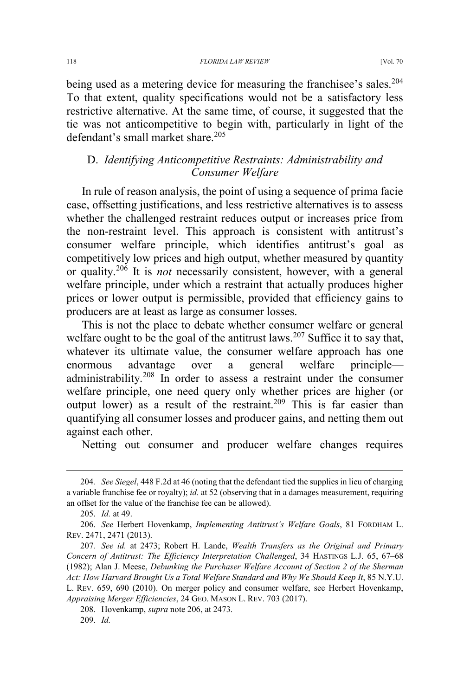being used as a metering device for measuring the franchisee's sales.<sup>204</sup> To that extent, quality specifications would not be a satisfactory less restrictive alternative. At the same time, of course, it suggested that the tie was not anticompetitive to begin with, particularly in light of the defendant's small market share.<sup>205</sup>

# D. *Identifying Anticompetitive Restraints: Administrability and Consumer Welfare*

In rule of reason analysis, the point of using a sequence of prima facie case, offsetting justifications, and less restrictive alternatives is to assess whether the challenged restraint reduces output or increases price from the non-restraint level. This approach is consistent with antitrust's consumer welfare principle, which identifies antitrust's goal as competitively low prices and high output, whether measured by quantity or quality.<sup>206</sup> It is *not* necessarily consistent, however, with a general welfare principle, under which a restraint that actually produces higher prices or lower output is permissible, provided that efficiency gains to producers are at least as large as consumer losses.

This is not the place to debate whether consumer welfare or general welfare ought to be the goal of the antitrust laws.<sup>207</sup> Suffice it to say that, whatever its ultimate value, the consumer welfare approach has one enormous advantage over a general welfare principle administrability.<sup>208</sup> In order to assess a restraint under the consumer welfare principle, one need query only whether prices are higher (or output lower) as a result of the restraint.<sup>209</sup> This is far easier than quantifying all consumer losses and producer gains, and netting them out against each other.

Netting out consumer and producer welfare changes requires

 <sup>204</sup>*. See Siegel*, 448 F.2d at 46 (noting that the defendant tied the supplies in lieu of charging a variable franchise fee or royalty); *id.* at 52 (observing that in a damages measurement, requiring an offset for the value of the franchise fee can be allowed).

<sup>205.</sup> *Id.* at 49.

<sup>206.</sup> *See* Herbert Hovenkamp, *Implementing Antitrust's Welfare Goals*, 81 FORDHAM L. REV. 2471, 2471 (2013).

<sup>207</sup>*. See id.* at 2473; Robert H. Lande, *Wealth Transfers as the Original and Primary Concern of Antitrust: The Efficiency Interpretation Challenged*, 34 HASTINGS L.J. 65, 67–68 (1982); Alan J. Meese, *Debunking the Purchaser Welfare Account of Section 2 of the Sherman*  Act: How Harvard Brought Us a Total Welfare Standard and Why We Should Keep It, 85 N.Y.U. L. REV. 659, 690 (2010). On merger policy and consumer welfare, see Herbert Hovenkamp, *Appraising Merger Efficiencies*, 24 GEO. MASON L. REV. 703 (2017).

<sup>208.</sup> Hovenkamp, *supra* note 206, at 2473.

<sup>209.</sup> *Id.*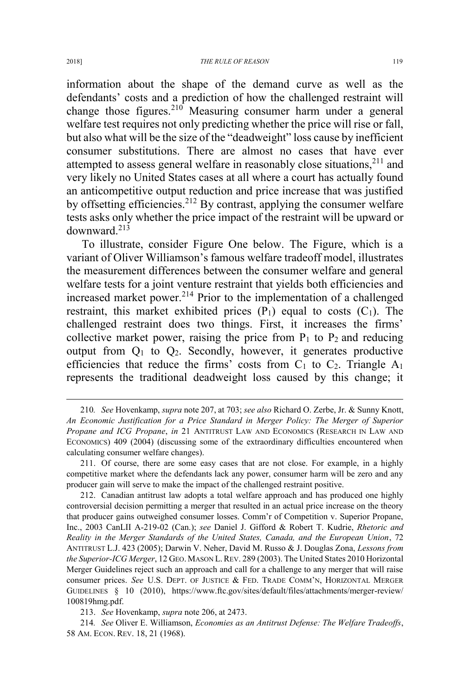information about the shape of the demand curve as well as the defendants' costs and a prediction of how the challenged restraint will change those figures.<sup>210</sup> Measuring consumer harm under a general welfare test requires not only predicting whether the price will rise or fall, but also what will be the size of the "deadweight" loss cause by inefficient consumer substitutions. There are almost no cases that have ever attempted to assess general welfare in reasonably close situations,  $211$  and very likely no United States cases at all where a court has actually found an anticompetitive output reduction and price increase that was justified by offsetting efficiencies.<sup>212</sup> By contrast, applying the consumer welfare tests asks only whether the price impact of the restraint will be upward or downward.<sup>213</sup>

To illustrate, consider Figure One below. The Figure, which is a variant of Oliver Williamson's famous welfare tradeoff model, illustrates the measurement differences between the consumer welfare and general welfare tests for a joint venture restraint that yields both efficiencies and increased market power.<sup>214</sup> Prior to the implementation of a challenged restraint, this market exhibited prices  $(P_1)$  equal to costs  $(C_1)$ . The challenged restraint does two things. First, it increases the firms' collective market power, raising the price from  $P_1$  to  $P_2$  and reducing output from  $Q_1$  to  $Q_2$ . Secondly, however, it generates productive efficiencies that reduce the firms' costs from  $C_1$  to  $C_2$ . Triangle  $A_1$ represents the traditional deadweight loss caused by this change; it

 <sup>210</sup>*. See* Hovenkamp, *supra* note 207, at 703; *see also* Richard O. Zerbe, Jr. & Sunny Knott, *An Economic Justification for a Price Standard in Merger Policy: The Merger of Superior Propane and ICG Propane*, *in* 21 ANTITRUST LAW AND ECONOMICS (RESEARCH IN LAW AND ECONOMICS) 409 (2004) (discussing some of the extraordinary difficulties encountered when calculating consumer welfare changes).

<sup>211.</sup> Of course, there are some easy cases that are not close. For example, in a highly competitive market where the defendants lack any power, consumer harm will be zero and any producer gain will serve to make the impact of the challenged restraint positive.

<sup>212.</sup> Canadian antitrust law adopts a total welfare approach and has produced one highly controversial decision permitting a merger that resulted in an actual price increase on the theory that producer gains outweighed consumer losses. Comm'r of Competition v. Superior Propane, Inc., 2003 CanLII A-219-02 (Can.); *see* Daniel J. Gifford & Robert T. Kudrie, *Rhetoric and Reality in the Merger Standards of the United States, Canada, and the European Union*, 72 ANTITRUST L.J. 423 (2005); Darwin V. Neher, David M. Russo & J. Douglas Zona, *Lessons from the Superior-ICG Merger*, 12 GEO. MASON L. REV. 289 (2003). The United States 2010 Horizontal Merger Guidelines reject such an approach and call for a challenge to any merger that will raise consumer prices. *See* U.S. DEPT. OF JUSTICE & FED. TRADE COMM'N, HORIZONTAL MERGER GUIDELINES § 10 (2010), https://www.ftc.gov/sites/default/files/attachments/merger-review/ 100819hmg.pdf.

<sup>213.</sup> *See* Hovenkamp, *supra* note 206, at 2473.

<sup>214</sup>*. See* Oliver E. Williamson, *Economies as an Antitrust Defense: The Welfare Tradeoffs*, 58 AM. ECON. REV. 18, 21 (1968).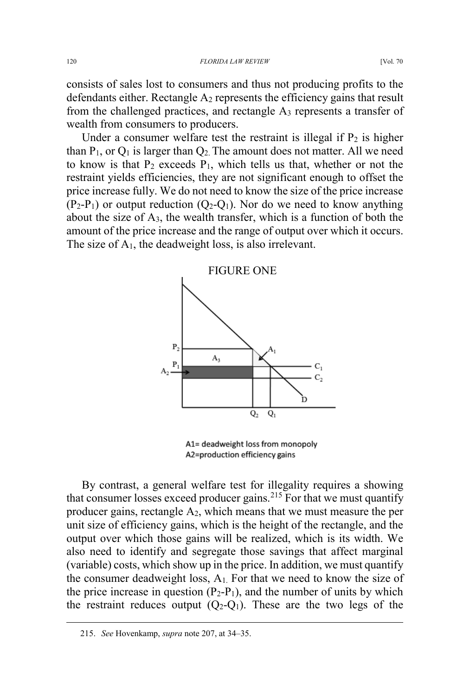consists of sales lost to consumers and thus not producing profits to the defendants either. Rectangle  $A_2$  represents the efficiency gains that result from the challenged practices, and rectangle  $A_3$  represents a transfer of wealth from consumers to producers.

Under a consumer welfare test the restraint is illegal if  $P_2$  is higher than  $P_1$ , or  $Q_1$  is larger than  $Q_2$ . The amount does not matter. All we need to know is that  $P_2$  exceeds  $P_1$ , which tells us that, whether or not the restraint yields efficiencies, they are not significant enough to offset the price increase fully. We do not need to know the size of the price increase  $(P_2-P_1)$  or output reduction  $(Q_2-Q_1)$ . Nor do we need to know anything about the size of A3, the wealth transfer, which is a function of both the amount of the price increase and the range of output over which it occurs. The size of  $A_1$ , the deadweight loss, is also irrelevant.



A1= deadweight loss from monopoly A2=production efficiency gains

By contrast, a general welfare test for illegality requires a showing that consumer losses exceed producer gains.<sup>215</sup> For that we must quantify producer gains, rectangle A2, which means that we must measure the per unit size of efficiency gains, which is the height of the rectangle, and the output over which those gains will be realized, which is its width. We also need to identify and segregate those savings that affect marginal (variable) costs, which show up in the price. In addition, we must quantify the consumer deadweight loss,  $A_1$ . For that we need to know the size of the price increase in question  $(P_2-P_1)$ , and the number of units by which the restraint reduces output  $(Q_2-Q_1)$ . These are the two legs of the

 <sup>215.</sup> *See* Hovenkamp, *supra* note 207, at 34–35.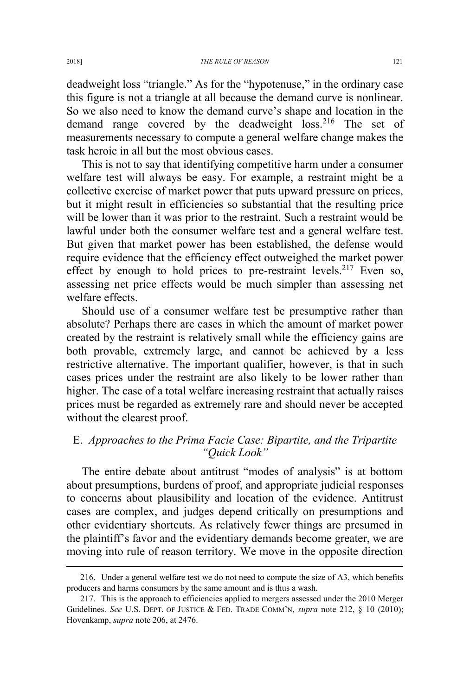deadweight loss "triangle." As for the "hypotenuse," in the ordinary case this figure is not a triangle at all because the demand curve is nonlinear. So we also need to know the demand curve's shape and location in the demand range covered by the deadweight loss.<sup>216</sup> The set of measurements necessary to compute a general welfare change makes the task heroic in all but the most obvious cases.

This is not to say that identifying competitive harm under a consumer welfare test will always be easy. For example, a restraint might be a collective exercise of market power that puts upward pressure on prices, but it might result in efficiencies so substantial that the resulting price will be lower than it was prior to the restraint. Such a restraint would be lawful under both the consumer welfare test and a general welfare test. But given that market power has been established, the defense would require evidence that the efficiency effect outweighed the market power effect by enough to hold prices to pre-restraint levels.<sup>217</sup> Even so, assessing net price effects would be much simpler than assessing net welfare effects.

Should use of a consumer welfare test be presumptive rather than absolute? Perhaps there are cases in which the amount of market power created by the restraint is relatively small while the efficiency gains are both provable, extremely large, and cannot be achieved by a less restrictive alternative. The important qualifier, however, is that in such cases prices under the restraint are also likely to be lower rather than higher. The case of a total welfare increasing restraint that actually raises prices must be regarded as extremely rare and should never be accepted without the clearest proof.

# E. *Approaches to the Prima Facie Case: Bipartite, and the Tripartite "Quick Look"*

The entire debate about antitrust "modes of analysis" is at bottom about presumptions, burdens of proof, and appropriate judicial responses to concerns about plausibility and location of the evidence. Antitrust cases are complex, and judges depend critically on presumptions and other evidentiary shortcuts. As relatively fewer things are presumed in the plaintiff's favor and the evidentiary demands become greater, we are moving into rule of reason territory. We move in the opposite direction

 <sup>216.</sup> Under a general welfare test we do not need to compute the size of A3, which benefits producers and harms consumers by the same amount and is thus a wash.

<sup>217.</sup> This is the approach to efficiencies applied to mergers assessed under the 2010 Merger Guidelines. *See* U.S. DEPT. OF JUSTICE & FED. TRADE COMM'N, *supra* note 212, § 10 (2010); Hovenkamp, *supra* note 206, at 2476.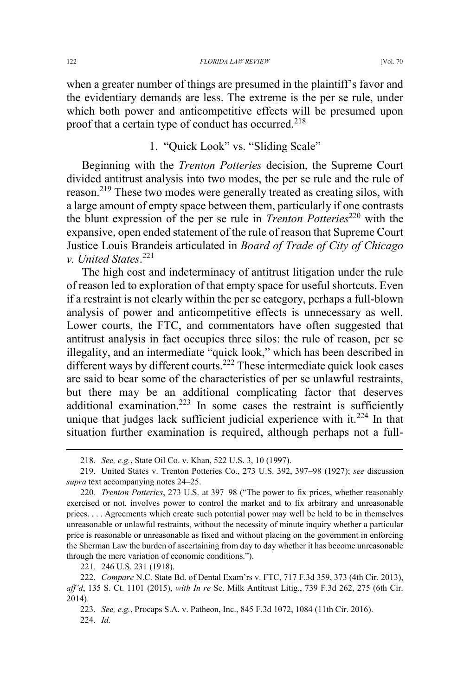when a greater number of things are presumed in the plaintiff's favor and the evidentiary demands are less. The extreme is the per se rule, under which both power and anticompetitive effects will be presumed upon proof that a certain type of conduct has occurred.<sup>218</sup>

# 1. "Quick Look" vs. "Sliding Scale"

Beginning with the *Trenton Potteries* decision, the Supreme Court divided antitrust analysis into two modes, the per se rule and the rule of reason.<sup>219</sup> These two modes were generally treated as creating silos, with a large amount of empty space between them, particularly if one contrasts the blunt expression of the per se rule in *Trenton Potteries*<sup>220</sup> with the expansive, open ended statement of the rule of reason that Supreme Court Justice Louis Brandeis articulated in *Board of Trade of City of Chicago v. United States*. 221

The high cost and indeterminacy of antitrust litigation under the rule of reason led to exploration of that empty space for useful shortcuts. Even if a restraint is not clearly within the per se category, perhaps a full-blown analysis of power and anticompetitive effects is unnecessary as well. Lower courts, the FTC, and commentators have often suggested that antitrust analysis in fact occupies three silos: the rule of reason, per se illegality, and an intermediate "quick look," which has been described in different ways by different courts.<sup>222</sup> These intermediate quick look cases are said to bear some of the characteristics of per se unlawful restraints, but there may be an additional complicating factor that deserves additional examination.<sup>223</sup> In some cases the restraint is sufficiently unique that judges lack sufficient judicial experience with it. $224$  In that situation further examination is required, although perhaps not a full-

221*.* 246 U.S. 231 (1918).

 <sup>218.</sup> *See, e.g.*, State Oil Co. v. Khan, 522 U.S. 3, 10 (1997).

<sup>219.</sup> United States v. Trenton Potteries Co., 273 U.S. 392, 397–98 (1927); *see* discussion *supra* text accompanying notes 24–25.

<sup>220</sup>*. Trenton Potteries*, 273 U.S. at 397–98 ("The power to fix prices, whether reasonably exercised or not, involves power to control the market and to fix arbitrary and unreasonable prices. . . . Agreements which create such potential power may well be held to be in themselves unreasonable or unlawful restraints, without the necessity of minute inquiry whether a particular price is reasonable or unreasonable as fixed and without placing on the government in enforcing the Sherman Law the burden of ascertaining from day to day whether it has become unreasonable through the mere variation of economic conditions.").

<sup>222.</sup> *Compare* N.C. State Bd. of Dental Exam'rs v. FTC, 717 F.3d 359, 373 (4th Cir. 2013), *aff'd*, 135 S. Ct. 1101 (2015), *with In re* Se. Milk Antitrust Litig., 739 F.3d 262, 275 (6th Cir. 2014).

<sup>223.</sup> *See, e.g.*, Procaps S.A. v. Patheon, Inc., 845 F.3d 1072, 1084 (11th Cir. 2016). 224. *Id.*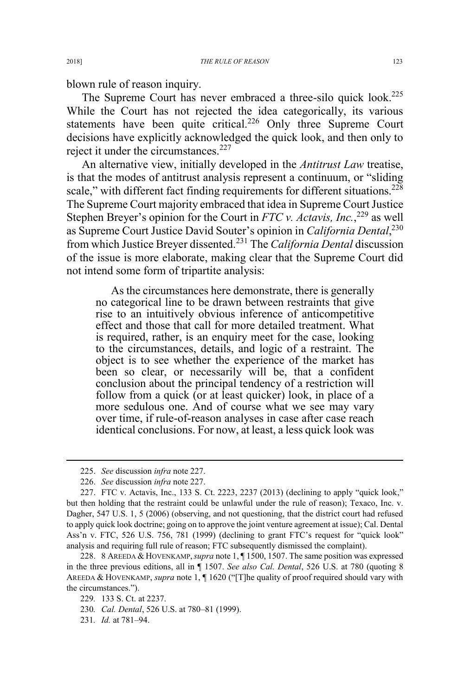blown rule of reason inquiry.

The Supreme Court has never embraced a three-silo quick look.<sup>225</sup> While the Court has not rejected the idea categorically, its various statements have been quite critical.<sup>226</sup> Only three Supreme Court decisions have explicitly acknowledged the quick look, and then only to reject it under the circumstances.<sup>227</sup>

An alternative view, initially developed in the *Antitrust Law* treatise, is that the modes of antitrust analysis represent a continuum, or "sliding scale," with different fact finding requirements for different situations.<sup>228</sup> The Supreme Court majority embraced that idea in Supreme Court Justice Stephen Breyer's opinion for the Court in *FTC v. Actavis, Inc.*,<sup>229</sup> as well as Supreme Court Justice David Souter's opinion in *California Dental*, 230 from which Justice Breyer dissented.<sup>231</sup> The *California Dental* discussion of the issue is more elaborate, making clear that the Supreme Court did not intend some form of tripartite analysis:

As the circumstances here demonstrate, there is generally no categorical line to be drawn between restraints that give rise to an intuitively obvious inference of anticompetitive effect and those that call for more detailed treatment. What is required, rather, is an enquiry meet for the case, looking to the circumstances, details, and logic of a restraint. The object is to see whether the experience of the market has been so clear, or necessarily will be, that a confident conclusion about the principal tendency of a restriction will follow from a quick (or at least quicker) look, in place of a more sedulous one. And of course what we see may vary over time, if rule-of-reason analyses in case after case reach identical conclusions. For now, at least, a less quick look was

 <sup>225.</sup> *See* discussion *infra* note 227.

<sup>226.</sup> *See* discussion *infra* note 227.

<sup>227.</sup> FTC v. Actavis, Inc., 133 S. Ct. 2223, 2237 (2013) (declining to apply "quick look," but then holding that the restraint could be unlawful under the rule of reason); Texaco, Inc. v. Dagher, 547 U.S. 1, 5 (2006) (observing, and not questioning, that the district court had refused to apply quick look doctrine; going on to approve the joint venture agreement at issue); Cal. Dental Ass'n v. FTC, 526 U.S. 756, 781 (1999) (declining to grant FTC's request for "quick look" analysis and requiring full rule of reason; FTC subsequently dismissed the complaint).

<sup>228. 8</sup> AREEDA & HOVENKAMP,*supra* note 1, ¶ 1500, 1507. The same position was expressed in the three previous editions, all in ¶ 1507. *See also Cal. Dental*, 526 U.S. at 780 (quoting 8 AREEDA & HOVENKAMP, *supra* note 1, ¶ 1620 ("[T]he quality of proof required should vary with the circumstances.").

<sup>229</sup>*.* 133 S. Ct. at 2237.

<sup>230</sup>*. Cal. Dental*, 526 U.S. at 780–81 (1999).

<sup>231</sup>*. Id.* at 781–94.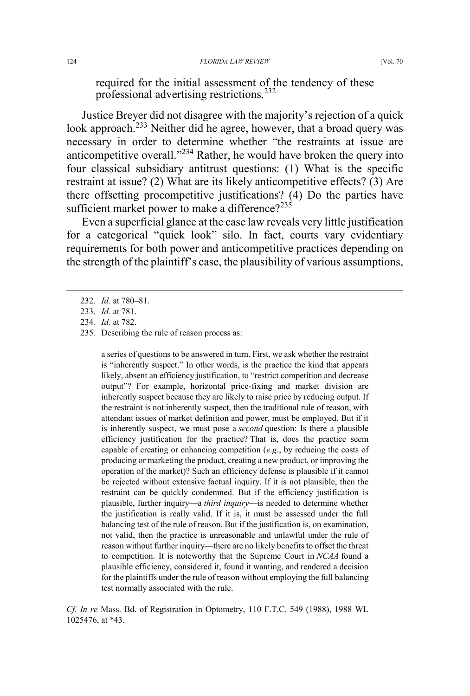required for the initial assessment of the tendency of these professional advertising restrictions.<sup>232</sup>

Justice Breyer did not disagree with the majority's rejection of a quick look approach.<sup>233</sup> Neither did he agree, however, that a broad query was necessary in order to determine whether "the restraints at issue are anticompetitive overall."<sup>234</sup> Rather, he would have broken the query into four classical subsidiary antitrust questions: (1) What is the specific restraint at issue? (2) What are its likely anticompetitive effects? (3) Are there offsetting procompetitive justifications? (4) Do the parties have sufficient market power to make a difference? $235$ 

Even a superficial glance at the case law reveals very little justification for a categorical "quick look" silo. In fact, courts vary evidentiary requirements for both power and anticompetitive practices depending on the strength of the plaintiff's case, the plausibility of various assumptions,

a series of questions to be answered in turn. First, we ask whether the restraint is "inherently suspect." In other words, is the practice the kind that appears likely, absent an efficiency justification, to "restrict competition and decrease output"? For example, horizontal price-fixing and market division are inherently suspect because they are likely to raise price by reducing output. If the restraint is not inherently suspect, then the traditional rule of reason, with attendant issues of market definition and power, must be employed. But if it is inherently suspect, we must pose a *second* question: Is there a plausible efficiency justification for the practice? That is, does the practice seem capable of creating or enhancing competition (*e.g.*, by reducing the costs of producing or marketing the product, creating a new product, or improving the operation of the market)? Such an efficiency defense is plausible if it cannot be rejected without extensive factual inquiry. If it is not plausible, then the restraint can be quickly condemned. But if the efficiency justification is plausible, further inquiry—a *third inquiry*—is needed to determine whether the justification is really valid. If it is, it must be assessed under the full balancing test of the rule of reason. But if the justification is, on examination, not valid, then the practice is unreasonable and unlawful under the rule of reason without further inquiry—there are no likely benefits to offset the threat to competition. It is noteworthy that the Supreme Court in *NCAA* found a plausible efficiency, considered it, found it wanting, and rendered a decision for the plaintiffs under the rule of reason without employing the full balancing test normally associated with the rule.

*Cf. In re* Mass. Bd. of Registration in Optometry, 110 F.T.C. 549 (1988), 1988 WL 1025476, at \*43.

 <sup>232</sup>*. Id.* at 780–81.

<sup>233.</sup> *Id.* at 781.

<sup>234</sup>*. Id.* at 782.

<sup>235</sup>*.* Describing the rule of reason process as: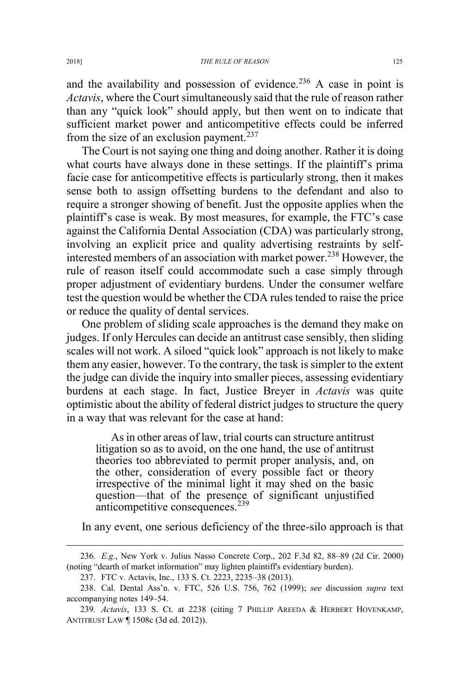and the availability and possession of evidence.<sup>236</sup> A case in point is *Actavis*, where the Court simultaneously said that the rule of reason rather than any "quick look" should apply, but then went on to indicate that sufficient market power and anticompetitive effects could be inferred from the size of an exclusion payment.<sup>237</sup>

The Court is not saying one thing and doing another. Rather it is doing what courts have always done in these settings. If the plaintiff's prima facie case for anticompetitive effects is particularly strong, then it makes sense both to assign offsetting burdens to the defendant and also to require a stronger showing of benefit. Just the opposite applies when the plaintiff's case is weak. By most measures, for example, the FTC's case against the California Dental Association (CDA) was particularly strong, involving an explicit price and quality advertising restraints by selfinterested members of an association with market power.<sup>238</sup> However, the rule of reason itself could accommodate such a case simply through proper adjustment of evidentiary burdens. Under the consumer welfare test the question would be whether the CDA rules tended to raise the price or reduce the quality of dental services.

One problem of sliding scale approaches is the demand they make on judges. If only Hercules can decide an antitrust case sensibly, then sliding scales will not work. A siloed "quick look" approach is not likely to make them any easier, however. To the contrary, the task is simpler to the extent the judge can divide the inquiry into smaller pieces, assessing evidentiary burdens at each stage. In fact, Justice Breyer in *Actavis* was quite optimistic about the ability of federal district judges to structure the query in a way that was relevant for the case at hand:

As in other areas of law, trial courts can structure antitrust litigation so as to avoid, on the one hand, the use of antitrust theories too abbreviated to permit proper analysis, and, on the other, consideration of every possible fact or theory irrespective of the minimal light it may shed on the basic question—that of the presence of significant unjustified anticompetitive consequences.<sup>239</sup>

In any event, one serious deficiency of the three-silo approach is that

 <sup>236</sup>*. E.g.*, New York v. Julius Nasso Concrete Corp., 202 F.3d 82, 88–89 (2d Cir. 2000) (noting "dearth of market information" may lighten plaintiff's evidentiary burden).

<sup>237.</sup> FTC v. Actavis, Inc., 133 S. Ct. 2223, 2235–38 (2013).

<sup>238.</sup> Cal. Dental Ass'n. v. FTC, 526 U.S. 756, 762 (1999); *see* discussion *supra* text accompanying notes 149–54.

<sup>239</sup>*. Actavis*, 133 S. Ct. at 2238 (citing 7 PHILLIP AREEDA & HERBERT HOVENKAMP, ANTITRUST LAW ¶ 1508c (3d ed. 2012)).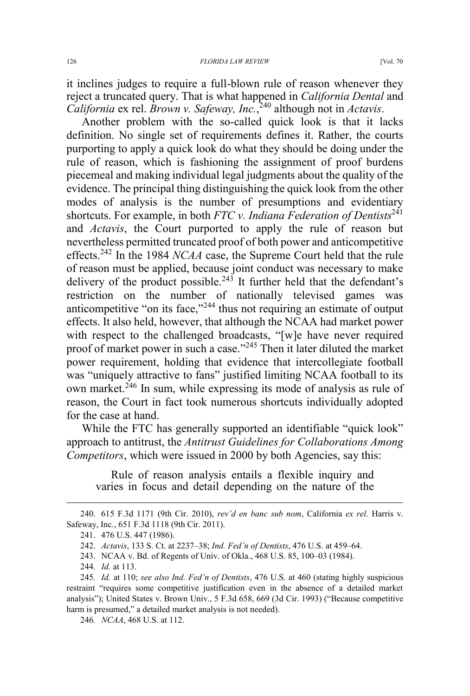it inclines judges to require a full-blown rule of reason whenever they reject a truncated query. That is what happened in *California Dental* and *California* ex rel. *Brown v. Safeway, Inc.*, <sup>240</sup> although not in *Actavis*.

Another problem with the so-called quick look is that it lacks definition. No single set of requirements defines it. Rather, the courts purporting to apply a quick look do what they should be doing under the rule of reason, which is fashioning the assignment of proof burdens piecemeal and making individual legal judgments about the quality of the evidence. The principal thing distinguishing the quick look from the other modes of analysis is the number of presumptions and evidentiary shortcuts. For example, in both *FTC v. Indiana Federation of Dentists*<sup>241</sup> and *Actavis*, the Court purported to apply the rule of reason but nevertheless permitted truncated proof of both power and anticompetitive effects.<sup>242</sup> In the 1984 *NCAA* case, the Supreme Court held that the rule of reason must be applied, because joint conduct was necessary to make delivery of the product possible.<sup>243</sup> It further held that the defendant's restriction on the number of nationally televised games was anticompetitive "on its face,"<sup>244</sup> thus not requiring an estimate of output effects. It also held, however, that although the NCAA had market power with respect to the challenged broadcasts, "[w]e have never required proof of market power in such a case."<sup>245</sup> Then it later diluted the market power requirement, holding that evidence that intercollegiate football was "uniquely attractive to fans" justified limiting NCAA football to its own market.<sup>246</sup> In sum, while expressing its mode of analysis as rule of reason, the Court in fact took numerous shortcuts individually adopted for the case at hand.

While the FTC has generally supported an identifiable "quick look" approach to antitrust, the *Antitrust Guidelines for Collaborations Among Competitors*, which were issued in 2000 by both Agencies, say this:

Rule of reason analysis entails a flexible inquiry and varies in focus and detail depending on the nature of the

243. NCAA v. Bd. of Regents of Univ. of Okla., 468 U.S. 85, 100–03 (1984).

 <sup>240. 615</sup> F.3d 1171 (9th Cir. 2010), *rev'd en banc sub nom*, California *ex rel*. Harris v. Safeway, Inc*.*, 651 F.3d 1118 (9th Cir. 2011).

<sup>241. 476</sup> U.S. 447 (1986).

<sup>242.</sup> *Actavis*, 133 S. Ct. at 2237–38; *Ind. Fed'n of Dentists*, 476 U.S. at 459–64.

<sup>244</sup>*. Id.* at 113.

<sup>245</sup>*. Id.* at 110; *see also Ind. Fed'n of Dentists*, 476 U.S. at 460 (stating highly suspicious restraint "requires some competitive justification even in the absence of a detailed market analysis"); United States v. Brown Univ., 5 F.3d 658, 669 (3d Cir. 1993) ("Because competitive harm is presumed," a detailed market analysis is not needed).

<sup>246</sup>*. NCAA*, 468 U.S. at 112.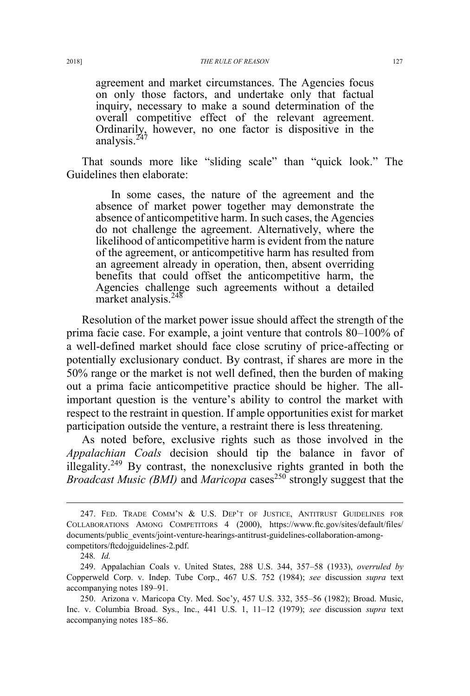agreement and market circumstances. The Agencies focus on only those factors, and undertake only that factual inquiry, necessary to make a sound determination of the overall competitive effect of the relevant agreement. Ordinarily, however, no one factor is dispositive in the analysis.<sup>247</sup>

That sounds more like "sliding scale" than "quick look." The Guidelines then elaborate:

In some cases, the nature of the agreement and the absence of market power together may demonstrate the absence of anticompetitive harm. In such cases, the Agencies do not challenge the agreement. Alternatively, where the likelihood of anticompetitive harm is evident from the nature of the agreement, or anticompetitive harm has resulted from an agreement already in operation, then, absent overriding benefits that could offset the anticompetitive harm, the Agencies challenge such agreements without a detailed market analysis.<sup>248</sup>

Resolution of the market power issue should affect the strength of the prima facie case. For example, a joint venture that controls 80–100% of a well-defined market should face close scrutiny of price-affecting or potentially exclusionary conduct. By contrast, if shares are more in the 50% range or the market is not well defined, then the burden of making out a prima facie anticompetitive practice should be higher. The allimportant question is the venture's ability to control the market with respect to the restraint in question. If ample opportunities exist for market participation outside the venture, a restraint there is less threatening.

As noted before, exclusive rights such as those involved in the *Appalachian Coals* decision should tip the balance in favor of illegality.<sup>249</sup> By contrast, the nonexclusive rights granted in both the *Broadcast Music (BMI)* and *Maricopa* cases<sup>250</sup> strongly suggest that the

 <sup>247.</sup> FED. TRADE COMM'<sup>N</sup> & U.S. DEP'T OF JUSTICE, ANTITRUST GUIDELINES FOR COLLABORATIONS AMONG COMPETITORS 4 (2000), https://www.ftc.gov/sites/default/files/ documents/public\_events/joint-venture-hearings-antitrust-guidelines-collaboration-amongcompetitors/ftcdojguidelines-2.pdf.

<sup>248</sup>*. Id.*

<sup>249.</sup> Appalachian Coals v. United States, 288 U.S. 344, 357–58 (1933), *overruled by* Copperweld Corp. v. Indep. Tube Corp., 467 U.S. 752 (1984); *see* discussion *supra* text accompanying notes 189–91.

<sup>250.</sup> Arizona v. Maricopa Cty. Med. Soc'y, 457 U.S. 332, 355–56 (1982); Broad. Music, Inc. v. Columbia Broad. Sys., Inc., 441 U.S. 1, 11–12 (1979); *see* discussion *supra* text accompanying notes 185–86.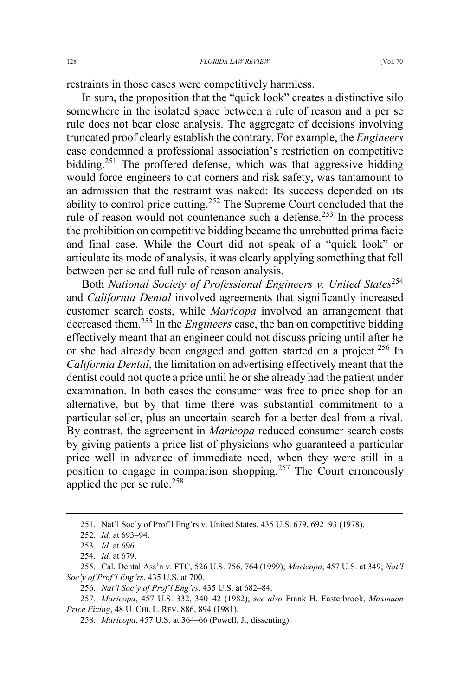restraints in those cases were competitively harmless.

In sum, the proposition that the "quick look" creates a distinctive silo somewhere in the isolated space between a rule of reason and a per se rule does not bear close analysis. The aggregate of decisions involving truncated proof clearly establish the contrary. For example, the *Engineers* case condemned a professional association's restriction on competitive bidding.<sup>251</sup> The proffered defense, which was that aggressive bidding would force engineers to cut corners and risk safety, was tantamount to an admission that the restraint was naked: Its success depended on its ability to control price cutting.<sup>252</sup> The Supreme Court concluded that the rule of reason would not countenance such a defense.<sup>253</sup> In the process the prohibition on competitive bidding became the unrebutted prima facie and final case. While the Court did not speak of a "quick look" or articulate its mode of analysis, it was clearly applying something that fell between per se and full rule of reason analysis.

Both *National Society of Professional Engineers v. United States*<sup>254</sup> and *California Dental* involved agreements that significantly increased customer search costs, while *Maricopa* involved an arrangement that decreased them.<sup>255</sup> In the *Engineers* case, the ban on competitive bidding effectively meant that an engineer could not discuss pricing until after he or she had already been engaged and gotten started on a project.<sup>256</sup> In *California Dental*, the limitation on advertising effectively meant that the dentist could not quote a price until he or she already had the patient under examination. In both cases the consumer was free to price shop for an alternative, but by that time there was substantial commitment to a particular seller, plus an uncertain search for a better deal from a rival. By contrast, the agreement in *Maricopa* reduced consumer search costs by giving patients a price list of physicians who guaranteed a particular price well in advance of immediate need, when they were still in a position to engage in comparison shopping.<sup>257</sup> The Court erroneously applied the per se rule.<sup>258</sup>

 <sup>251.</sup> Nat'l Soc'y of Prof'l Eng'rs v. United States, 435 U.S. 679, 692–93 (1978).

<sup>252.</sup> *Id.* at 693–94.

<sup>253</sup>*. Id.* at 696.

<sup>254.</sup> *Id.* at 679.

<sup>255.</sup> Cal. Dental Ass'n v. FTC, 526 U.S. 756, 764 (1999); *Maricopa*, 457 U.S. at 349; *Nat'l Soc'y of Prof'l Eng'rs*, 435 U.S. at 700.

<sup>256</sup>*. Nat'l Soc'y of Prof'l Eng'rs*, 435 U.S. at 682–84.

<sup>257</sup>*. Maricopa*, 457 U.S. 332, 340–42 (1982); *see also* Frank H. Easterbrook, *Maximum Price Fixing*, 48 U. CHI. L. REV. 886, 894 (1981).

<sup>258.</sup> *Maricopa*, 457 U.S. at 364–66 (Powell, J., dissenting).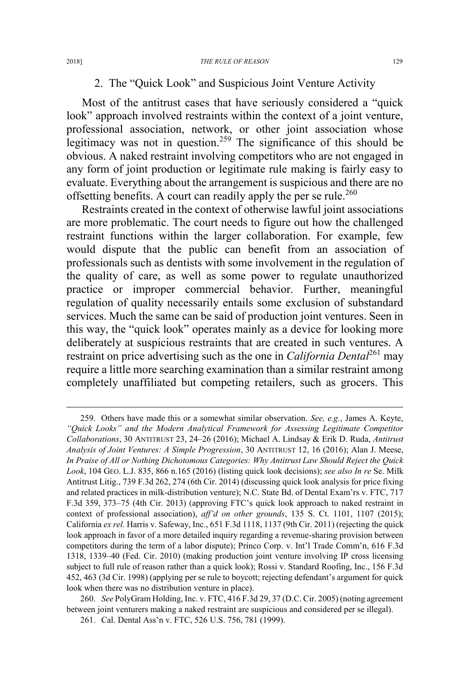### 2. The "Quick Look" and Suspicious Joint Venture Activity

Most of the antitrust cases that have seriously considered a "quick look" approach involved restraints within the context of a joint venture, professional association, network, or other joint association whose legitimacy was not in question.<sup>259</sup> The significance of this should be obvious. A naked restraint involving competitors who are not engaged in any form of joint production or legitimate rule making is fairly easy to evaluate. Everything about the arrangement is suspicious and there are no offsetting benefits. A court can readily apply the per se rule.<sup>260</sup>

Restraints created in the context of otherwise lawful joint associations are more problematic. The court needs to figure out how the challenged restraint functions within the larger collaboration. For example, few would dispute that the public can benefit from an association of professionals such as dentists with some involvement in the regulation of the quality of care, as well as some power to regulate unauthorized practice or improper commercial behavior. Further, meaningful regulation of quality necessarily entails some exclusion of substandard services. Much the same can be said of production joint ventures. Seen in this way, the "quick look" operates mainly as a device for looking more deliberately at suspicious restraints that are created in such ventures. A restraint on price advertising such as the one in *California Dental*<sup>261</sup> may require a little more searching examination than a similar restraint among completely unaffiliated but competing retailers, such as grocers. This

 <sup>259.</sup> Others have made this or a somewhat similar observation. *See, e.g.*, James A. Keyte, *"Quick Looks" and the Modern Analytical Framework for Assessing Legitimate Competitor Collaborations*, 30 ANTITRUST 23, 24–26 (2016); Michael A. Lindsay & Erik D. Ruda, *Antitrust Analysis of Joint Ventures: A Simple Progression*, 30 ANTITRUST 12, 16 (2016); Alan J. Meese, *In Praise of All or Nothing Dichotomous Categories: Why Antitrust Law Should Reject the Quick Look*, 104 GEO. L.J. 835, 866 n.165 (2016) (listing quick look decisions); *see also In re* Se. Milk Antitrust Litig., 739 F.3d 262, 274 (6th Cir. 2014) (discussing quick look analysis for price fixing and related practices in milk-distribution venture); N.C. State Bd. of Dental Exam'rs v. FTC, 717 F.3d 359, 373–75 (4th Cir. 2013) (approving FTC's quick look approach to naked restraint in context of professional association), *aff'd on other grounds*, 135 S. Ct. 1101, 1107 (2015); California *ex rel.* Harris v. Safeway, Inc., 651 F.3d 1118, 1137 (9th Cir. 2011) (rejecting the quick look approach in favor of a more detailed inquiry regarding a revenue-sharing provision between competitors during the term of a labor dispute); Princo Corp. v. Int'l Trade Comm'n, 616 F.3d 1318, 1339–40 (Fed. Cir. 2010) (making production joint venture involving IP cross licensing subject to full rule of reason rather than a quick look); Rossi v. Standard Roofing, Inc., 156 F.3d 452, 463 (3d Cir. 1998) (applying per se rule to boycott; rejecting defendant's argument for quick look when there was no distribution venture in place).

<sup>260.</sup> *See* PolyGram Holding, Inc. v. FTC, 416 F.3d 29, 37 (D.C. Cir. 2005) (noting agreement between joint venturers making a naked restraint are suspicious and considered per se illegal).

<sup>261.</sup> Cal. Dental Ass'n v. FTC, 526 U.S. 756, 781 (1999).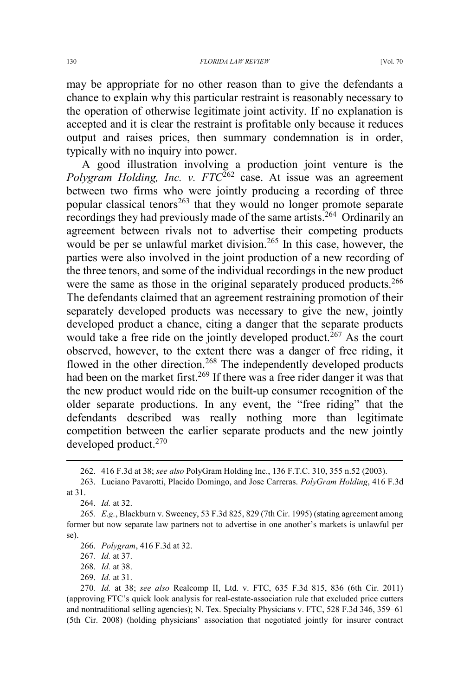may be appropriate for no other reason than to give the defendants a chance to explain why this particular restraint is reasonably necessary to the operation of otherwise legitimate joint activity. If no explanation is accepted and it is clear the restraint is profitable only because it reduces output and raises prices, then summary condemnation is in order, typically with no inquiry into power.

A good illustration involving a production joint venture is the *Polygram Holding, Inc. v. FTC*<sup>262</sup> case. At issue was an agreement between two firms who were jointly producing a recording of three popular classical tenors<sup>263</sup> that they would no longer promote separate recordings they had previously made of the same artists.<sup>264</sup> Ordinarily an agreement between rivals not to advertise their competing products would be per se unlawful market division.<sup>265</sup> In this case, however, the parties were also involved in the joint production of a new recording of the three tenors, and some of the individual recordings in the new product were the same as those in the original separately produced products.<sup>266</sup> The defendants claimed that an agreement restraining promotion of their separately developed products was necessary to give the new, jointly developed product a chance, citing a danger that the separate products would take a free ride on the jointly developed product.<sup> $267$ </sup> As the court observed, however, to the extent there was a danger of free riding, it flowed in the other direction.<sup>268</sup> The independently developed products had been on the market first.<sup>269</sup> If there was a free rider danger it was that the new product would ride on the built-up consumer recognition of the older separate productions. In any event, the "free riding" that the defendants described was really nothing more than legitimate competition between the earlier separate products and the new jointly developed product.<sup>270</sup>

269. *Id.* at 31.

 <sup>262. 416</sup> F.3d at 38; *see also* PolyGram Holding Inc., 136 F.T.C. 310, 355 n.52 (2003).

<sup>263.</sup> Luciano Pavarotti, Placido Domingo, and Jose Carreras. *PolyGram Holding*, 416 F.3d at 31.

<sup>264.</sup> *Id.* at 32.

<sup>265</sup>*. E.g.*, Blackburn v. Sweeney, 53 F.3d 825, 829 (7th Cir. 1995) (stating agreement among former but now separate law partners not to advertise in one another's markets is unlawful per se).

<sup>266.</sup> *Polygram*, 416 F.3d at 32.

<sup>267</sup>*. Id.* at 37.

<sup>268.</sup> *Id.* at 38.

<sup>270</sup>*. Id.* at 38; *see also* Realcomp II, Ltd. v. FTC, 635 F.3d 815, 836 (6th Cir. 2011) (approving FTC's quick look analysis for real-estate-association rule that excluded price cutters and nontraditional selling agencies); N. Tex. Specialty Physicians v. FTC, 528 F.3d 346, 359–61 (5th Cir. 2008) (holding physicians' association that negotiated jointly for insurer contract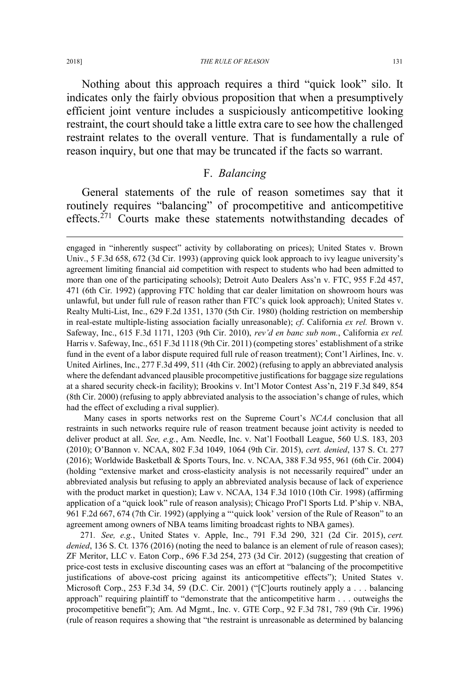#### 2018] *THE RULE OF REASON* 131

Nothing about this approach requires a third "quick look" silo. It indicates only the fairly obvious proposition that when a presumptively efficient joint venture includes a suspiciously anticompetitive looking restraint, the court should take a little extra care to see how the challenged restraint relates to the overall venture. That is fundamentally a rule of reason inquiry, but one that may be truncated if the facts so warrant.

### F. *Balancing*

General statements of the rule of reason sometimes say that it routinely requires "balancing" of procompetitive and anticompetitive effects.<sup>271</sup> Courts make these statements notwithstanding decades of

Many cases in sports networks rest on the Supreme Court's *NCAA* conclusion that all restraints in such networks require rule of reason treatment because joint activity is needed to deliver product at all. *See, e.g.*, Am. Needle, Inc. v. Nat'l Football League, 560 U.S. 183, 203 (2010); O'Bannon v. NCAA, 802 F.3d 1049, 1064 (9th Cir. 2015), *cert. denied*, 137 S. Ct. 277 (2016); Worldwide Basketball & Sports Tours, Inc. v. NCAA, 388 F.3d 955, 961 (6th Cir. 2004) (holding "extensive market and cross-elasticity analysis is not necessarily required" under an abbreviated analysis but refusing to apply an abbreviated analysis because of lack of experience with the product market in question); Law v. NCAA, 134 F.3d 1010 (10th Cir. 1998) (affirming application of a "quick look" rule of reason analysis); Chicago Prof'l Sports Ltd. P'ship v. NBA, 961 F.2d 667, 674 (7th Cir. 1992) (applying a "'quick look' version of the Rule of Reason" to an agreement among owners of NBA teams limiting broadcast rights to NBA games).

271*. See, e.g.*, United States v. Apple, Inc., 791 F.3d 290, 321 (2d Cir. 2015), *cert. denied*, 136 S. Ct. 1376 (2016) (noting the need to balance is an element of rule of reason cases); ZF Meritor, LLC v. Eaton Corp., 696 F.3d 254, 273 (3d Cir. 2012) (suggesting that creation of price-cost tests in exclusive discounting cases was an effort at "balancing of the procompetitive justifications of above-cost pricing against its anticompetitive effects"); United States v. Microsoft Corp., 253 F.3d 34, 59 (D.C. Cir. 2001) ("[C]ourts routinely apply a . . . balancing approach" requiring plaintiff to "demonstrate that the anticompetitive harm . . . outweighs the procompetitive benefit"); Am. Ad Mgmt., Inc. v. GTE Corp., 92 F.3d 781, 789 (9th Cir. 1996) (rule of reason requires a showing that "the restraint is unreasonable as determined by balancing

 $\overline{a}$ 

engaged in "inherently suspect" activity by collaborating on prices); United States v. Brown Univ., 5 F.3d 658, 672 (3d Cir. 1993) (approving quick look approach to ivy league university's agreement limiting financial aid competition with respect to students who had been admitted to more than one of the participating schools); Detroit Auto Dealers Ass'n v. FTC, 955 F.2d 457, 471 (6th Cir. 1992) (approving FTC holding that car dealer limitation on showroom hours was unlawful, but under full rule of reason rather than FTC's quick look approach); United States v. Realty Multi-List, Inc., 629 F.2d 1351, 1370 (5th Cir. 1980) (holding restriction on membership in real-estate multiple-listing association facially unreasonable); *cf*. California *ex rel.* Brown v. Safeway, Inc., 615 F.3d 1171, 1203 (9th Cir. 2010), *rev'd en banc sub nom.*, California *ex rel.* Harris v. Safeway, Inc., 651 F.3d 1118 (9th Cir. 2011) (competing stores' establishment of a strike fund in the event of a labor dispute required full rule of reason treatment); Cont'l Airlines, Inc. v. United Airlines, Inc., 277 F.3d 499, 511 (4th Cir. 2002) (refusing to apply an abbreviated analysis where the defendant advanced plausible procompetitive justifications for baggage size regulations at a shared security check-in facility); Brookins v. Int'l Motor Contest Ass'n, 219 F.3d 849, 854 (8th Cir. 2000) (refusing to apply abbreviated analysis to the association's change of rules, which had the effect of excluding a rival supplier).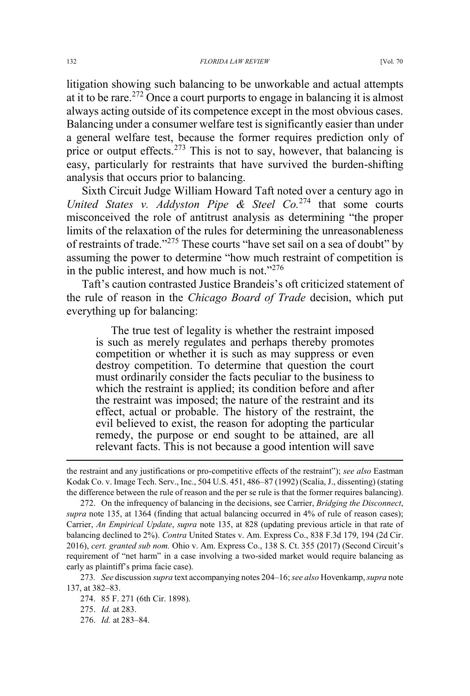litigation showing such balancing to be unworkable and actual attempts at it to be rare.<sup>272</sup> Once a court purports to engage in balancing it is almost always acting outside of its competence except in the most obvious cases. Balancing under a consumer welfare test is significantly easier than under a general welfare test, because the former requires prediction only of price or output effects.<sup>273</sup> This is not to say, however, that balancing is easy, particularly for restraints that have survived the burden-shifting analysis that occurs prior to balancing.

Sixth Circuit Judge William Howard Taft noted over a century ago in *United States v. Addyston Pipe & Steel Co.*<sup>274</sup> that some courts misconceived the role of antitrust analysis as determining "the proper limits of the relaxation of the rules for determining the unreasonableness of restraints of trade."<sup>275</sup> These courts "have set sail on a sea of doubt" by assuming the power to determine "how much restraint of competition is in the public interest, and how much is not." $276$ 

Taft's caution contrasted Justice Brandeis's oft criticized statement of the rule of reason in the *Chicago Board of Trade* decision, which put everything up for balancing:

The true test of legality is whether the restraint imposed is such as merely regulates and perhaps thereby promotes competition or whether it is such as may suppress or even destroy competition. To determine that question the court must ordinarily consider the facts peculiar to the business to which the restraint is applied; its condition before and after the restraint was imposed; the nature of the restraint and its effect, actual or probable. The history of the restraint, the evil believed to exist, the reason for adopting the particular remedy, the purpose or end sought to be attained, are all relevant facts. This is not because a good intention will save

 $\overline{a}$ 

276. *Id.* at 283–84.

the restraint and any justifications or pro-competitive effects of the restraint"); *see also* Eastman Kodak Co. v. Image Tech. Serv., Inc., 504 U.S. 451, 486–87 (1992) (Scalia, J., dissenting) (stating the difference between the rule of reason and the per se rule is that the former requires balancing).

<sup>272.</sup> On the infrequency of balancing in the decisions, see Carrier, *Bridging the Disconnect*, *supra* note 135, at 1364 (finding that actual balancing occurred in 4% of rule of reason cases); Carrier, *An Empirical Update*, *supra* note 135, at 828 (updating previous article in that rate of balancing declined to 2%). *Contra* United States v. Am. Express Co., 838 F.3d 179, 194 (2d Cir. 2016), *cert. granted sub nom.* Ohio v. Am. Express Co., 138 S. Ct. 355 (2017) (Second Circuit's requirement of "net harm" in a case involving a two-sided market would require balancing as early as plaintiff's prima facie case).

<sup>273</sup>*. See* discussion *supra* text accompanying notes 204–16;*see also* Hovenkamp, *supra* note 137, at 382–83.

<sup>274. 85</sup> F. 271 (6th Cir. 1898).

<sup>275.</sup> *Id.* at 283.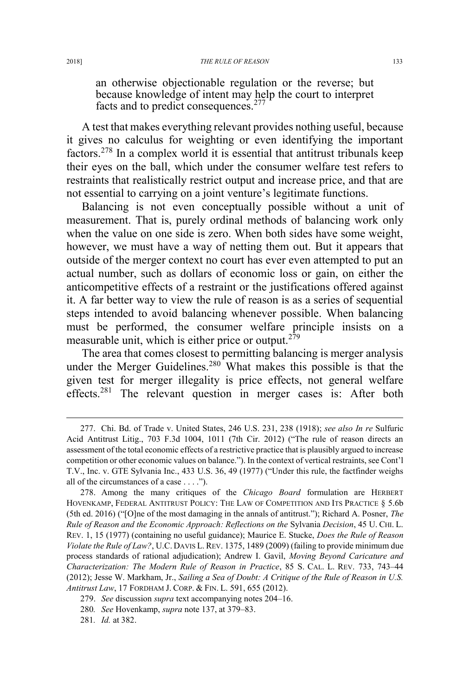an otherwise objectionable regulation or the reverse; but because knowledge of intent may help the court to interpret facts and to predict consequences.<sup>277</sup>

A test that makes everything relevant provides nothing useful, because it gives no calculus for weighting or even identifying the important factors.<sup>278</sup> In a complex world it is essential that antitrust tribunals keep their eyes on the ball, which under the consumer welfare test refers to restraints that realistically restrict output and increase price, and that are not essential to carrying on a joint venture's legitimate functions.

Balancing is not even conceptually possible without a unit of measurement. That is, purely ordinal methods of balancing work only when the value on one side is zero. When both sides have some weight, however, we must have a way of netting them out. But it appears that outside of the merger context no court has ever even attempted to put an actual number, such as dollars of economic loss or gain, on either the anticompetitive effects of a restraint or the justifications offered against it. A far better way to view the rule of reason is as a series of sequential steps intended to avoid balancing whenever possible. When balancing must be performed, the consumer welfare principle insists on a measurable unit, which is either price or output.<sup>279</sup>

The area that comes closest to permitting balancing is merger analysis under the Merger Guidelines.<sup>280</sup> What makes this possible is that the given test for merger illegality is price effects, not general welfare effects.<sup>281</sup> The relevant question in merger cases is: After both

 <sup>277.</sup> Chi. Bd. of Trade v. United States, 246 U.S. 231, 238 (1918); *see also In re* Sulfuric Acid Antitrust Litig., 703 F.3d 1004, 1011 (7th Cir. 2012) ("The rule of reason directs an assessment of the total economic effects of a restrictive practice that is plausibly argued to increase competition or other economic values on balance."). In the context of vertical restraints, see Cont'l T.V., Inc. v. GTE Sylvania Inc., 433 U.S. 36, 49 (1977) ("Under this rule, the factfinder weighs all of the circumstances of a case . . . .").

<sup>278.</sup> Among the many critiques of the *Chicago Board* formulation are HERBERT HOVENKAMP, FEDERAL ANTITRUST POLICY: THE LAW OF COMPETITION AND ITS PRACTICE § 5.6b (5th ed. 2016) ("[O]ne of the most damaging in the annals of antitrust."); Richard A. Posner, *The Rule of Reason and the Economic Approach: Reflections on the* Sylvania *Decision*, 45 U. CHI. L. REV. 1, 15 (1977) (containing no useful guidance); Maurice E. Stucke, *Does the Rule of Reason Violate the Rule of Law?*, U.C. DAVIS L. REV. 1375, 1489 (2009) (failing to provide minimum due process standards of rational adjudication); Andrew I. Gavil, *Moving Beyond Caricature and Characterization: The Modern Rule of Reason in Practice*, 85 S. CAL. L. REV. 733, 743–44 (2012); Jesse W. Markham, Jr., *Sailing a Sea of Doubt: A Critique of the Rule of Reason in U.S. Antitrust Law*, 17 FORDHAM J. CORP.&FIN. L. 591, 655 (2012).

<sup>279.</sup> *See* discussion *supra* text accompanying notes 204–16.

<sup>280</sup>*. See* Hovenkamp, *supra* note 137, at 379–83.

<sup>281</sup>*. Id.* at 382.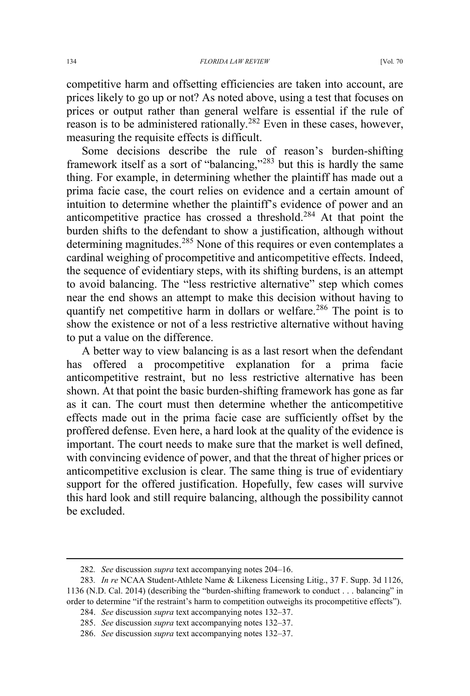competitive harm and offsetting efficiencies are taken into account, are prices likely to go up or not? As noted above, using a test that focuses on prices or output rather than general welfare is essential if the rule of reason is to be administered rationally.<sup>282</sup> Even in these cases, however, measuring the requisite effects is difficult.

Some decisions describe the rule of reason's burden-shifting framework itself as a sort of "balancing,"<sup>283</sup> but this is hardly the same thing. For example, in determining whether the plaintiff has made out a prima facie case, the court relies on evidence and a certain amount of intuition to determine whether the plaintiff's evidence of power and an anticompetitive practice has crossed a threshold.<sup>284</sup> At that point the burden shifts to the defendant to show a justification, although without determining magnitudes.<sup>285</sup> None of this requires or even contemplates a cardinal weighing of procompetitive and anticompetitive effects. Indeed, the sequence of evidentiary steps, with its shifting burdens, is an attempt to avoid balancing. The "less restrictive alternative" step which comes near the end shows an attempt to make this decision without having to quantify net competitive harm in dollars or welfare.<sup>286</sup> The point is to show the existence or not of a less restrictive alternative without having to put a value on the difference.

A better way to view balancing is as a last resort when the defendant has offered a procompetitive explanation for a prima facie anticompetitive restraint, but no less restrictive alternative has been shown. At that point the basic burden-shifting framework has gone as far as it can. The court must then determine whether the anticompetitive effects made out in the prima facie case are sufficiently offset by the proffered defense. Even here, a hard look at the quality of the evidence is important. The court needs to make sure that the market is well defined, with convincing evidence of power, and that the threat of higher prices or anticompetitive exclusion is clear. The same thing is true of evidentiary support for the offered justification. Hopefully, few cases will survive this hard look and still require balancing, although the possibility cannot be excluded.

 <sup>282</sup>*. See* discussion *supra* text accompanying notes 204–16.

<sup>283</sup>*. In re* NCAA Student-Athlete Name & Likeness Licensing Litig., 37 F. Supp. 3d 1126, 1136 (N.D. Cal. 2014) (describing the "burden-shifting framework to conduct . . . balancing" in order to determine "if the restraint's harm to competition outweighs its procompetitive effects").

<sup>284.</sup> *See* discussion *supra* text accompanying notes 132–37.

<sup>285.</sup> *See* discussion *supra* text accompanying notes 132–37.

<sup>286.</sup> *See* discussion *supra* text accompanying notes 132–37.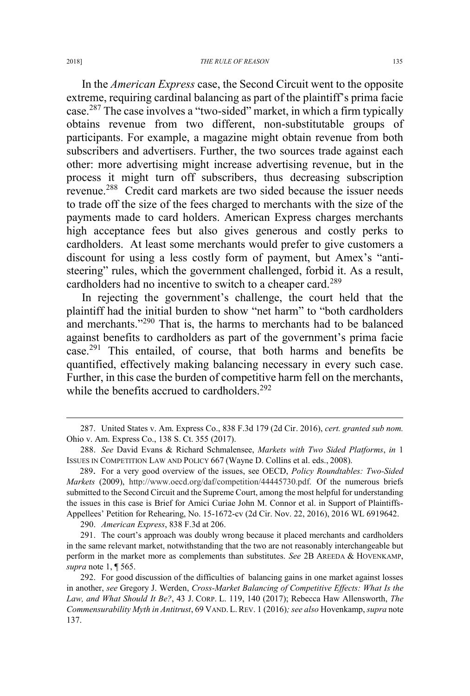In the *American Express* case, the Second Circuit went to the opposite extreme, requiring cardinal balancing as part of the plaintiff's prima facie case.<sup>287</sup> The case involves a "two-sided" market, in which a firm typically obtains revenue from two different, non-substitutable groups of participants. For example, a magazine might obtain revenue from both subscribers and advertisers. Further, the two sources trade against each other: more advertising might increase advertising revenue, but in the process it might turn off subscribers, thus decreasing subscription revenue.<sup>288</sup> Credit card markets are two sided because the issuer needs to trade off the size of the fees charged to merchants with the size of the payments made to card holders. American Express charges merchants high acceptance fees but also gives generous and costly perks to cardholders. At least some merchants would prefer to give customers a discount for using a less costly form of payment, but Amex's "antisteering" rules, which the government challenged, forbid it. As a result, cardholders had no incentive to switch to a cheaper card.<sup>289</sup>

In rejecting the government's challenge, the court held that the plaintiff had the initial burden to show "net harm" to "both cardholders and merchants."<sup>290</sup> That is, the harms to merchants had to be balanced against benefits to cardholders as part of the government's prima facie case.<sup>291</sup> This entailed, of course, that both harms and benefits be quantified, effectively making balancing necessary in every such case. Further, in this case the burden of competitive harm fell on the merchants, while the benefits accrued to cardholders.<sup>292</sup>

290. *American Express*, 838 F.3d at 206.

 <sup>287.</sup> United States v. Am. Express Co., 838 F.3d 179 (2d Cir. 2016), *cert. granted sub nom.* Ohio v. Am. Express Co., 138 S. Ct. 355 (2017).

<sup>288.</sup> *See* David Evans & Richard Schmalensee, *Markets with Two Sided Platforms*, *in* 1 ISSUES IN COMPETITION LAW AND POLICY 667 (Wayne D. Collins et al. eds., 2008).

<sup>289.</sup> For a very good overview of the issues, see OECD, *Policy Roundtables: Two-Sided Markets* (2009), http://www.oecd.org/daf/competition/44445730.pdf. Of the numerous briefs submitted to the Second Circuit and the Supreme Court, among the most helpful for understanding the issues in this case is Brief for Amici Curiae John M. Connor et al. in Support of Plaintiffs-Appellees' Petition for Rehearing, No. 15-1672-cv (2d Cir. Nov. 22, 2016), 2016 WL 6919642.

<sup>291.</sup> The court's approach was doubly wrong because it placed merchants and cardholders in the same relevant market, notwithstanding that the two are not reasonably interchangeable but perform in the market more as complements than substitutes. *See* 2B AREEDA & HOVENKAMP, *supra* note 1, ¶ 565.

<sup>292.</sup> For good discussion of the difficulties of balancing gains in one market against losses in another, *see* Gregory J. Werden, *Cross-Market Balancing of Competitive Effects: What Is the Law, and What Should It Be?*, 43 J. CORP. L. 119, 140 (2017); Rebecca Haw Allensworth, *The Commensurability Myth in Antitrust*, 69 VAND. L. REV. 1 (2016)*; see also* Hovenkamp, *supra* note 137.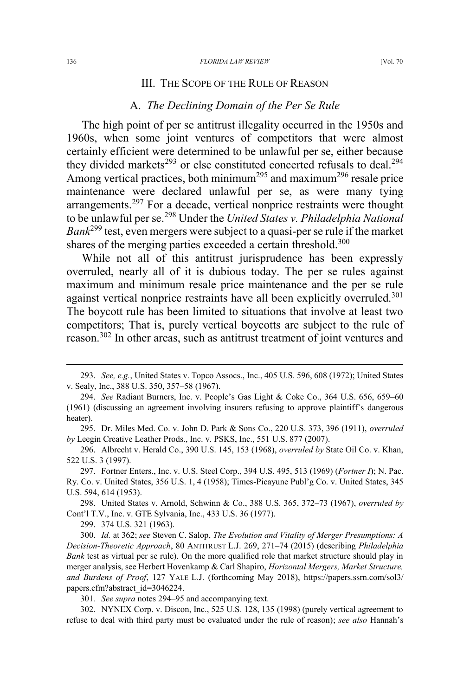#### III. THE SCOPE OF THE RULE OF REASON

#### A. *The Declining Domain of the Per Se Rule*

The high point of per se antitrust illegality occurred in the 1950s and 1960s, when some joint ventures of competitors that were almost certainly efficient were determined to be unlawful per se, either because they divided markets<sup>293</sup> or else constituted concerted refusals to deal.<sup>294</sup> Among vertical practices, both minimum<sup>295</sup> and maximum<sup>296</sup> resale price maintenance were declared unlawful per se, as were many tying arrangements.<sup>297</sup> For a decade, vertical nonprice restraints were thought to be unlawful per se.<sup>298</sup> Under the *United States v. Philadelphia National Bank*<sup>299</sup> test, even mergers were subject to a quasi-per se rule if the market shares of the merging parties exceeded a certain threshold.<sup>300</sup>

While not all of this antitrust jurisprudence has been expressly overruled, nearly all of it is dubious today. The per se rules against maximum and minimum resale price maintenance and the per se rule against vertical nonprice restraints have all been explicitly overruled.<sup>301</sup> The boycott rule has been limited to situations that involve at least two competitors; That is, purely vertical boycotts are subject to the rule of reason.<sup>302</sup> In other areas, such as antitrust treatment of joint ventures and

296. Albrecht v. Herald Co., 390 U.S. 145, 153 (1968), *overruled by* State Oil Co. v. Khan, 522 U.S. 3 (1997).

298. United States v. Arnold, Schwinn & Co., 388 U.S. 365, 372–73 (1967), *overruled by* Cont'l T.V., Inc. v. GTE Sylvania, Inc., 433 U.S. 36 (1977).

299. 374 U.S. 321 (1963).

300. *Id.* at 362; *see* Steven C. Salop, *The Evolution and Vitality of Merger Presumptions: A Decision-Theoretic Approach*, 80 ANTITRUST L.J. 269, 271–74 (2015) (describing *Philadelphia Bank* test as virtual per se rule). On the more qualified role that market structure should play in merger analysis, see Herbert Hovenkamp & Carl Shapiro, *Horizontal Mergers, Market Structure, and Burdens of Proof*, 127 YALE L.J. (forthcoming May 2018), https://papers.ssrn.com/sol3/ papers.cfm?abstract\_id=3046224.

301*. See supra* notes 294–95 and accompanying text.

302. NYNEX Corp. v. Discon, Inc., 525 U.S. 128, 135 (1998) (purely vertical agreement to refuse to deal with third party must be evaluated under the rule of reason); *see also* Hannah's

 <sup>293.</sup> *See, e.g.*, United States v. Topco Assocs., Inc., 405 U.S. 596, 608 (1972); United States v. Sealy, Inc., 388 U.S. 350, 357–58 (1967).

<sup>294.</sup> *See* Radiant Burners, Inc. v. People's Gas Light & Coke Co., 364 U.S. 656, 659–60 (1961) (discussing an agreement involving insurers refusing to approve plaintiff's dangerous heater).

<sup>295.</sup> Dr. Miles Med. Co. v. John D. Park & Sons Co., 220 U.S. 373, 396 (1911), *overruled by* Leegin Creative Leather Prods., Inc. v. PSKS, Inc., 551 U.S. 877 (2007).

<sup>297.</sup> Fortner Enters., Inc. v. U.S. Steel Corp., 394 U.S. 495, 513 (1969) (*Fortner I*); N. Pac. Ry. Co. v. United States, 356 U.S. 1, 4 (1958); Times-Picayune Publ'g Co. v. United States, 345 U.S. 594, 614 (1953).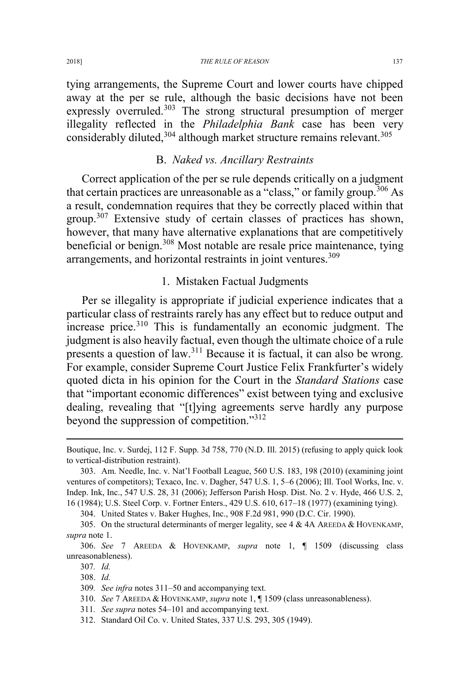tying arrangements, the Supreme Court and lower courts have chipped away at the per se rule, although the basic decisions have not been expressly overruled.<sup>303</sup> The strong structural presumption of merger illegality reflected in the *Philadelphia Bank* case has been very considerably diluted, $304$  although market structure remains relevant. $305$ 

#### B. *Naked vs. Ancillary Restraints*

Correct application of the per se rule depends critically on a judgment that certain practices are unreasonable as  $a^{c}$  class," or family group.<sup>306</sup> As a result, condemnation requires that they be correctly placed within that group.<sup>307</sup> Extensive study of certain classes of practices has shown, however, that many have alternative explanations that are competitively beneficial or benign.<sup>308</sup> Most notable are resale price maintenance, tying arrangements, and horizontal restraints in joint ventures.<sup>309</sup>

# 1. Mistaken Factual Judgments

Per se illegality is appropriate if judicial experience indicates that a particular class of restraints rarely has any effect but to reduce output and  $i$  increase price.<sup>310</sup> This is fundamentally an economic judgment. The judgment is also heavily factual, even though the ultimate choice of a rule presents a question of law.<sup>311</sup> Because it is factual, it can also be wrong. For example, consider Supreme Court Justice Felix Frankfurter's widely quoted dicta in his opinion for the Court in the *Standard Stations* case that "important economic differences" exist between tying and exclusive dealing, revealing that "[t]ying agreements serve hardly any purpose beyond the suppression of competition."<sup>312</sup>

304. United States v. Baker Hughes, Inc., 908 F.2d 981, 990 (D.C. Cir. 1990).

 $\overline{a}$ 

Boutique, Inc. v. Surdej, 112 F. Supp. 3d 758, 770 (N.D. Ill. 2015) (refusing to apply quick look to vertical-distribution restraint).

<sup>303.</sup> Am. Needle, Inc. v. Nat'l Football League, 560 U.S. 183, 198 (2010) (examining joint ventures of competitors); Texaco, Inc. v. Dagher, 547 U.S. 1, 5–6 (2006); Ill. Tool Works, Inc. v. Indep. Ink, Inc., 547 U.S. 28, 31 (2006); Jefferson Parish Hosp. Dist. No. 2 v. Hyde, 466 U.S. 2, 16 (1984); U.S. Steel Corp. v. Fortner Enters., 429 U.S. 610, 617–18 (1977) (examining tying).

<sup>305.</sup> On the structural determinants of merger legality, see 4  $\&$  4A AREEDA  $\&$  HOVENKAMP, *supra* note 1.

<sup>306.</sup> *See* 7 AREEDA & HOVENKAMP, *supra* note 1, ¶ 1509 (discussing class unreasonableness).

<sup>307</sup>*. Id.*

<sup>308.</sup> *Id.*

<sup>309</sup>*. See infra* notes 311–50 and accompanying text.

<sup>310.</sup> *See* 7 AREEDA & HOVENKAMP, *supra* note 1, ¶ 1509 (class unreasonableness).

<sup>311</sup>*. See supra* notes 54–101 and accompanying text.

<sup>312.</sup> Standard Oil Co. v. United States, 337 U.S. 293, 305 (1949).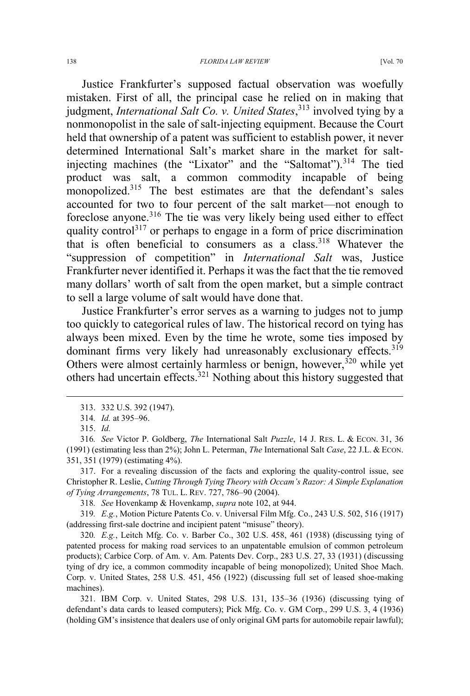Justice Frankfurter's supposed factual observation was woefully mistaken. First of all, the principal case he relied on in making that judgment, *International Salt Co. v. United States*, <sup>313</sup> involved tying by a nonmonopolist in the sale of salt-injecting equipment. Because the Court held that ownership of a patent was sufficient to establish power, it never determined International Salt's market share in the market for saltinjecting machines (the "Lixator" and the "Saltomat").<sup>314</sup> The tied product was salt, a common commodity incapable of being monopolized.<sup>315</sup> The best estimates are that the defendant's sales accounted for two to four percent of the salt market—not enough to foreclose anyone.<sup>316</sup> The tie was very likely being used either to effect quality control<sup>317</sup> or perhaps to engage in a form of price discrimination that is often beneficial to consumers as a class.<sup>318</sup> Whatever the "suppression of competition" in *International Salt* was, Justice Frankfurter never identified it. Perhaps it was the fact that the tie removed many dollars' worth of salt from the open market, but a simple contract to sell a large volume of salt would have done that.

Justice Frankfurter's error serves as a warning to judges not to jump too quickly to categorical rules of law. The historical record on tying has always been mixed. Even by the time he wrote, some ties imposed by dominant firms very likely had unreasonably exclusionary effects.<sup>319</sup> Others were almost certainly harmless or benign, however,  $320$  while yet others had uncertain effects.<sup>321</sup> Nothing about this history suggested that

318*. See* Hovenkamp & Hovenkamp, *supra* note 102, at 944.

319*. E.g.*, Motion Picture Patents Co. v. Universal Film Mfg. Co., 243 U.S. 502, 516 (1917) (addressing first-sale doctrine and incipient patent "misuse" theory).

320*. E.g.*, Leitch Mfg. Co. v. Barber Co., 302 U.S. 458, 461 (1938) (discussing tying of patented process for making road services to an unpatentable emulsion of common petroleum products); Carbice Corp. of Am. v. Am. Patents Dev. Corp., 283 U.S. 27, 33 (1931) (discussing tying of dry ice, a common commodity incapable of being monopolized); United Shoe Mach. Corp. v. United States, 258 U.S. 451, 456 (1922) (discussing full set of leased shoe-making machines).

321. IBM Corp. v. United States, 298 U.S. 131, 135–36 (1936) (discussing tying of defendant's data cards to leased computers); Pick Mfg. Co. v. GM Corp., 299 U.S. 3, 4 (1936) (holding GM's insistence that dealers use of only original GM parts for automobile repair lawful);

 <sup>313. 332</sup> U.S. 392 (1947).

<sup>314</sup>*. Id.* at 395–96.

<sup>315.</sup> *Id.*

<sup>316</sup>*. See* Victor P. Goldberg, *The* International Salt *Puzzle*, 14 J. RES. L. & ECON. 31, 36 (1991) (estimating less than 2%); John L. Peterman, *The* International Salt *Case*, 22 J.L. & ECON. 351, 351 (1979) (estimating 4%).

<sup>317.</sup> For a revealing discussion of the facts and exploring the quality-control issue, see Christopher R. Leslie, *Cutting Through Tying Theory with Occam's Razor: A Simple Explanation of Tying Arrangements*, 78 TUL. L. REV. 727, 786–90 (2004).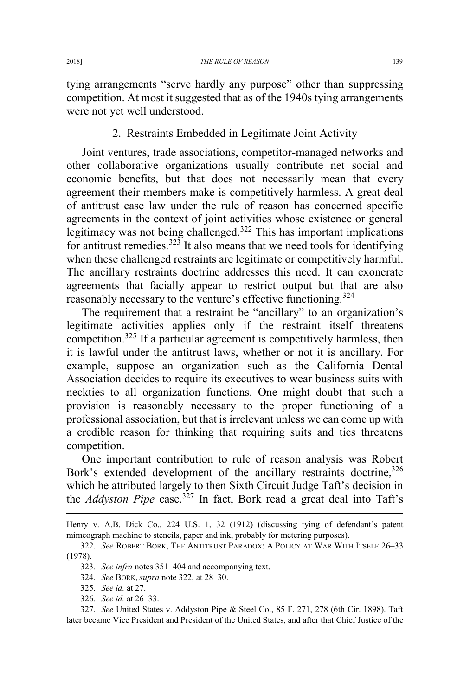tying arrangements "serve hardly any purpose" other than suppressing competition. At most it suggested that as of the 1940s tying arrangements were not yet well understood.

2. Restraints Embedded in Legitimate Joint Activity

Joint ventures, trade associations, competitor-managed networks and other collaborative organizations usually contribute net social and economic benefits, but that does not necessarily mean that every agreement their members make is competitively harmless. A great deal of antitrust case law under the rule of reason has concerned specific agreements in the context of joint activities whose existence or general legitimacy was not being challenged.<sup>322</sup> This has important implications for antitrust remedies.<sup>323</sup> It also means that we need tools for identifying when these challenged restraints are legitimate or competitively harmful. The ancillary restraints doctrine addresses this need. It can exonerate agreements that facially appear to restrict output but that are also reasonably necessary to the venture's effective functioning.<sup>324</sup>

The requirement that a restraint be "ancillary" to an organization's legitimate activities applies only if the restraint itself threatens competition.<sup>325</sup> If a particular agreement is competitively harmless, then it is lawful under the antitrust laws, whether or not it is ancillary. For example, suppose an organization such as the California Dental Association decides to require its executives to wear business suits with neckties to all organization functions. One might doubt that such a provision is reasonably necessary to the proper functioning of a professional association, but that is irrelevant unless we can come up with a credible reason for thinking that requiring suits and ties threatens competition.

One important contribution to rule of reason analysis was Robert Bork's extended development of the ancillary restraints doctrine,<sup>326</sup> which he attributed largely to then Sixth Circuit Judge Taft's decision in the *Addyston Pipe* case.<sup>327</sup> In fact, Bork read a great deal into Taft's

 $\overline{a}$ 

326*. See id.* at 26–33.

327. *See* United States v. Addyston Pipe & Steel Co., 85 F. 271, 278 (6th Cir. 1898). Taft later became Vice President and President of the United States, and after that Chief Justice of the

Henry v. A.B. Dick Co., 224 U.S. 1, 32 (1912) (discussing tying of defendant's patent mimeograph machine to stencils, paper and ink, probably for metering purposes).

<sup>322.</sup> *See* ROBERT BORK, THE ANTITRUST PARADOX:APOLICY AT WAR WITH ITSELF 26–33 (1978).

<sup>323</sup>*. See infra* notes 351–404 and accompanying text.

<sup>324.</sup> *See* BORK, *supra* note 322, at 28–30.

<sup>325.</sup> *See id.* at 27.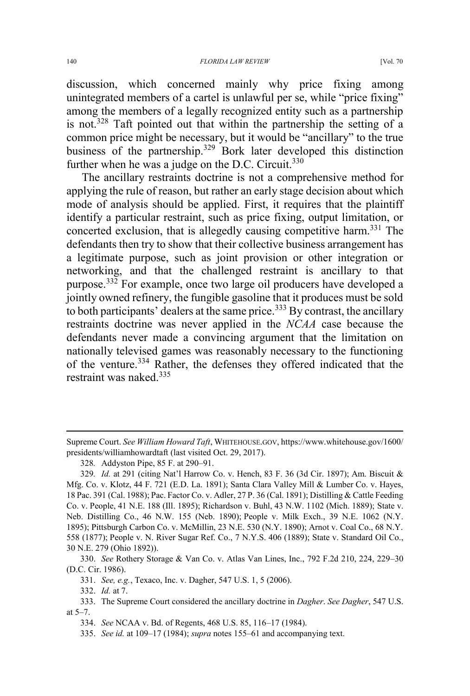among the members of a legally recognized entity such as a partnership is not.<sup>328</sup> Taft pointed out that within the partnership the setting of a common price might be necessary, but it would be "ancillary" to the true business of the partnership.<sup>329</sup> Bork later developed this distinction further when he was a judge on the D.C. Circuit. $330$ 

The ancillary restraints doctrine is not a comprehensive method for applying the rule of reason, but rather an early stage decision about which mode of analysis should be applied. First, it requires that the plaintiff identify a particular restraint, such as price fixing, output limitation, or concerted exclusion, that is allegedly causing competitive harm.<sup>331</sup> The defendants then try to show that their collective business arrangement has a legitimate purpose, such as joint provision or other integration or networking, and that the challenged restraint is ancillary to that purpose.<sup>332</sup> For example, once two large oil producers have developed a jointly owned refinery, the fungible gasoline that it produces must be sold to both participants' dealers at the same price.<sup>333</sup> By contrast, the ancillary restraints doctrine was never applied in the *NCAA* case because the defendants never made a convincing argument that the limitation on nationally televised games was reasonably necessary to the functioning of the venture.<sup>334</sup> Rather, the defenses they offered indicated that the restraint was naked  $335$ 

 $\overline{a}$ 

Supreme Court. *See William Howard Taft*, WHITEHOUSE.GOV, https://www.whitehouse.gov/1600/ presidents/williamhowardtaft (last visited Oct. 29, 2017).

<sup>328</sup>*.* Addyston Pipe, 85 F. at 290–91.

<sup>329</sup>*. Id.* at 291 (citing Nat'l Harrow Co. v. Hench, 83 F. 36 (3d Cir. 1897); Am. Biscuit & Mfg. Co. v. Klotz, 44 F. 721 (E.D. La. 1891); Santa Clara Valley Mill & Lumber Co. v. Hayes, 18 Pac. 391 (Cal. 1988); Pac. Factor Co. v. Adler, 27 P. 36 (Cal. 1891); Distilling & Cattle Feeding Co. v. People, 41 N.E. 188 (Ill. 1895); Richardson v. Buhl, 43 N.W. 1102 (Mich. 1889); State v. Neb. Distilling Co., 46 N.W. 155 (Neb. 1890); People v. Milk Exch., 39 N.E. 1062 (N.Y. 1895); Pittsburgh Carbon Co. v. McMillin, 23 N.E. 530 (N.Y. 1890); Arnot v. Coal Co., 68 N.Y. 558 (1877); People v. N. River Sugar Ref. Co., 7 N.Y.S. 406 (1889); State v. Standard Oil Co., 30 N.E. 279 (Ohio 1892)).

<sup>330.</sup> *See* Rothery Storage & Van Co. v. Atlas Van Lines, Inc., 792 F.2d 210, 224, 229–30 (D.C. Cir. 1986).

<sup>331.</sup> *See, e.g.*, Texaco, Inc. v. Dagher, 547 U.S. 1, 5 (2006).

<sup>332.</sup> *Id.* at 7.

<sup>333.</sup> The Supreme Court considered the ancillary doctrine in *Dagher*. *See Dagher*, 547 U.S. at 5–7.

<sup>334.</sup> *See* NCAA v. Bd. of Regents, 468 U.S. 85, 116–17 (1984).

<sup>335.</sup> *See id.* at 109–17 (1984); *supra* notes 155–61 and accompanying text.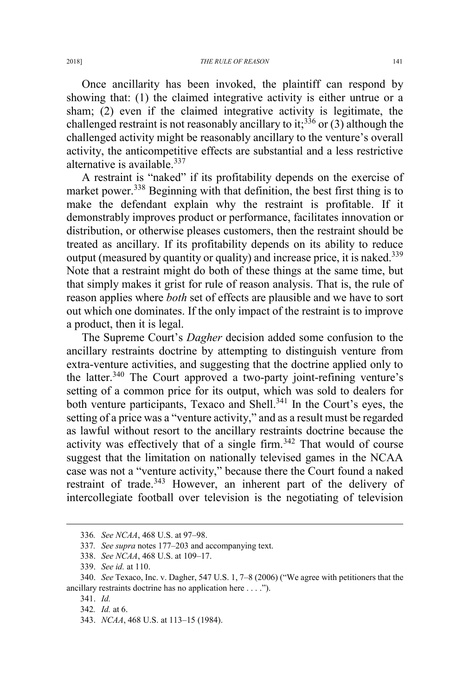Once ancillarity has been invoked, the plaintiff can respond by showing that: (1) the claimed integrative activity is either untrue or a sham; (2) even if the claimed integrative activity is legitimate, the challenged restraint is not reasonably ancillary to it;<sup>336</sup> or (3) although the challenged activity might be reasonably ancillary to the venture's overall activity, the anticompetitive effects are substantial and a less restrictive alternative is available. $337$ 

A restraint is "naked" if its profitability depends on the exercise of market power.<sup>338</sup> Beginning with that definition, the best first thing is to make the defendant explain why the restraint is profitable. If it demonstrably improves product or performance, facilitates innovation or distribution, or otherwise pleases customers, then the restraint should be treated as ancillary. If its profitability depends on its ability to reduce output (measured by quantity or quality) and increase price, it is naked.<sup>339</sup> Note that a restraint might do both of these things at the same time, but that simply makes it grist for rule of reason analysis. That is, the rule of reason applies where *both* set of effects are plausible and we have to sort out which one dominates. If the only impact of the restraint is to improve a product, then it is legal.

The Supreme Court's *Dagher* decision added some confusion to the ancillary restraints doctrine by attempting to distinguish venture from extra-venture activities, and suggesting that the doctrine applied only to the latter.340 The Court approved a two-party joint-refining venture's setting of a common price for its output, which was sold to dealers for both venture participants, Texaco and Shell.<sup>341</sup> In the Court's eyes, the setting of a price was a "venture activity," and as a result must be regarded as lawful without resort to the ancillary restraints doctrine because the activity was effectively that of a single firm. $342$  That would of course suggest that the limitation on nationally televised games in the NCAA case was not a "venture activity," because there the Court found a naked restraint of trade.<sup>343</sup> However, an inherent part of the delivery of intercollegiate football over television is the negotiating of television

343. *NCAA*, 468 U.S. at 113–15 (1984).

 <sup>336</sup>*. See NCAA*, 468 U.S. at 97–98.

<sup>337</sup>*. See supra* notes 177–203 and accompanying text.

<sup>338.</sup> *See NCAA*, 468 U.S. at 109–17.

<sup>339.</sup> *See id.* at 110.

<sup>340.</sup> *See* Texaco, Inc. v. Dagher, 547 U.S. 1, 7–8 (2006) ("We agree with petitioners that the ancillary restraints doctrine has no application here . . . .").

<sup>341.</sup> *Id.*

<sup>342</sup>*. Id.* at 6.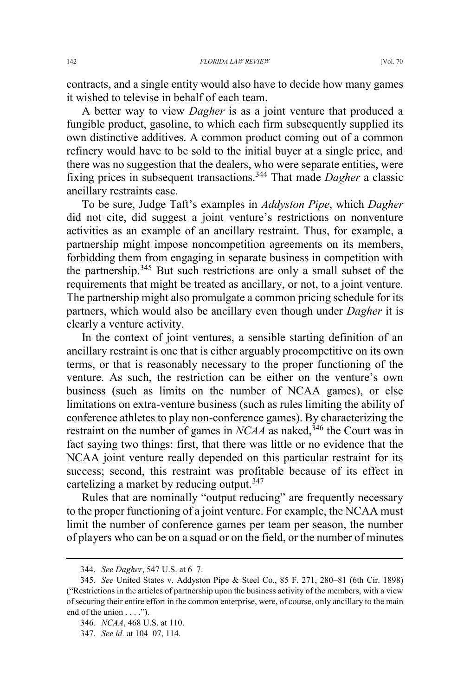contracts, and a single entity would also have to decide how many games it wished to televise in behalf of each team.

A better way to view *Dagher* is as a joint venture that produced a fungible product, gasoline, to which each firm subsequently supplied its own distinctive additives. A common product coming out of a common refinery would have to be sold to the initial buyer at a single price, and there was no suggestion that the dealers, who were separate entities, were fixing prices in subsequent transactions.<sup>344</sup> That made *Dagher* a classic ancillary restraints case.

To be sure, Judge Taft's examples in *Addyston Pipe*, which *Dagher* did not cite, did suggest a joint venture's restrictions on nonventure activities as an example of an ancillary restraint. Thus, for example, a partnership might impose noncompetition agreements on its members, forbidding them from engaging in separate business in competition with the partnership. $345$  But such restrictions are only a small subset of the requirements that might be treated as ancillary, or not, to a joint venture. The partnership might also promulgate a common pricing schedule for its partners, which would also be ancillary even though under *Dagher* it is clearly a venture activity.

In the context of joint ventures, a sensible starting definition of an ancillary restraint is one that is either arguably procompetitive on its own terms, or that is reasonably necessary to the proper functioning of the venture. As such, the restriction can be either on the venture's own business (such as limits on the number of NCAA games), or else limitations on extra-venture business (such as rules limiting the ability of conference athletes to play non-conference games). By characterizing the restraint on the number of games in *NCAA* as naked,<sup>346</sup> the Court was in fact saying two things: first, that there was little or no evidence that the NCAA joint venture really depended on this particular restraint for its success; second, this restraint was profitable because of its effect in cartelizing a market by reducing output.<sup>347</sup>

Rules that are nominally "output reducing" are frequently necessary to the proper functioning of a joint venture. For example, the NCAA must limit the number of conference games per team per season, the number of players who can be on a squad or on the field, or the number of minutes

 <sup>344.</sup> *See Dagher*, 547 U.S. at 6–7.

<sup>345</sup>*. See* United States v. Addyston Pipe & Steel Co., 85 F. 271, 280–81 (6th Cir. 1898) ("Restrictions in the articles of partnership upon the business activity of the members, with a view of securing their entire effort in the common enterprise, were, of course, only ancillary to the main end of the union  $\dots$ .").

<sup>346</sup>*. NCAA*, 468 U.S. at 110.

<sup>347.</sup> *See id.* at 104–07, 114.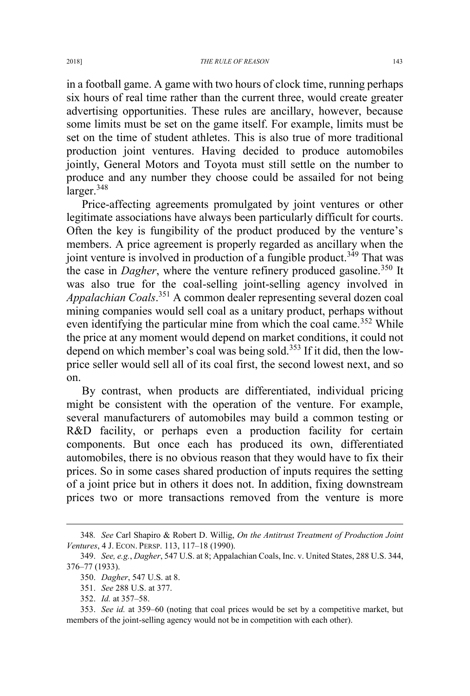in a football game. A game with two hours of clock time, running perhaps six hours of real time rather than the current three, would create greater advertising opportunities. These rules are ancillary, however, because some limits must be set on the game itself. For example, limits must be set on the time of student athletes. This is also true of more traditional production joint ventures. Having decided to produce automobiles jointly, General Motors and Toyota must still settle on the number to produce and any number they choose could be assailed for not being larger.<sup>348</sup>

Price-affecting agreements promulgated by joint ventures or other legitimate associations have always been particularly difficult for courts. Often the key is fungibility of the product produced by the venture's members. A price agreement is properly regarded as ancillary when the joint venture is involved in production of a fungible product.<sup> $349$ </sup> That was the case in *Dagher*, where the venture refinery produced gasoline.<sup>350</sup> It was also true for the coal-selling joint-selling agency involved in *Appalachian Coals*. <sup>351</sup> A common dealer representing several dozen coal mining companies would sell coal as a unitary product, perhaps without even identifying the particular mine from which the coal came.<sup>352</sup> While the price at any moment would depend on market conditions, it could not depend on which member's coal was being sold.<sup>353</sup> If it did, then the lowprice seller would sell all of its coal first, the second lowest next, and so on.

By contrast, when products are differentiated, individual pricing might be consistent with the operation of the venture. For example, several manufacturers of automobiles may build a common testing or R&D facility, or perhaps even a production facility for certain components. But once each has produced its own, differentiated automobiles, there is no obvious reason that they would have to fix their prices. So in some cases shared production of inputs requires the setting of a joint price but in others it does not. In addition, fixing downstream prices two or more transactions removed from the venture is more

 <sup>348</sup>*. See* Carl Shapiro & Robert D. Willig, *On the Antitrust Treatment of Production Joint Ventures*, 4 J. ECON. PERSP. 113, 117–18 (1990).

<sup>349.</sup> *See, e.g.*, *Dagher*, 547 U.S. at 8; Appalachian Coals, Inc. v. United States, 288 U.S. 344, 376–77 (1933).

<sup>350.</sup> *Dagher*, 547 U.S. at 8.

<sup>351.</sup> *See* 288 U.S. at 377.

<sup>352.</sup> *Id.* at 357–58.

<sup>353.</sup> *See id.* at 359–60 (noting that coal prices would be set by a competitive market, but members of the joint-selling agency would not be in competition with each other).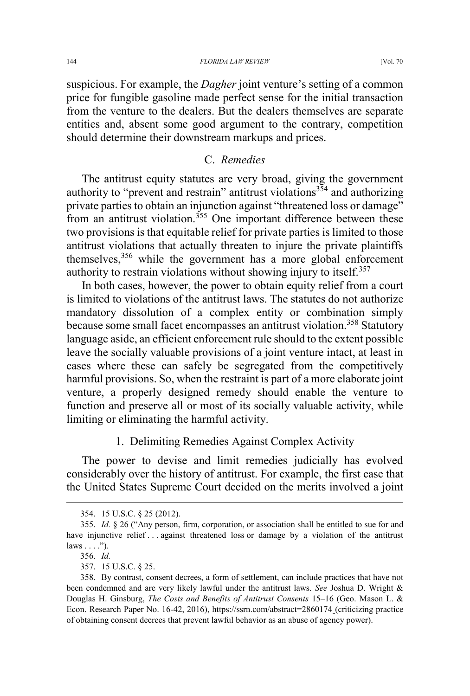#### 144 *FLORIDA LAW REVIEW* [Vol. 70

suspicious. For example, the *Dagher* joint venture's setting of a common price for fungible gasoline made perfect sense for the initial transaction from the venture to the dealers. But the dealers themselves are separate entities and, absent some good argument to the contrary, competition should determine their downstream markups and prices.

#### C. *Remedies*

The antitrust equity statutes are very broad, giving the government authority to "prevent and restrain" antitrust violations<sup>354</sup> and authorizing private parties to obtain an injunction against "threatened loss or damage" from an antitrust violation.<sup>355</sup> One important difference between these two provisions is that equitable relief for private parties is limited to those antitrust violations that actually threaten to injure the private plaintiffs themselves,<sup>356</sup> while the government has a more global enforcement authority to restrain violations without showing injury to itself.<sup>357</sup>

In both cases, however, the power to obtain equity relief from a court is limited to violations of the antitrust laws. The statutes do not authorize mandatory dissolution of a complex entity or combination simply because some small facet encompasses an antitrust violation.<sup>358</sup> Statutory language aside, an efficient enforcement rule should to the extent possible leave the socially valuable provisions of a joint venture intact, at least in cases where these can safely be segregated from the competitively harmful provisions. So, when the restraint is part of a more elaborate joint venture, a properly designed remedy should enable the venture to function and preserve all or most of its socially valuable activity, while limiting or eliminating the harmful activity.

#### 1. Delimiting Remedies Against Complex Activity

The power to devise and limit remedies judicially has evolved considerably over the history of antitrust. For example, the first case that the United States Supreme Court decided on the merits involved a joint

 <sup>354. 15</sup> U.S.C. § 25 (2012).

<sup>355.</sup> *Id.* § 26 ("Any person, firm, corporation, or association shall be entitled to sue for and have injunctive relief . . . against threatened loss or damage by a violation of the antitrust  $laws \ldots$ ").

<sup>356.</sup> *Id.*

<sup>357. 15</sup> U.S.C. § 25.

<sup>358.</sup> By contrast, consent decrees, a form of settlement, can include practices that have not been condemned and are very likely lawful under the antitrust laws. *See* Joshua D. Wright & Douglas H. Ginsburg, *The Costs and Benefits of Antitrust Consents* 15–16 (Geo. Mason L. & Econ. Research Paper No. 16-42, 2016), https://ssrn.com/abstract=2860174 (criticizing practice of obtaining consent decrees that prevent lawful behavior as an abuse of agency power).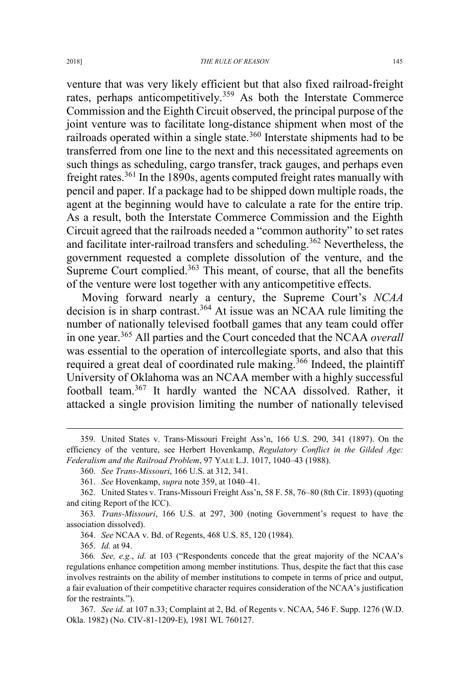venture that was very likely efficient but that also fixed railroad-freight rates, perhaps anticompetitively.<sup>359</sup> As both the Interstate Commerce Commission and the Eighth Circuit observed, the principal purpose of the joint venture was to facilitate long-distance shipment when most of the railroads operated within a single state.<sup>360</sup> Interstate shipments had to be transferred from one line to the next and this necessitated agreements on such things as scheduling, cargo transfer, track gauges, and perhaps even freight rates.<sup>361</sup> In the 1890s, agents computed freight rates manually with pencil and paper. If a package had to be shipped down multiple roads, the agent at the beginning would have to calculate a rate for the entire trip. As a result, both the Interstate Commerce Commission and the Eighth Circuit agreed that the railroads needed a "common authority" to set rates and facilitate inter-railroad transfers and scheduling.<sup>362</sup> Nevertheless, the government requested a complete dissolution of the venture, and the Supreme Court complied. $363$  This meant, of course, that all the benefits of the venture were lost together with any anticompetitive effects.

Moving forward nearly a century, the Supreme Court's *NCAA* decision is in sharp contrast.<sup>364</sup> At issue was an NCAA rule limiting the number of nationally televised football games that any team could offer in one year.<sup>365</sup> All parties and the Court conceded that the NCAA *overall* was essential to the operation of intercollegiate sports, and also that this required a great deal of coordinated rule making.<sup>366</sup> Indeed, the plaintiff University of Oklahoma was an NCAA member with a highly successful football team.<sup>367</sup> It hardly wanted the NCAA dissolved. Rather, it attacked a single provision limiting the number of nationally televised

365. *Id.* at 94.

 <sup>359.</sup> United States v. Trans-Missouri Freight Ass'n, 166 U.S. 290, 341 (1897). On the efficiency of the venture, see Herbert Hovenkamp, *Regulatory Conflict in the Gilded Age: Federalism and the Railroad Problem*, 97 YALE L.J. 1017, 1040–43 (1988).

<sup>360.</sup> *See Trans-Missouri*, 166 U.S. at 312, 341.

<sup>361.</sup> *See* Hovenkamp, *supra* note 359, at 1040–41.

<sup>362.</sup> United States v. Trans-Missouri Freight Ass'n, 58 F. 58, 76–80 (8th Cir. 1893) (quoting and citing Report of the ICC).

<sup>363</sup>*. Trans-Missouri*, 166 U.S. at 297, 300 (noting Government's request to have the association dissolved).

<sup>364.</sup> *See* NCAA v. Bd. of Regents, 468 U.S. 85, 120 (1984).

<sup>366</sup>*. See, e.g.*, *id.* at 103 ("Respondents concede that the great majority of the NCAA's regulations enhance competition among member institutions. Thus, despite the fact that this case involves restraints on the ability of member institutions to compete in terms of price and output, a fair evaluation of their competitive character requires consideration of the NCAA's justification for the restraints.").

<sup>367.</sup> *See id.* at 107 n.33; Complaint at 2, Bd. of Regents v. NCAA, 546 F. Supp. 1276 (W.D. Okla. 1982) (No. CIV-81-1209-E), 1981 WL 760127.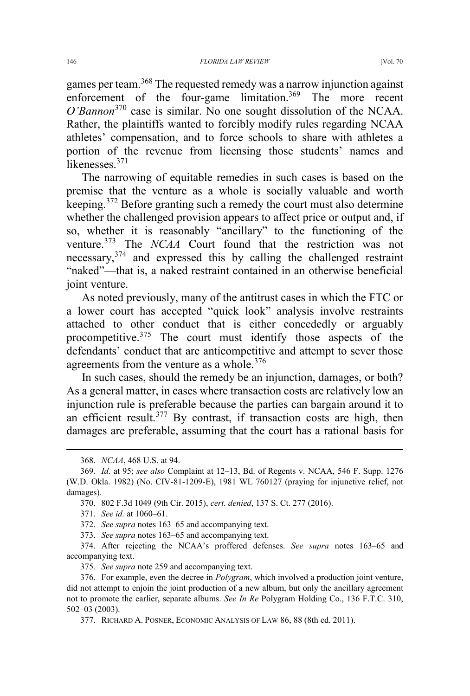games per team.<sup>368</sup> The requested remedy was a narrow injunction against enforcement of the four-game limitation.<sup>369</sup> The more recent *O'Bannon*<sup>370</sup> case is similar. No one sought dissolution of the NCAA. Rather, the plaintiffs wanted to forcibly modify rules regarding NCAA athletes' compensation, and to force schools to share with athletes a portion of the revenue from licensing those students' names and likenesses.<sup>371</sup>

The narrowing of equitable remedies in such cases is based on the premise that the venture as a whole is socially valuable and worth keeping.<sup>372</sup> Before granting such a remedy the court must also determine whether the challenged provision appears to affect price or output and, if so, whether it is reasonably "ancillary" to the functioning of the venture.<sup>373</sup> The *NCAA* Court found that the restriction was not necessary,<sup>374</sup> and expressed this by calling the challenged restraint "naked"—that is, a naked restraint contained in an otherwise beneficial joint venture.

As noted previously, many of the antitrust cases in which the FTC or a lower court has accepted "quick look" analysis involve restraints attached to other conduct that is either concededly or arguably procompetitive.<sup>375</sup> The court must identify those aspects of the defendants' conduct that are anticompetitive and attempt to sever those agreements from the venture as a whole.<sup>376</sup>

In such cases, should the remedy be an injunction, damages, or both? As a general matter, in cases where transaction costs are relatively low an injunction rule is preferable because the parties can bargain around it to an efficient result.<sup>377</sup> By contrast, if transaction costs are high, then damages are preferable, assuming that the court has a rational basis for

 <sup>368.</sup> *NCAA*, 468 U.S. at 94.

<sup>369</sup>*. Id.* at 95; *see also* Complaint at 12–13, Bd. of Regents v. NCAA, 546 F. Supp. 1276 (W.D. Okla. 1982) (No. CIV-81-1209-E), 1981 WL 760127 (praying for injunctive relief, not damages).

<sup>370. 802</sup> F.3d 1049 (9th Cir. 2015), *cert. denied*, 137 S. Ct. 277 (2016).

<sup>371.</sup> *See id.* at 1060–61.

<sup>372.</sup> *See supra* notes 163–65 and accompanying text.

<sup>373.</sup> *See supra* notes 163–65 and accompanying text.

<sup>374.</sup> After rejecting the NCAA's proffered defenses. *See supra* notes 163–65 and accompanying text.

<sup>375</sup>*. See supra* note 259 and accompanying text.

<sup>376.</sup> For example, even the decree in *Polygram*, which involved a production joint venture, did not attempt to enjoin the joint production of a new album, but only the ancillary agreement not to promote the earlier, separate albums. *See In Re* Polygram Holding Co., 136 F.T.C. 310, 502–03 (2003).

<sup>377.</sup> RICHARD A. POSNER, ECONOMIC ANALYSIS OF LAW 86, 88 (8th ed. 2011).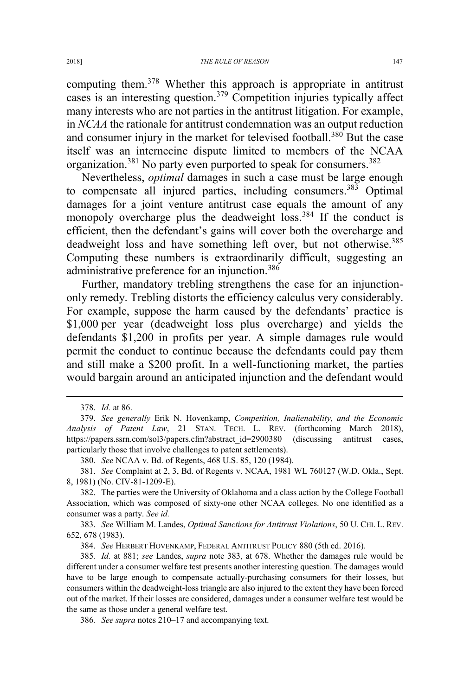computing them.<sup>378</sup> Whether this approach is appropriate in antitrust cases is an interesting question.<sup>379</sup> Competition injuries typically affect many interests who are not parties in the antitrust litigation. For example, in *NCAA* the rationale for antitrust condemnation was an output reduction and consumer injury in the market for televised football.<sup>380</sup> But the case itself was an internecine dispute limited to members of the NCAA organization.<sup>381</sup> No party even purported to speak for consumers.<sup>382</sup>

Nevertheless, *optimal* damages in such a case must be large enough to compensate all injured parties, including consumers.<sup>383</sup> Optimal damages for a joint venture antitrust case equals the amount of any monopoly overcharge plus the deadweight loss.<sup>384</sup> If the conduct is efficient, then the defendant's gains will cover both the overcharge and deadweight loss and have something left over, but not otherwise.<sup>385</sup> Computing these numbers is extraordinarily difficult, suggesting an administrative preference for an injunction.<sup>386</sup>

Further, mandatory trebling strengthens the case for an injunctiononly remedy. Trebling distorts the efficiency calculus very considerably. For example, suppose the harm caused by the defendants' practice is \$1,000 per year (deadweight loss plus overcharge) and yields the defendants \$1,200 in profits per year. A simple damages rule would permit the conduct to continue because the defendants could pay them and still make a \$200 profit. In a well-functioning market, the parties would bargain around an anticipated injunction and the defendant would

380. *See* NCAA v. Bd. of Regents, 468 U.S. 85, 120 (1984).

383. *See* William M. Landes, *Optimal Sanctions for Antitrust Violations*, 50 U. CHI. L. REV. 652, 678 (1983).

384. *See* HERBERT HOVENKAMP, FEDERAL ANTITRUST POLICY 880 (5th ed. 2016).

385*. Id.* at 881; *see* Landes, *supra* note 383, at 678. Whether the damages rule would be different under a consumer welfare test presents another interesting question. The damages would have to be large enough to compensate actually-purchasing consumers for their losses, but consumers within the deadweight-loss triangle are also injured to the extent they have been forced out of the market. If their losses are considered, damages under a consumer welfare test would be the same as those under a general welfare test.

386*. See supra* notes 210–17 and accompanying text.

 <sup>378.</sup> *Id.* at 86.

<sup>379.</sup> *See generally* Erik N. Hovenkamp, *Competition, Inalienability, and the Economic Analysis of Patent Law*, 21 STAN. TECH. L. REV. (forthcoming March 2018), https://papers.ssrn.com/sol3/papers.cfm?abstract\_id=2900380 (discussing antitrust cases, particularly those that involve challenges to patent settlements).

<sup>381.</sup> *See* Complaint at 2, 3, Bd. of Regents v. NCAA, 1981 WL 760127 (W.D. Okla., Sept. 8, 1981) (No. CIV-81-1209-E).

<sup>382.</sup> The parties were the University of Oklahoma and a class action by the College Football Association, which was composed of sixty-one other NCAA colleges. No one identified as a consumer was a party. *See id.*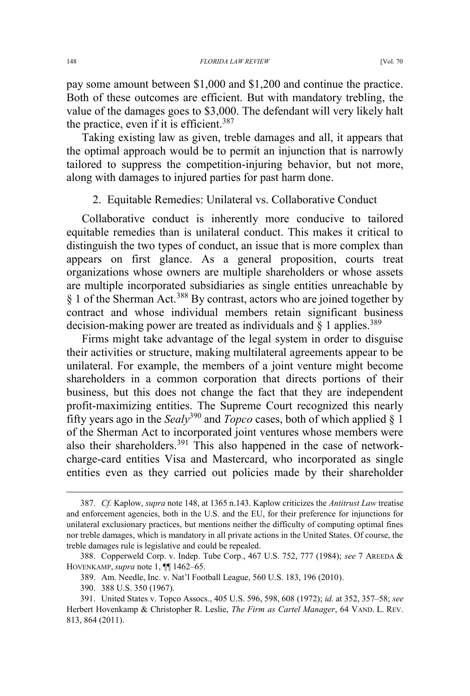pay some amount between \$1,000 and \$1,200 and continue the practice. Both of these outcomes are efficient. But with mandatory trebling, the value of the damages goes to \$3,000. The defendant will very likely halt the practice, even if it is efficient.<sup>387</sup>

Taking existing law as given, treble damages and all, it appears that the optimal approach would be to permit an injunction that is narrowly tailored to suppress the competition-injuring behavior, but not more, along with damages to injured parties for past harm done.

# 2. Equitable Remedies: Unilateral vs. Collaborative Conduct

Collaborative conduct is inherently more conducive to tailored equitable remedies than is unilateral conduct. This makes it critical to distinguish the two types of conduct, an issue that is more complex than appears on first glance. As a general proposition, courts treat organizations whose owners are multiple shareholders or whose assets are multiple incorporated subsidiaries as single entities unreachable by § 1 of the Sherman Act.<sup>388</sup> By contrast, actors who are joined together by contract and whose individual members retain significant business decision-making power are treated as individuals and  $\S$  1 applies.<sup>389</sup>

Firms might take advantage of the legal system in order to disguise their activities or structure, making multilateral agreements appear to be unilateral. For example, the members of a joint venture might become shareholders in a common corporation that directs portions of their business, but this does not change the fact that they are independent profit-maximizing entities. The Supreme Court recognized this nearly fifty years ago in the *Sealy*<sup>390</sup> and *Topco* cases, both of which applied § 1 of the Sherman Act to incorporated joint ventures whose members were also their shareholders.<sup>391</sup> This also happened in the case of networkcharge-card entities Visa and Mastercard, who incorporated as single entities even as they carried out policies made by their shareholder

 <sup>387</sup>*. Cf.* Kaplow, *supra* note 148, at 1365 n.143. Kaplow criticizes the *Antitrust Law* treatise and enforcement agencies, both in the U.S. and the EU, for their preference for injunctions for unilateral exclusionary practices, but mentions neither the difficulty of computing optimal fines nor treble damages, which is mandatory in all private actions in the United States. Of course, the treble damages rule is legislative and could be repealed.

<sup>388.</sup> Copperweld Corp. v. Indep. Tube Corp., 467 U.S. 752, 777 (1984); *see* 7 AREEDA & HOVENKAMP, *supra* note 1, ¶¶ 1462–65.

<sup>389.</sup> Am. Needle, Inc. v. Nat'l Football League, 560 U.S. 183, 196 (2010).

<sup>390. 388</sup> U.S. 350 (1967).

<sup>391.</sup> United States v. Topco Assocs., 405 U.S. 596, 598, 608 (1972); *id.* at 352, 357–58; *see* Herbert Hovenkamp & Christopher R. Leslie, *The Firm as Cartel Manager*, 64 VAND. L. REV. 813, 864 (2011).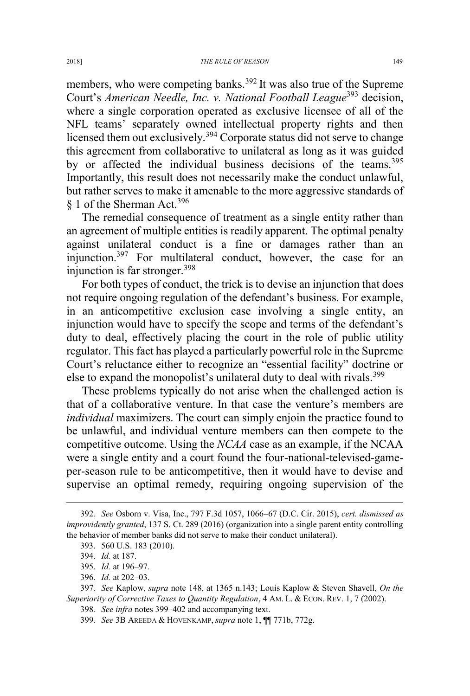members, who were competing banks.<sup>392</sup> It was also true of the Supreme Court's *American Needle, Inc. v. National Football League*<sup>393</sup> decision, where a single corporation operated as exclusive licensee of all of the NFL teams' separately owned intellectual property rights and then licensed them out exclusively.<sup>394</sup> Corporate status did not serve to change this agreement from collaborative to unilateral as long as it was guided by or affected the individual business decisions of the teams.<sup>395</sup> Importantly, this result does not necessarily make the conduct unlawful, but rather serves to make it amenable to the more aggressive standards of § 1 of the Sherman Act.<sup>396</sup>

The remedial consequence of treatment as a single entity rather than an agreement of multiple entities is readily apparent. The optimal penalty against unilateral conduct is a fine or damages rather than an injunction.<sup>397</sup> For multilateral conduct, however, the case for an injunction is far stronger.<sup>398</sup>

For both types of conduct, the trick is to devise an injunction that does not require ongoing regulation of the defendant's business. For example, in an anticompetitive exclusion case involving a single entity, an injunction would have to specify the scope and terms of the defendant's duty to deal, effectively placing the court in the role of public utility regulator. This fact has played a particularly powerful role in the Supreme Court's reluctance either to recognize an "essential facility" doctrine or else to expand the monopolist's unilateral duty to deal with rivals.<sup>399</sup>

These problems typically do not arise when the challenged action is that of a collaborative venture. In that case the venture's members are *individual* maximizers. The court can simply enjoin the practice found to be unlawful, and individual venture members can then compete to the competitive outcome. Using the *NCAA* case as an example, if the NCAA were a single entity and a court found the four-national-televised-gameper-season rule to be anticompetitive, then it would have to devise and supervise an optimal remedy, requiring ongoing supervision of the

 <sup>392</sup>*. See* Osborn v. Visa, Inc., 797 F.3d 1057, 1066–67 (D.C. Cir. 2015), *cert. dismissed as improvidently granted*, 137 S. Ct. 289 (2016) (organization into a single parent entity controlling the behavior of member banks did not serve to make their conduct unilateral).

<sup>393. 560</sup> U.S. 183 (2010).

<sup>394.</sup> *Id.* at 187.

<sup>395.</sup> *Id.* at 196–97.

<sup>396.</sup> *Id.* at 202–03.

<sup>397</sup>*. See* Kaplow, *supra* note 148, at 1365 n.143; Louis Kaplow & Steven Shavell, *On the Superiority of Corrective Taxes to Quantity Regulation*, 4 AM. L. & ECON. REV. 1, 7 (2002).

<sup>398</sup>*. See infra* notes 399–402 and accompanying text.

<sup>399</sup>*. See* 3B AREEDA & HOVENKAMP, *supra* note 1, ¶¶ 771b, 772g.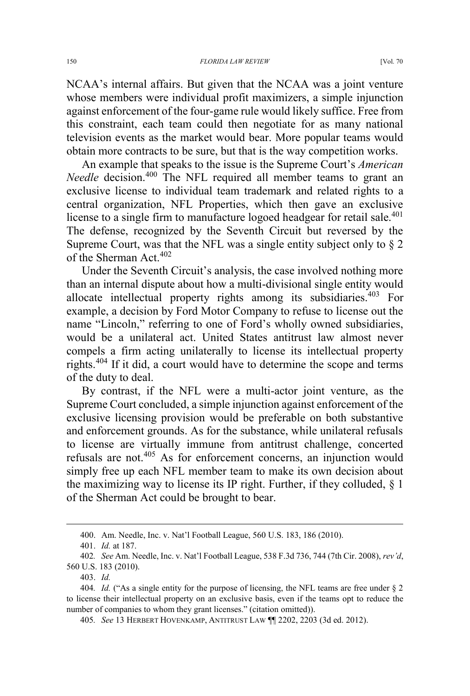NCAA's internal affairs. But given that the NCAA was a joint venture whose members were individual profit maximizers, a simple injunction against enforcement of the four-game rule would likely suffice. Free from this constraint, each team could then negotiate for as many national television events as the market would bear. More popular teams would obtain more contracts to be sure, but that is the way competition works.

An example that speaks to the issue is the Supreme Court's *American Needle* decision.<sup>400</sup> The NFL required all member teams to grant an exclusive license to individual team trademark and related rights to a central organization, NFL Properties, which then gave an exclusive license to a single firm to manufacture logoed headgear for retail sale.<sup>401</sup> The defense, recognized by the Seventh Circuit but reversed by the Supreme Court, was that the NFL was a single entity subject only to § 2 of the Sherman Act.<sup>402</sup>

Under the Seventh Circuit's analysis, the case involved nothing more than an internal dispute about how a multi-divisional single entity would allocate intellectual property rights among its subsidiaries.<sup>403</sup> For example, a decision by Ford Motor Company to refuse to license out the name "Lincoln," referring to one of Ford's wholly owned subsidiaries, would be a unilateral act. United States antitrust law almost never compels a firm acting unilaterally to license its intellectual property rights.<sup>404</sup> If it did, a court would have to determine the scope and terms of the duty to deal.

By contrast, if the NFL were a multi-actor joint venture, as the Supreme Court concluded, a simple injunction against enforcement of the exclusive licensing provision would be preferable on both substantive and enforcement grounds. As for the substance, while unilateral refusals to license are virtually immune from antitrust challenge, concerted refusals are not.<sup>405</sup> As for enforcement concerns, an injunction would simply free up each NFL member team to make its own decision about the maximizing way to license its IP right. Further, if they colluded, § 1 of the Sherman Act could be brought to bear.

403. *Id.*

 <sup>400.</sup> Am. Needle, Inc. v. Nat'l Football League, 560 U.S. 183, 186 (2010).

<sup>401.</sup> *Id.* at 187.

<sup>402</sup>*. See* Am. Needle, Inc. v. Nat'l Football League, 538 F.3d 736, 744 (7th Cir. 2008), *rev'd*, 560 U.S. 183 (2010).

<sup>404</sup>*. Id.* ("As a single entity for the purpose of licensing, the NFL teams are free under § 2 to license their intellectual property on an exclusive basis, even if the teams opt to reduce the number of companies to whom they grant licenses." (citation omitted)).

<sup>405</sup>*. See* 13 HERBERT HOVENKAMP, ANTITRUST LAW ¶¶ 2202, 2203 (3d ed. 2012).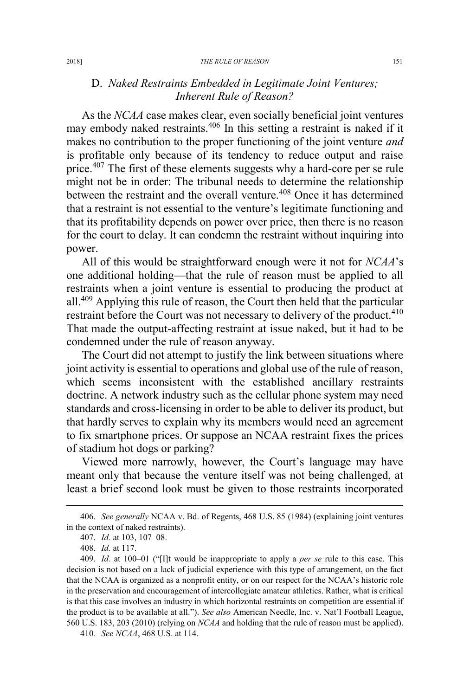# D. *Naked Restraints Embedded in Legitimate Joint Ventures; Inherent Rule of Reason?*

As the *NCAA* case makes clear, even socially beneficial joint ventures may embody naked restraints.<sup>406</sup> In this setting a restraint is naked if it makes no contribution to the proper functioning of the joint venture *and* is profitable only because of its tendency to reduce output and raise price.<sup>407</sup> The first of these elements suggests why a hard-core per se rule might not be in order: The tribunal needs to determine the relationship between the restraint and the overall venture.<sup>408</sup> Once it has determined that a restraint is not essential to the venture's legitimate functioning and that its profitability depends on power over price, then there is no reason for the court to delay. It can condemn the restraint without inquiring into power.

All of this would be straightforward enough were it not for *NCAA*'s one additional holding—that the rule of reason must be applied to all restraints when a joint venture is essential to producing the product at all.<sup>409</sup> Applying this rule of reason, the Court then held that the particular restraint before the Court was not necessary to delivery of the product.<sup>410</sup> That made the output-affecting restraint at issue naked, but it had to be condemned under the rule of reason anyway.

The Court did not attempt to justify the link between situations where joint activity is essential to operations and global use of the rule of reason, which seems inconsistent with the established ancillary restraints doctrine. A network industry such as the cellular phone system may need standards and cross-licensing in order to be able to deliver its product, but that hardly serves to explain why its members would need an agreement to fix smartphone prices. Or suppose an NCAA restraint fixes the prices of stadium hot dogs or parking?

Viewed more narrowly, however, the Court's language may have meant only that because the venture itself was not being challenged, at least a brief second look must be given to those restraints incorporated

 <sup>406.</sup> *See generally* NCAA v. Bd. of Regents, 468 U.S. 85 (1984) (explaining joint ventures in the context of naked restraints).

<sup>407.</sup> *Id.* at 103, 107–08.

<sup>408.</sup> *Id.* at 117.

<sup>409.</sup> *Id.* at 100–01 ("[I]t would be inappropriate to apply a *per se* rule to this case. This decision is not based on a lack of judicial experience with this type of arrangement, on the fact that the NCAA is organized as a nonprofit entity, or on our respect for the NCAA's historic role in the preservation and encouragement of intercollegiate amateur athletics. Rather, what is critical is that this case involves an industry in which horizontal restraints on competition are essential if the product is to be available at all."). *See also* American Needle, Inc. v. Nat'l Football League, 560 U.S. 183, 203 (2010) (relying on *NCAA* and holding that the rule of reason must be applied).

<sup>410</sup>*. See NCAA*, 468 U.S. at 114.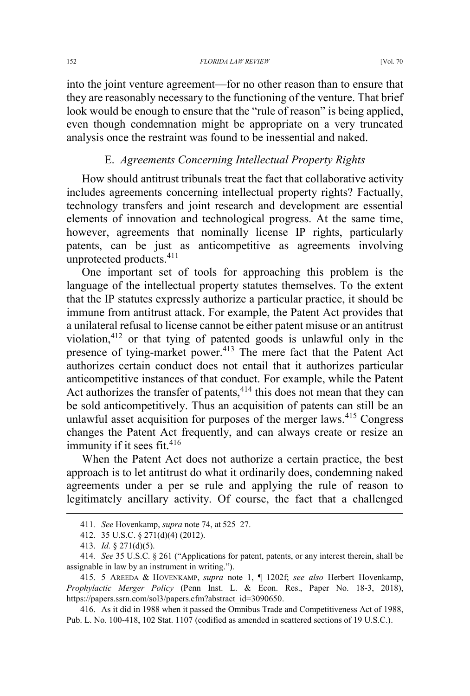into the joint venture agreement—for no other reason than to ensure that they are reasonably necessary to the functioning of the venture. That brief look would be enough to ensure that the "rule of reason" is being applied, even though condemnation might be appropriate on a very truncated analysis once the restraint was found to be inessential and naked.

# E. *Agreements Concerning Intellectual Property Rights*

How should antitrust tribunals treat the fact that collaborative activity includes agreements concerning intellectual property rights? Factually, technology transfers and joint research and development are essential elements of innovation and technological progress. At the same time, however, agreements that nominally license IP rights, particularly patents, can be just as anticompetitive as agreements involving unprotected products.<sup>411</sup>

One important set of tools for approaching this problem is the language of the intellectual property statutes themselves. To the extent that the IP statutes expressly authorize a particular practice, it should be immune from antitrust attack. For example, the Patent Act provides that a unilateral refusal to license cannot be either patent misuse or an antitrust violation,<sup>412</sup> or that tying of patented goods is unlawful only in the presence of tying-market power.<sup>413</sup> The mere fact that the Patent Act authorizes certain conduct does not entail that it authorizes particular anticompetitive instances of that conduct. For example, while the Patent Act authorizes the transfer of patents,  $414$  this does not mean that they can be sold anticompetitively. Thus an acquisition of patents can still be an unlawful asset acquisition for purposes of the merger laws.<sup>415</sup> Congress changes the Patent Act frequently, and can always create or resize an immunity if it sees fit.<sup>416</sup>

When the Patent Act does not authorize a certain practice, the best approach is to let antitrust do what it ordinarily does, condemning naked agreements under a per se rule and applying the rule of reason to legitimately ancillary activity. Of course, the fact that a challenged

 <sup>411</sup>*. See* Hovenkamp, *supra* note 74, at 525–27.

<sup>412. 35</sup> U.S.C. § 271(d)(4) (2012).

<sup>413.</sup> *Id.* § 271(d)(5).

<sup>414</sup>*. See* 35 U.S.C. § 261 ("Applications for patent, patents, or any interest therein, shall be assignable in law by an instrument in writing.").

<sup>415. 5</sup> AREEDA & HOVENKAMP, *supra* note 1, ¶ 1202f; *see also* Herbert Hovenkamp, *Prophylactic Merger Policy* (Penn Inst. L. & Econ. Res., Paper No. 18-3, 2018), https://papers.ssrn.com/sol3/papers.cfm?abstract\_id=3090650.

<sup>416.</sup> As it did in 1988 when it passed the Omnibus Trade and Competitiveness Act of 1988, Pub. L. No. 100-418, 102 Stat. 1107 (codified as amended in scattered sections of 19 U.S.C.).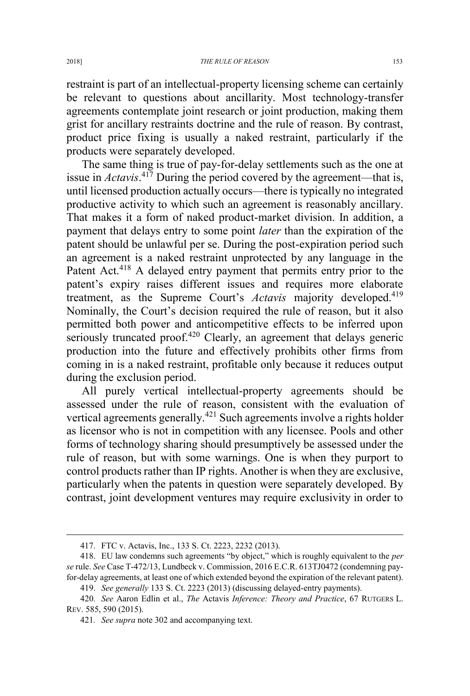restraint is part of an intellectual-property licensing scheme can certainly be relevant to questions about ancillarity. Most technology-transfer agreements contemplate joint research or joint production, making them grist for ancillary restraints doctrine and the rule of reason. By contrast, product price fixing is usually a naked restraint, particularly if the products were separately developed.

The same thing is true of pay-for-delay settlements such as the one at issue in *Actavis*. <sup>417</sup> During the period covered by the agreement—that is, until licensed production actually occurs—there is typically no integrated productive activity to which such an agreement is reasonably ancillary. That makes it a form of naked product-market division. In addition, a payment that delays entry to some point *later* than the expiration of the patent should be unlawful per se. During the post-expiration period such an agreement is a naked restraint unprotected by any language in the Patent Act.<sup>418</sup> A delayed entry payment that permits entry prior to the patent's expiry raises different issues and requires more elaborate treatment, as the Supreme Court's *Actavis* majority developed.<sup>419</sup> Nominally, the Court's decision required the rule of reason, but it also permitted both power and anticompetitive effects to be inferred upon seriously truncated proof.<sup>420</sup> Clearly, an agreement that delays generic production into the future and effectively prohibits other firms from coming in is a naked restraint, profitable only because it reduces output during the exclusion period.

All purely vertical intellectual-property agreements should be assessed under the rule of reason, consistent with the evaluation of vertical agreements generally.<sup>421</sup> Such agreements involve a rights holder as licensor who is not in competition with any licensee. Pools and other forms of technology sharing should presumptively be assessed under the rule of reason, but with some warnings. One is when they purport to control products rather than IP rights. Another is when they are exclusive, particularly when the patents in question were separately developed. By contrast, joint development ventures may require exclusivity in order to

 <sup>417.</sup> FTC v. Actavis, Inc., 133 S. Ct. 2223, 2232 (2013).

<sup>418.</sup> EU law condemns such agreements "by object," which is roughly equivalent to the *per se* rule. *See* Case T-472/13, Lundbeck v. Commission, 2016 E.C.R. 613TJ0472 (condemning payfor-delay agreements, at least one of which extended beyond the expiration of the relevant patent).

<sup>419.</sup> *See generally* 133 S. Ct. 2223 (2013) (discussing delayed-entry payments).

<sup>420</sup>*. See* Aaron Edlin et al., *The* Actavis *Inference: Theory and Practice*, 67 RUTGERS L. REV. 585, 590 (2015).

<sup>421</sup>*. See supra* note 302 and accompanying text.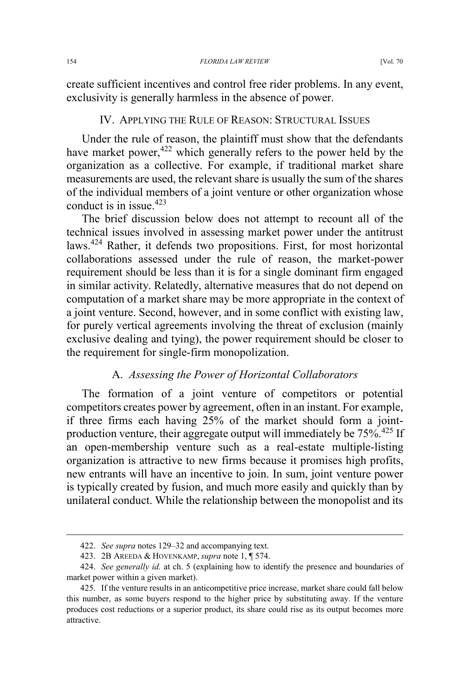create sufficient incentives and control free rider problems. In any event, exclusivity is generally harmless in the absence of power.

## IV. APPLYING THE RULE OF REASON: STRUCTURAL ISSUES

Under the rule of reason, the plaintiff must show that the defendants have market power,<sup>422</sup> which generally refers to the power held by the organization as a collective. For example, if traditional market share measurements are used, the relevant share is usually the sum of the shares of the individual members of a joint venture or other organization whose conduct is in issue.<sup>423</sup>

The brief discussion below does not attempt to recount all of the technical issues involved in assessing market power under the antitrust laws.<sup>424</sup> Rather, it defends two propositions. First, for most horizontal collaborations assessed under the rule of reason, the market-power requirement should be less than it is for a single dominant firm engaged in similar activity. Relatedly, alternative measures that do not depend on computation of a market share may be more appropriate in the context of a joint venture. Second, however, and in some conflict with existing law, for purely vertical agreements involving the threat of exclusion (mainly exclusive dealing and tying), the power requirement should be closer to the requirement for single-firm monopolization.

# A. *Assessing the Power of Horizontal Collaborators*

The formation of a joint venture of competitors or potential competitors creates power by agreement, often in an instant. For example, if three firms each having 25% of the market should form a jointproduction venture, their aggregate output will immediately be 75%.<sup>425</sup> If an open-membership venture such as a real-estate multiple-listing organization is attractive to new firms because it promises high profits, new entrants will have an incentive to join. In sum, joint venture power is typically created by fusion, and much more easily and quickly than by unilateral conduct. While the relationship between the monopolist and its

 <sup>422.</sup> *See supra* notes 129–32 and accompanying text.

<sup>423. 2</sup>B AREEDA & HOVENKAMP, *supra* note 1, ¶ 574.

<sup>424.</sup> *See generally id.* at ch. 5 (explaining how to identify the presence and boundaries of market power within a given market).

<sup>425.</sup> If the venture results in an anticompetitive price increase, market share could fall below this number, as some buyers respond to the higher price by substituting away. If the venture produces cost reductions or a superior product, its share could rise as its output becomes more attractive.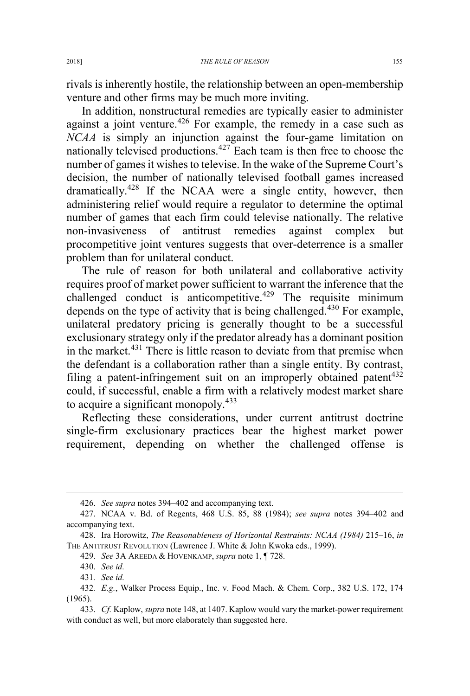rivals is inherently hostile, the relationship between an open-membership venture and other firms may be much more inviting.

In addition, nonstructural remedies are typically easier to administer against a joint venture.<sup>426</sup> For example, the remedy in a case such as *NCAA* is simply an injunction against the four-game limitation on nationally televised productions.<sup>427</sup> Each team is then free to choose the number of games it wishes to televise. In the wake of the Supreme Court's decision, the number of nationally televised football games increased dramatically.<sup>428</sup> If the NCAA were a single entity, however, then administering relief would require a regulator to determine the optimal number of games that each firm could televise nationally. The relative non-invasiveness of antitrust remedies against complex but procompetitive joint ventures suggests that over-deterrence is a smaller problem than for unilateral conduct.

The rule of reason for both unilateral and collaborative activity requires proof of market power sufficient to warrant the inference that the challenged conduct is anticompetitive.<sup>429</sup> The requisite minimum depends on the type of activity that is being challenged.<sup>430</sup> For example, unilateral predatory pricing is generally thought to be a successful exclusionary strategy only if the predator already has a dominant position in the market.<sup>431</sup> There is little reason to deviate from that premise when the defendant is a collaboration rather than a single entity. By contrast, filing a patent-infringement suit on an improperly obtained patent<sup>432</sup> could, if successful, enable a firm with a relatively modest market share to acquire a significant monopoly. $433$ 

Reflecting these considerations, under current antitrust doctrine single-firm exclusionary practices bear the highest market power requirement, depending on whether the challenged offense is

 <sup>426.</sup> *See supra* notes 394–402 and accompanying text.

<sup>427.</sup> NCAA v. Bd. of Regents, 468 U.S. 85, 88 (1984); *see supra* notes 394–402 and accompanying text.

<sup>428.</sup> Ira Horowitz, *The Reasonableness of Horizontal Restraints: NCAA (1984)* 215–16, *in* THE ANTITRUST REVOLUTION (Lawrence J. White & John Kwoka eds., 1999).

<sup>429.</sup> *See* 3A AREEDA & HOVENKAMP, *supra* note 1, ¶ 728.

<sup>430.</sup> *See id.*

<sup>431</sup>*. See id.*

<sup>432</sup>*. E.g.*, Walker Process Equip., Inc. v. Food Mach. & Chem. Corp., 382 U.S. 172, 174 (1965).

<sup>433.</sup> *Cf.* Kaplow, *supra* note 148, at 1407. Kaplow would vary the market-power requirement with conduct as well, but more elaborately than suggested here.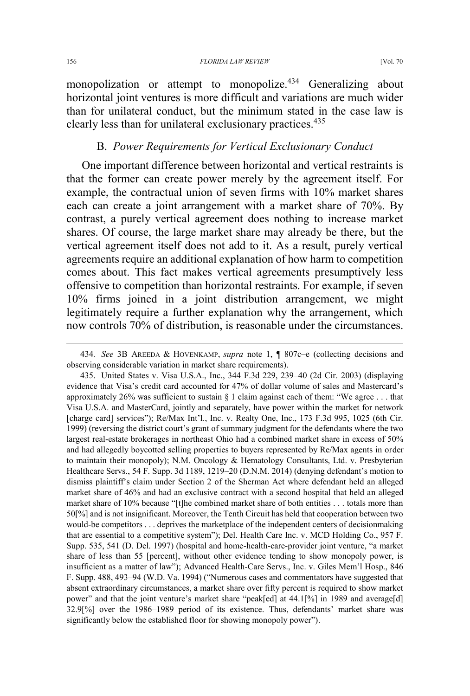monopolization or attempt to monopolize.<sup>434</sup> Generalizing about horizontal joint ventures is more difficult and variations are much wider than for unilateral conduct, but the minimum stated in the case law is clearly less than for unilateral exclusionary practices.435

### B. *Power Requirements for Vertical Exclusionary Conduct*

One important difference between horizontal and vertical restraints is that the former can create power merely by the agreement itself. For example, the contractual union of seven firms with 10% market shares each can create a joint arrangement with a market share of 70%. By contrast, a purely vertical agreement does nothing to increase market shares. Of course, the large market share may already be there, but the vertical agreement itself does not add to it. As a result, purely vertical agreements require an additional explanation of how harm to competition comes about. This fact makes vertical agreements presumptively less offensive to competition than horizontal restraints. For example, if seven 10% firms joined in a joint distribution arrangement, we might legitimately require a further explanation why the arrangement, which now controls 70% of distribution, is reasonable under the circumstances.

 <sup>434</sup>*. See* 3B AREEDA & HOVENKAMP, *supra* note 1, ¶ 807c–e (collecting decisions and observing considerable variation in market share requirements).

<sup>435.</sup> United States v. Visa U.S.A., Inc., 344 F.3d 229, 239–40 (2d Cir. 2003) (displaying evidence that Visa's credit card accounted for 47% of dollar volume of sales and Mastercard's approximately 26% was sufficient to sustain  $\S 1$  claim against each of them: "We agree ... that Visa U.S.A. and MasterCard, jointly and separately, have power within the market for network [charge card] services"); Re/Max Int'l., Inc. v. Realty One, Inc., 173 F.3d 995, 1025 (6th Cir. 1999) (reversing the district court's grant of summary judgment for the defendants where the two largest real-estate brokerages in northeast Ohio had a combined market share in excess of 50% and had allegedly boycotted selling properties to buyers represented by Re/Max agents in order to maintain their monopoly); N.M. Oncology & Hematology Consultants, Ltd. v. Presbyterian Healthcare Servs., 54 F. Supp. 3d 1189, 1219–20 (D.N.M. 2014) (denying defendant's motion to dismiss plaintiff's claim under Section 2 of the Sherman Act where defendant held an alleged market share of 46% and had an exclusive contract with a second hospital that held an alleged market share of 10% because "[t]he combined market share of both entities . . . totals more than 50[%] and is not insignificant. Moreover, the Tenth Circuit has held that cooperation between two would-be competitors . . . deprives the marketplace of the independent centers of decisionmaking that are essential to a competitive system"); Del. Health Care Inc. v. MCD Holding Co., 957 F. Supp. 535, 541 (D. Del. 1997) (hospital and home-health-care-provider joint venture, "a market share of less than 55 [percent], without other evidence tending to show monopoly power, is insufficient as a matter of law"); Advanced Health-Care Servs., Inc. v. Giles Mem'l Hosp., 846 F. Supp. 488, 493–94 (W.D. Va. 1994) ("Numerous cases and commentators have suggested that absent extraordinary circumstances, a market share over fifty percent is required to show market power" and that the joint venture's market share "peak[ed] at 44.1[%] in 1989 and average[d] 32.9[%] over the 1986–1989 period of its existence. Thus, defendants' market share was significantly below the established floor for showing monopoly power").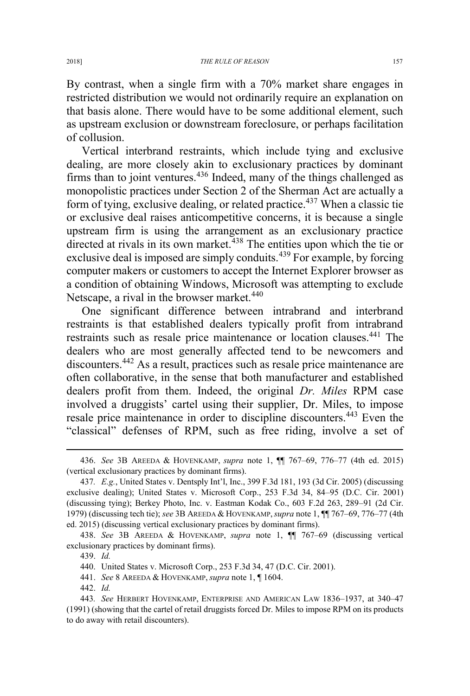By contrast, when a single firm with a 70% market share engages in restricted distribution we would not ordinarily require an explanation on that basis alone. There would have to be some additional element, such as upstream exclusion or downstream foreclosure, or perhaps facilitation of collusion.

Vertical interbrand restraints, which include tying and exclusive dealing, are more closely akin to exclusionary practices by dominant firms than to joint ventures. $436$  Indeed, many of the things challenged as monopolistic practices under Section 2 of the Sherman Act are actually a form of tying, exclusive dealing, or related practice.<sup>437</sup> When a classic tie or exclusive deal raises anticompetitive concerns, it is because a single upstream firm is using the arrangement as an exclusionary practice directed at rivals in its own market.<sup>438</sup> The entities upon which the tie or exclusive deal is imposed are simply conduits.<sup>439</sup> For example, by forcing computer makers or customers to accept the Internet Explorer browser as a condition of obtaining Windows, Microsoft was attempting to exclude Netscape, a rival in the browser market.<sup>440</sup>

One significant difference between intrabrand and interbrand restraints is that established dealers typically profit from intrabrand restraints such as resale price maintenance or location clauses.<sup>441</sup> The dealers who are most generally affected tend to be newcomers and discounters.<sup>442</sup> As a result, practices such as resale price maintenance are often collaborative, in the sense that both manufacturer and established dealers profit from them. Indeed, the original *Dr. Miles* RPM case involved a druggists' cartel using their supplier, Dr. Miles, to impose resale price maintenance in order to discipline discounters.<sup>443</sup> Even the "classical" defenses of RPM, such as free riding, involve a set of

- 441. *See* 8 AREEDA & HOVENKAMP, *supra* note 1, ¶ 1604.
- 442. *Id.*

 <sup>436.</sup> *See* 3B AREEDA & HOVENKAMP, *supra* note 1, ¶¶ 767–69, 776–77 (4th ed. 2015) (vertical exclusionary practices by dominant firms).

<sup>437</sup>*. E.g.*, United States v. Dentsply Int'l, Inc., 399 F.3d 181, 193 (3d Cir. 2005) (discussing exclusive dealing); United States v. Microsoft Corp., 253 F.3d 34, 84–95 (D.C. Cir. 2001) (discussing tying); Berkey Photo, Inc. v. Eastman Kodak Co., 603 F.2d 263, 289–91 (2d Cir. 1979) (discussing tech tie); *see* 3B AREEDA & HOVENKAMP,*supra* note 1, ¶¶ 767–69, 776–77 (4th ed. 2015) (discussing vertical exclusionary practices by dominant firms).

<sup>438.</sup> *See* 3B AREEDA & HOVENKAMP, *supra* note 1, ¶¶ 767–69 (discussing vertical exclusionary practices by dominant firms).

<sup>439.</sup> *Id.*

<sup>440.</sup> United States v. Microsoft Corp., 253 F.3d 34, 47 (D.C. Cir. 2001).

<sup>443</sup>*. See* HERBERT HOVENKAMP, ENTERPRISE AND AMERICAN LAW 1836–1937, at 340–47 (1991) (showing that the cartel of retail druggists forced Dr. Miles to impose RPM on its products to do away with retail discounters).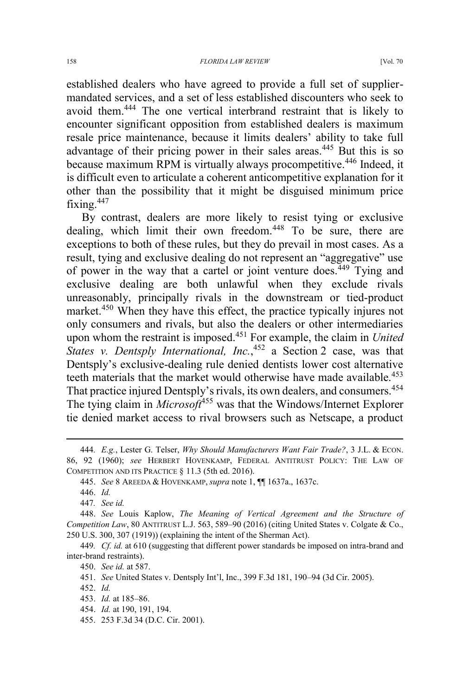established dealers who have agreed to provide a full set of suppliermandated services, and a set of less established discounters who seek to avoid them.<sup>444</sup> The one vertical interbrand restraint that is likely to encounter significant opposition from established dealers is maximum resale price maintenance, because it limits dealers' ability to take full advantage of their pricing power in their sales areas.<sup>445</sup> But this is so because maximum RPM is virtually always procompetitive.<sup>446</sup> Indeed, it is difficult even to articulate a coherent anticompetitive explanation for it other than the possibility that it might be disguised minimum price fixing. $447$ 

By contrast, dealers are more likely to resist tying or exclusive dealing, which limit their own freedom.<sup>448</sup> To be sure, there are exceptions to both of these rules, but they do prevail in most cases. As a result, tying and exclusive dealing do not represent an "aggregative" use of power in the way that a cartel or joint venture does.<sup>449</sup> Tying and exclusive dealing are both unlawful when they exclude rivals unreasonably, principally rivals in the downstream or tied-product market.<sup>450</sup> When they have this effect, the practice typically injures not only consumers and rivals, but also the dealers or other intermediaries upon whom the restraint is imposed.<sup>451</sup> For example, the claim in *United*  States v. Dentsply International, Inc.,<sup>452</sup> a Section 2 case, was that Dentsply's exclusive-dealing rule denied dentists lower cost alternative teeth materials that the market would otherwise have made available.<sup>453</sup> That practice injured Dentsply's rivals, its own dealers, and consumers.<sup>454</sup> The tying claim in *Microsoft*<sup>455</sup> was that the Windows/Internet Explorer tie denied market access to rival browsers such as Netscape, a product

 <sup>444</sup>*. E.g.*, Lester G. Telser, *Why Should Manufacturers Want Fair Trade?*, 3 J.L. & ECON. 86, 92 (1960); *see* HERBERT HOVENKAMP, FEDERAL ANTITRUST POLICY: THE LAW OF COMPETITION AND ITS PRACTICE § 11.3 (5th ed. 2016).

<sup>445.</sup> *See* 8 AREEDA & HOVENKAMP, *supra* note 1, ¶¶ 1637a., 1637c.

<sup>446.</sup> *Id.*

<sup>447</sup>*. See id.*

<sup>448.</sup> *See* Louis Kaplow, *The Meaning of Vertical Agreement and the Structure of Competition Law*, 80 ANTITRUST L.J. 563, 589–90 (2016) (citing United States v. Colgate & Co., 250 U.S. 300, 307 (1919)) (explaining the intent of the Sherman Act).

<sup>449</sup>*. Cf. id.* at 610 (suggesting that different power standards be imposed on intra-brand and inter-brand restraints).

<sup>450.</sup> *See id.* at 587.

<sup>451.</sup> *See* United States v. Dentsply Int'l, Inc., 399 F.3d 181, 190–94 (3d Cir. 2005).

<sup>452.</sup> *Id.*

<sup>453.</sup> *Id.* at 185–86.

<sup>454.</sup> *Id.* at 190, 191, 194.

<sup>455. 253</sup> F.3d 34 (D.C. Cir. 2001).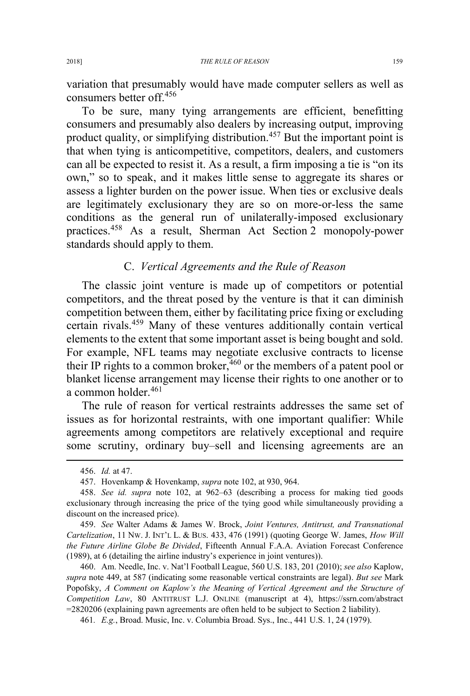variation that presumably would have made computer sellers as well as consumers better off.<sup>456</sup>

To be sure, many tying arrangements are efficient, benefitting consumers and presumably also dealers by increasing output, improving product quality, or simplifying distribution.<sup>457</sup> But the important point is that when tying is anticompetitive, competitors, dealers, and customers can all be expected to resist it. As a result, a firm imposing a tie is "on its own," so to speak, and it makes little sense to aggregate its shares or assess a lighter burden on the power issue. When ties or exclusive deals are legitimately exclusionary they are so on more-or-less the same conditions as the general run of unilaterally-imposed exclusionary practices.<sup>458</sup> As a result, Sherman Act Section 2 monopoly-power standards should apply to them.

# C. *Vertical Agreements and the Rule of Reason*

The classic joint venture is made up of competitors or potential competitors, and the threat posed by the venture is that it can diminish competition between them, either by facilitating price fixing or excluding certain rivals.<sup>459</sup> Many of these ventures additionally contain vertical elements to the extent that some important asset is being bought and sold. For example, NFL teams may negotiate exclusive contracts to license their IP rights to a common broker,  $460$  or the members of a patent pool or blanket license arrangement may license their rights to one another or to a common holder.<sup>461</sup>

The rule of reason for vertical restraints addresses the same set of issues as for horizontal restraints, with one important qualifier: While agreements among competitors are relatively exceptional and require some scrutiny, ordinary buy–sell and licensing agreements are an

459. *See* Walter Adams & James W. Brock, *Joint Ventures, Antitrust, and Transnational Cartelization*, 11 NW. J. INT'L L. & BUS. 433, 476 (1991) (quoting George W. James, *How Will the Future Airline Globe Be Divided*, Fifteenth Annual F.A.A. Aviation Forecast Conference (1989), at 6 (detailing the airline industry's experience in joint ventures)).

460. Am. Needle, Inc. v. Nat'l Football League, 560 U.S. 183, 201 (2010); *see also* Kaplow, *supra* note 449, at 587 (indicating some reasonable vertical constraints are legal). *But see* Mark Popofsky, *A Comment on Kaplow's the Meaning of Vertical Agreement and the Structure of Competition Law*, 80 ANTITRUST L.J. ONLINE (manuscript at 4), https://ssrn.com/abstract =2820206 (explaining pawn agreements are often held to be subject to Section 2 liability).

461*. E.g.*, Broad. Music, Inc. v. Columbia Broad. Sys., Inc., 441 U.S. 1, 24 (1979).

 <sup>456.</sup> *Id.* at 47.

<sup>457.</sup> Hovenkamp & Hovenkamp, *supra* note 102, at 930, 964.

<sup>458.</sup> *See id. supra* note 102, at 962–63 (describing a process for making tied goods exclusionary through increasing the price of the tying good while simultaneously providing a discount on the increased price).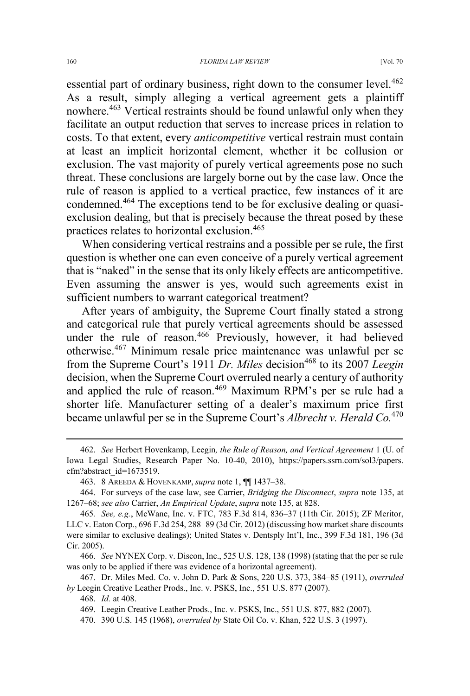essential part of ordinary business, right down to the consumer level.<sup>462</sup> As a result, simply alleging a vertical agreement gets a plaintiff nowhere.<sup>463</sup> Vertical restraints should be found unlawful only when they facilitate an output reduction that serves to increase prices in relation to costs. To that extent, every *anticompetitive* vertical restrain must contain at least an implicit horizontal element, whether it be collusion or exclusion. The vast majority of purely vertical agreements pose no such threat. These conclusions are largely borne out by the case law. Once the rule of reason is applied to a vertical practice, few instances of it are condemned.<sup>464</sup> The exceptions tend to be for exclusive dealing or quasiexclusion dealing, but that is precisely because the threat posed by these practices relates to horizontal exclusion.465

When considering vertical restrains and a possible per se rule, the first question is whether one can even conceive of a purely vertical agreement that is "naked" in the sense that its only likely effects are anticompetitive. Even assuming the answer is yes, would such agreements exist in sufficient numbers to warrant categorical treatment?

After years of ambiguity, the Supreme Court finally stated a strong and categorical rule that purely vertical agreements should be assessed under the rule of reason.<sup>466</sup> Previously, however, it had believed otherwise.<sup>467</sup> Minimum resale price maintenance was unlawful per se from the Supreme Court's 1911 *Dr. Miles* decision<sup>468</sup> to its 2007 *Leegin* decision, when the Supreme Court overruled nearly a century of authority and applied the rule of reason.<sup>469</sup> Maximum RPM's per se rule had a shorter life. Manufacturer setting of a dealer's maximum price first became unlawful per se in the Supreme Court's *Albrecht v. Herald Co.*<sup>470</sup>

 <sup>462.</sup> *See* Herbert Hovenkamp, Leegin*, the Rule of Reason, and Vertical Agreement* 1 (U. of Iowa Legal Studies, Research Paper No. 10-40, 2010), https://papers.ssrn.com/sol3/papers. cfm?abstract\_id=1673519.

<sup>463. 8</sup> AREEDA & HOVENKAMP, *supra* note 1, ¶¶ 1437–38.

<sup>464.</sup> For surveys of the case law, see Carrier, *Bridging the Disconnect*, *supra* note 135, at 1267–68; *see also* Carrier, *An Empirical Update*, *supra* note 135, at 828.

<sup>465</sup>*. See, e.g.*, McWane, Inc. v. FTC, 783 F.3d 814, 836–37 (11th Cir. 2015); ZF Meritor, LLC v. Eaton Corp., 696 F.3d 254, 288–89 (3d Cir. 2012) (discussing how market share discounts were similar to exclusive dealings); United States v. Dentsply Int'l, Inc., 399 F.3d 181, 196 (3d Cir. 2005).

<sup>466.</sup> *See* NYNEX Corp. v. Discon, Inc., 525 U.S. 128, 138 (1998) (stating that the per se rule was only to be applied if there was evidence of a horizontal agreement).

<sup>467.</sup> Dr. Miles Med. Co. v. John D. Park & Sons, 220 U.S. 373, 384–85 (1911), *overruled by* Leegin Creative Leather Prods., Inc. v. PSKS, Inc., 551 U.S. 877 (2007).

<sup>468.</sup> *Id.* at 408.

<sup>469.</sup> Leegin Creative Leather Prods., Inc. v. PSKS, Inc., 551 U.S. 877, 882 (2007).

<sup>470. 390</sup> U.S. 145 (1968), *overruled by* State Oil Co. v. Khan, 522 U.S. 3 (1997).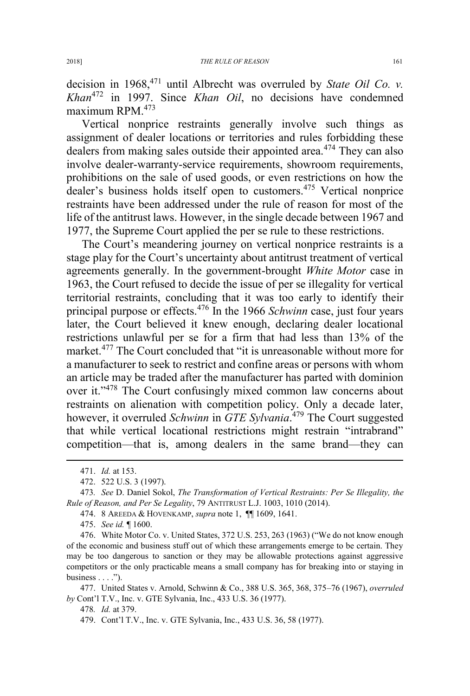decision in 1968,471 until Albrecht was overruled by *State Oil Co. v. Khan*<sup>472</sup> in 1997. Since *Khan Oil*, no decisions have condemned maximum RPM.473

Vertical nonprice restraints generally involve such things as assignment of dealer locations or territories and rules forbidding these dealers from making sales outside their appointed area.<sup>474</sup> They can also involve dealer-warranty-service requirements, showroom requirements, prohibitions on the sale of used goods, or even restrictions on how the dealer's business holds itself open to customers.<sup>475</sup> Vertical nonprice restraints have been addressed under the rule of reason for most of the life of the antitrust laws. However, in the single decade between 1967 and 1977, the Supreme Court applied the per se rule to these restrictions.

The Court's meandering journey on vertical nonprice restraints is a stage play for the Court's uncertainty about antitrust treatment of vertical agreements generally. In the government-brought *White Motor* case in 1963, the Court refused to decide the issue of per se illegality for vertical territorial restraints, concluding that it was too early to identify their principal purpose or effects.<sup>476</sup> In the 1966 *Schwinn* case, just four years later, the Court believed it knew enough, declaring dealer locational restrictions unlawful per se for a firm that had less than 13% of the market.<sup>477</sup> The Court concluded that "it is unreasonable without more for a manufacturer to seek to restrict and confine areas or persons with whom an article may be traded after the manufacturer has parted with dominion over it."<sup>478</sup> The Court confusingly mixed common law concerns about restraints on alienation with competition policy. Only a decade later, however, it overruled *Schwinn* in *GTE Sylvania*. <sup>479</sup> The Court suggested that while vertical locational restrictions might restrain "intrabrand" competition—that is, among dealers in the same brand—they can

477. United States v. Arnold, Schwinn & Co., 388 U.S. 365, 368, 375–76 (1967), *overruled by* Cont'l T.V., Inc. v. GTE Sylvania, Inc., 433 U.S. 36 (1977).

478*. Id.* at 379.

 <sup>471.</sup> *Id.* at 153.

<sup>472. 522</sup> U.S. 3 (1997).

<sup>473</sup>*. See* D. Daniel Sokol, *The Transformation of Vertical Restraints: Per Se Illegality, the Rule of Reason, and Per Se Legality*, 79 ANTITRUST L.J. 1003, 1010 (2014).

<sup>474. 8</sup> AREEDA & HOVENKAMP, *supra* note 1, ¶¶ 1609, 1641.

<sup>475.</sup> *See id.* ¶ 1600.

<sup>476.</sup> White Motor Co. v. United States, 372 U.S. 253, 263 (1963) ("We do not know enough of the economic and business stuff out of which these arrangements emerge to be certain. They may be too dangerous to sanction or they may be allowable protections against aggressive competitors or the only practicable means a small company has for breaking into or staying in business  $\dots$ .").

<sup>479.</sup> Cont'l T.V., Inc. v. GTE Sylvania, Inc., 433 U.S. 36, 58 (1977).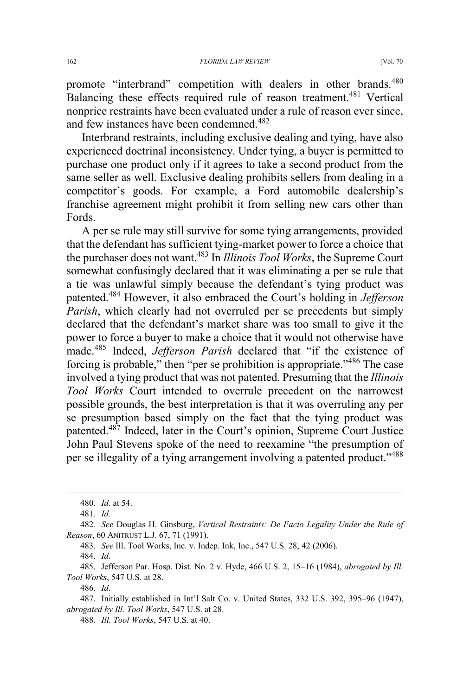promote "interbrand" competition with dealers in other brands.<sup>480</sup> Balancing these effects required rule of reason treatment.<sup>481</sup> Vertical nonprice restraints have been evaluated under a rule of reason ever since, and few instances have been condemned.<sup>482</sup>

Interbrand restraints, including exclusive dealing and tying, have also experienced doctrinal inconsistency. Under tying, a buyer is permitted to purchase one product only if it agrees to take a second product from the same seller as well. Exclusive dealing prohibits sellers from dealing in a competitor's goods. For example, a Ford automobile dealership's franchise agreement might prohibit it from selling new cars other than Fords.

A per se rule may still survive for some tying arrangements, provided that the defendant has sufficient tying-market power to force a choice that the purchaser does not want.<sup>483</sup> In *Illinois Tool Works*, the Supreme Court somewhat confusingly declared that it was eliminating a per se rule that a tie was unlawful simply because the defendant's tying product was patented.<sup>484</sup> However, it also embraced the Court's holding in *Jefferson Parish*, which clearly had not overruled per se precedents but simply declared that the defendant's market share was too small to give it the power to force a buyer to make a choice that it would not otherwise have made.<sup>485</sup> Indeed, *Jefferson Parish* declared that "if the existence of forcing is probable," then "per se prohibition is appropriate."<sup>486</sup> The case involved a tying product that was not patented. Presuming that the *Illinois Tool Works* Court intended to overrule precedent on the narrowest possible grounds, the best interpretation is that it was overruling any per se presumption based simply on the fact that the tying product was patented.<sup>487</sup> Indeed, later in the Court's opinion, Supreme Court Justice John Paul Stevens spoke of the need to reexamine "the presumption of per se illegality of a tying arrangement involving a patented product."<sup>488</sup>

484. *Id.*

486*. Id*.

 <sup>480.</sup> *Id.* at 54.

<sup>481</sup>*. Id.*

<sup>482</sup>*. See* Douglas H. Ginsburg, *Vertical Restraints: De Facto Legality Under the Rule of Reason*, 60 ANITRUST L.J. 67, 71 (1991).

<sup>483.</sup> *See* Ill. Tool Works, Inc. v. Indep. Ink, Inc., 547 U.S. 28, 42 (2006).

<sup>485.</sup> Jefferson Par. Hosp. Dist. No. 2 v. Hyde, 466 U.S. 2, 15–16 (1984), *abrogated by Ill. Tool Works*, 547 U.S. at 28.

<sup>487.</sup> Initially established in Int'l Salt Co. v. United States, 332 U.S. 392, 395–96 (1947), *abrogated by Ill. Tool Works*, 547 U.S. at 28.

<sup>488</sup>*. Ill. Tool Works*, 547 U.S. at 40.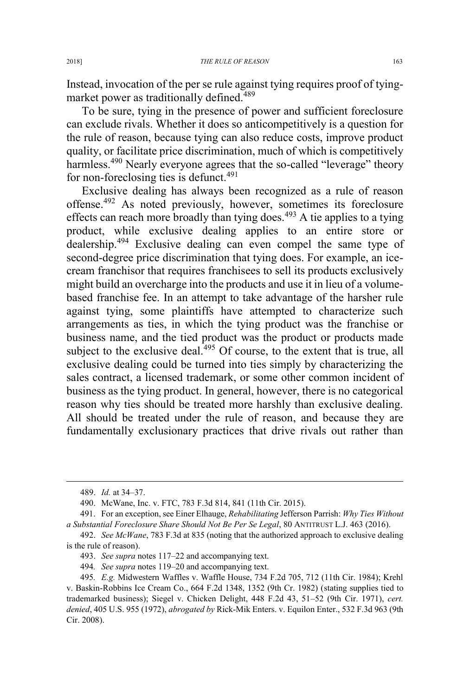Instead, invocation of the per se rule against tying requires proof of tyingmarket power as traditionally defined.<sup>489</sup>

To be sure, tying in the presence of power and sufficient foreclosure can exclude rivals. Whether it does so anticompetitively is a question for the rule of reason, because tying can also reduce costs, improve product quality, or facilitate price discrimination, much of which is competitively harmless.<sup>490</sup> Nearly everyone agrees that the so-called "leverage" theory for non-foreclosing ties is defunct. $491$ 

Exclusive dealing has always been recognized as a rule of reason offense.<sup>492</sup> As noted previously, however, sometimes its foreclosure effects can reach more broadly than tying does. $493$  A tie applies to a tying product, while exclusive dealing applies to an entire store or dealership.<sup>494</sup> Exclusive dealing can even compel the same type of second-degree price discrimination that tying does. For example, an icecream franchisor that requires franchisees to sell its products exclusively might build an overcharge into the products and use it in lieu of a volumebased franchise fee. In an attempt to take advantage of the harsher rule against tying, some plaintiffs have attempted to characterize such arrangements as ties, in which the tying product was the franchise or business name, and the tied product was the product or products made subject to the exclusive deal.<sup>495</sup> Of course, to the extent that is true, all exclusive dealing could be turned into ties simply by characterizing the sales contract, a licensed trademark, or some other common incident of business as the tying product. In general, however, there is no categorical reason why ties should be treated more harshly than exclusive dealing. All should be treated under the rule of reason, and because they are fundamentally exclusionary practices that drive rivals out rather than

 <sup>489.</sup> *Id.* at 34–37.

<sup>490.</sup> McWane, Inc. v. FTC, 783 F.3d 814, 841 (11th Cir. 2015).

<sup>491.</sup> For an exception, see Einer Elhauge, *Rehabilitating* Jefferson Parrish: *Why Ties Without a Substantial Foreclosure Share Should Not Be Per Se Legal*, 80 ANTITRUST L.J. 463 (2016).

<sup>492.</sup> *See McWane*, 783 F.3d at 835 (noting that the authorized approach to exclusive dealing is the rule of reason).

<sup>493.</sup> *See supra* notes 117–22 and accompanying text.

<sup>494</sup>*. See supra* notes 119–20 and accompanying text.

<sup>495</sup>*. E.g.* Midwestern Waffles v. Waffle House, 734 F.2d 705, 712 (11th Cir. 1984); Krehl v. Baskin-Robbins Ice Cream Co., 664 F.2d 1348, 1352 (9th Cr. 1982) (stating supplies tied to trademarked business); Siegel v. Chicken Delight, 448 F.2d 43, 51–52 (9th Cir. 1971), *cert. denied*, 405 U.S. 955 (1972), *abrogated by* Rick-Mik Enters. v. Equilon Enter., 532 F.3d 963 (9th Cir. 2008).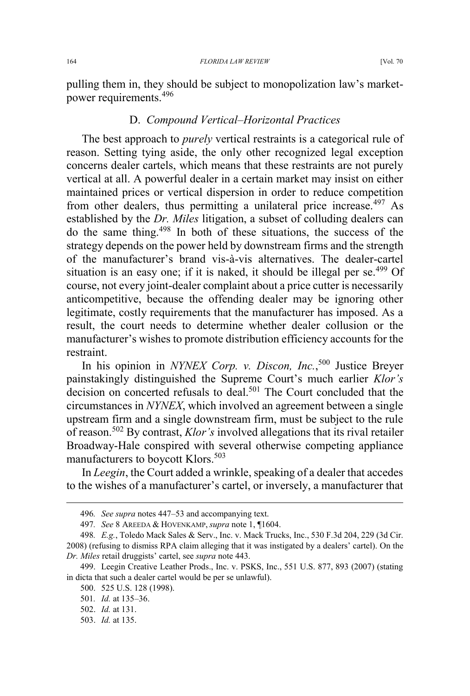pulling them in, they should be subject to monopolization law's marketpower requirements.<sup>496</sup>

## D. *Compound Vertical–Horizontal Practices*

The best approach to *purely* vertical restraints is a categorical rule of reason. Setting tying aside, the only other recognized legal exception concerns dealer cartels, which means that these restraints are not purely vertical at all. A powerful dealer in a certain market may insist on either maintained prices or vertical dispersion in order to reduce competition from other dealers, thus permitting a unilateral price increase.  $497$  As established by the *Dr. Miles* litigation, a subset of colluding dealers can do the same thing.<sup>498</sup> In both of these situations, the success of the strategy depends on the power held by downstream firms and the strength of the manufacturer's brand vis-à-vis alternatives. The dealer-cartel situation is an easy one; if it is naked, it should be illegal per se.<sup> $499$ </sup> Of course, not every joint-dealer complaint about a price cutter is necessarily anticompetitive, because the offending dealer may be ignoring other legitimate, costly requirements that the manufacturer has imposed. As a result, the court needs to determine whether dealer collusion or the manufacturer's wishes to promote distribution efficiency accounts for the restraint.

In his opinion in *NYNEX Corp. v. Discon, Inc.*, <sup>500</sup> Justice Breyer painstakingly distinguished the Supreme Court's much earlier *Klor's* decision on concerted refusals to deal.<sup>501</sup> The Court concluded that the circumstances in *NYNEX*, which involved an agreement between a single upstream firm and a single downstream firm, must be subject to the rule of reason.<sup>502</sup> By contrast, *Klor's* involved allegations that its rival retailer Broadway-Hale conspired with several otherwise competing appliance manufacturers to boycott Klors.<sup>503</sup>

In *Leegin*, the Court added a wrinkle, speaking of a dealer that accedes to the wishes of a manufacturer's cartel, or inversely, a manufacturer that

 <sup>496</sup>*. See supra* notes 447–53 and accompanying text.

<sup>497</sup>*. See* 8 AREEDA & HOVENKAMP, *supra* note 1, ¶1604.

<sup>498</sup>*. E.g.*, Toledo Mack Sales & Serv., Inc. v. Mack Trucks, Inc., 530 F.3d 204, 229 (3d Cir. 2008) (refusing to dismiss RPA claim alleging that it was instigated by a dealers' cartel). On the *Dr. Miles* retail druggists' cartel, see *supra* note 443.

<sup>499.</sup> Leegin Creative Leather Prods., Inc. v. PSKS, Inc., 551 U.S. 877, 893 (2007) (stating in dicta that such a dealer cartel would be per se unlawful).

<sup>500. 525</sup> U.S. 128 (1998).

<sup>501</sup>*. Id.* at 135–36.

<sup>502.</sup> *Id.* at 131.

<sup>503.</sup> *Id.* at 135.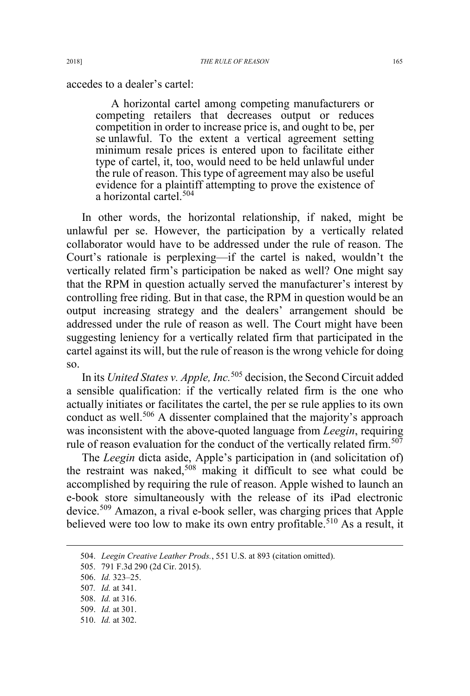accedes to a dealer's cartel:

A horizontal cartel among competing manufacturers or competing retailers that decreases output or reduces competition in order to increase price is, and ought to be, per se unlawful. To the extent a vertical agreement setting minimum resale prices is entered upon to facilitate either type of cartel, it, too, would need to be held unlawful under the rule of reason. This type of agreement may also be useful evidence for a plaintiff attempting to prove the existence of a horizontal cartel.<sup>504</sup>

In other words, the horizontal relationship, if naked, might be unlawful per se. However, the participation by a vertically related collaborator would have to be addressed under the rule of reason. The Court's rationale is perplexing—if the cartel is naked, wouldn't the vertically related firm's participation be naked as well? One might say that the RPM in question actually served the manufacturer's interest by controlling free riding. But in that case, the RPM in question would be an output increasing strategy and the dealers' arrangement should be addressed under the rule of reason as well. The Court might have been suggesting leniency for a vertically related firm that participated in the cartel against its will, but the rule of reason is the wrong vehicle for doing so.

In its *United States v. Apple, Inc.*<sup>505</sup> decision, the Second Circuit added a sensible qualification: if the vertically related firm is the one who actually initiates or facilitates the cartel, the per se rule applies to its own conduct as well.<sup>506</sup> A dissenter complained that the majority's approach was inconsistent with the above-quoted language from *Leegin*, requiring rule of reason evaluation for the conduct of the vertically related firm.<sup>507</sup>

The *Leegin* dicta aside, Apple's participation in (and solicitation of) the restraint was naked,<sup>508</sup> making it difficult to see what could be accomplished by requiring the rule of reason. Apple wished to launch an e-book store simultaneously with the release of its iPad electronic device.<sup>509</sup> Amazon, a rival e-book seller, was charging prices that Apple believed were too low to make its own entry profitable.<sup>510</sup> As a result, it

 <sup>504.</sup> *Leegin Creative Leather Prods.*, 551 U.S. at 893 (citation omitted).

<sup>505. 791</sup> F.3d 290 (2d Cir. 2015).

<sup>506.</sup> *Id.* 323–25.

<sup>507</sup>*. Id.* at 341.

<sup>508.</sup> *Id.* at 316.

<sup>509.</sup> *Id.* at 301.

<sup>510.</sup> *Id.* at 302.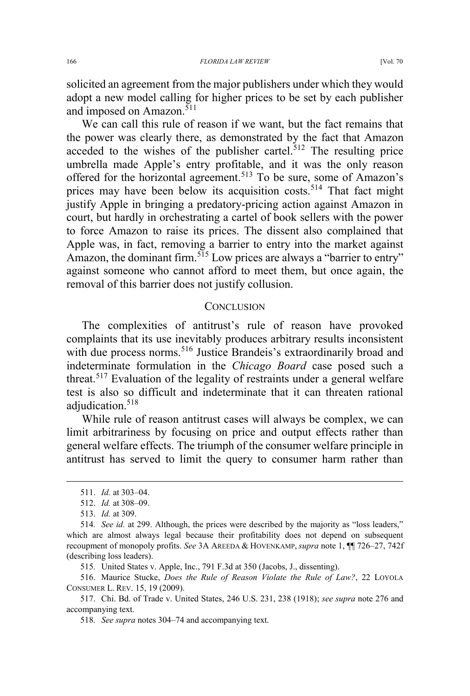solicited an agreement from the major publishers under which they would adopt a new model calling for higher prices to be set by each publisher and imposed on Amazon.<sup>511</sup>

We can call this rule of reason if we want, but the fact remains that the power was clearly there, as demonstrated by the fact that Amazon acceded to the wishes of the publisher cartel. $512$  The resulting price umbrella made Apple's entry profitable, and it was the only reason offered for the horizontal agreement.<sup>513</sup> To be sure, some of Amazon's prices may have been below its acquisition costs.<sup>514</sup> That fact might justify Apple in bringing a predatory-pricing action against Amazon in court, but hardly in orchestrating a cartel of book sellers with the power to force Amazon to raise its prices. The dissent also complained that Apple was, in fact, removing a barrier to entry into the market against Amazon, the dominant firm.<sup>515</sup> Low prices are always a "barrier to entry" against someone who cannot afford to meet them, but once again, the removal of this barrier does not justify collusion.

#### **CONCLUSION**

The complexities of antitrust's rule of reason have provoked complaints that its use inevitably produces arbitrary results inconsistent with due process norms.<sup>516</sup> Justice Brandeis's extraordinarily broad and indeterminate formulation in the *Chicago Board* case posed such a threat.<sup>517</sup> Evaluation of the legality of restraints under a general welfare test is also so difficult and indeterminate that it can threaten rational adjudication.<sup>518</sup>

While rule of reason antitrust cases will always be complex, we can limit arbitrariness by focusing on price and output effects rather than general welfare effects. The triumph of the consumer welfare principle in antitrust has served to limit the query to consumer harm rather than

 <sup>511.</sup> *Id.* at 303–04.

<sup>512.</sup> *Id.* at 308–09.

<sup>513.</sup> *Id.* at 309.

<sup>514</sup>*. See id.* at 299. Although, the prices were described by the majority as "loss leaders," which are almost always legal because their profitability does not depend on subsequent recoupment of monopoly profits. *See* 3A AREEDA & HOVENKAMP, *supra* note 1, ¶¶ 726–27, 742f (describing loss leaders).

<sup>515</sup>*.* United States v. Apple, Inc., 791 F.3d at 350 (Jacobs, J., dissenting).

<sup>516.</sup> Maurice Stucke, *Does the Rule of Reason Violate the Rule of Law?*, 22 LOYOLA CONSUMER L. REV. 15, 19 (2009).

<sup>517.</sup> Chi. Bd. of Trade v. United States, 246 U.S. 231, 238 (1918); *see supra* note 276 and accompanying text.

<sup>518</sup>*. See supra* notes 304–74 and accompanying text.